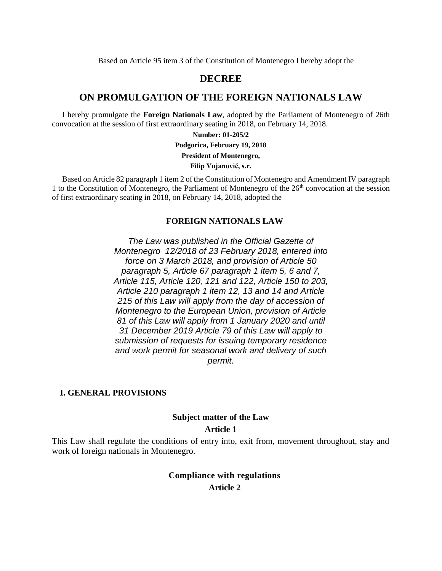Based on Article 95 item 3 of the Constitution of Montenegro I hereby adopt the

#### **DECREE**

#### **ON PROMULGATION OF THE FOREIGN NATIONALS LAW**

I hereby promulgate the **Foreign Nationals Law**, adopted by the Parliament of Montenegro of 26th convocation at the session of first extraordinary seating in 2018, on February 14, 2018.

**Number: 01-205/2**

**Podgorica, February 19, 2018**

**President of Montenegro,**

**Filip Vujanović, s.r.**

Based on Article 82 paragraph 1 item 2 of the Constitution of Montenegro and Amendment IV paragraph 1 to the Constitution of Montenegro, the Parliament of Montenegro of the  $26<sup>th</sup>$  convocation at the session of first extraordinary seating in 2018, on February 14, 2018, adopted the

#### **FOREIGN NATIONALS LAW**

*The Law was published in the Official Gazette of Montenegro 12/2018 of 23 February 2018, entered into force on 3 March 2018, and provision of Article 50 paragraph 5, Article 67 paragraph 1 item 5, 6 and 7, Article 115, Article 120, 121 and 122, Article 150 to 203, Article 210 paragraph 1 item 12, 13 and 14 and Article 215 of this Law will apply from the day of accession of Montenegro to the European Union, provision of Article 81 of this Law will apply from 1 January 2020 and until 31 December 2019 Article 79 of this Law will apply to submission of requests for issuing temporary residence and work permit for seasonal work and delivery of such permit.*

#### **I. GENERAL PROVISIONS**

## **Subject matter of the Law**

#### **Article 1**

This Law shall regulate the conditions of entry into, exit from, movement throughout, stay and work of foreign nationals in Montenegro.

## **Compliance with regulations Article 2**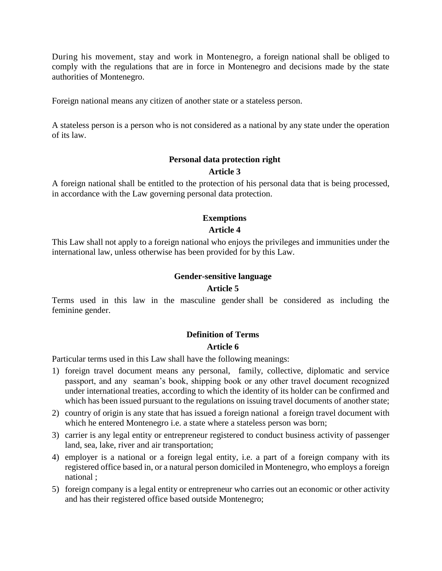During his movement, stay and work in Montenegro, a foreign national shall be obliged to comply with the regulations that are in force in Montenegro and decisions made by the state authorities of Montenegro.

Foreign national means any citizen of another state or a stateless person.

A stateless person is a person who is not considered as a national by any state under the operation of its law.

#### **Personal data protection right**

#### **Article 3**

A foreign national shall be entitled to the protection of his personal data that is being processed, in accordance with the Law governing personal data protection.

#### **Exemptions**

#### **Article 4**

This Law shall not apply to a foreign national who enjoys the privileges and immunities under the international law, unless otherwise has been provided for by this Law.

#### **Gender-sensitive language**

#### **Article 5**

Terms used in this law in the masculine gender shall be considered as including the feminine gender.

#### **Definition of Terms**

#### **Article 6**

Particular terms used in this Law shall have the following meanings:

- 1) foreign travel document means any personal, family, collective, diplomatic and service passport, and any seaman's book, shipping book or any other travel document recognized under international treaties, according to which the identity of its holder can be confirmed and which has been issued pursuant to the regulations on issuing travel documents of another state;
- 2) country of origin is any state that has issued a foreign national a foreign travel document with which he entered Montenegro *i.e.* a state where a stateless person was born;
- 3) carrier is any legal entity or entrepreneur registered to conduct business activity of passenger land, sea, lake, river and air transportation;
- 4) employer is a national or a foreign legal entity, i.e. a part of a foreign company with its registered office based in, or a natural person domiciled in Montenegro, who employs a foreign national ;
- 5) foreign company is a legal entity or entrepreneur who carries out an economic or other activity and has their registered office based outside Montenegro;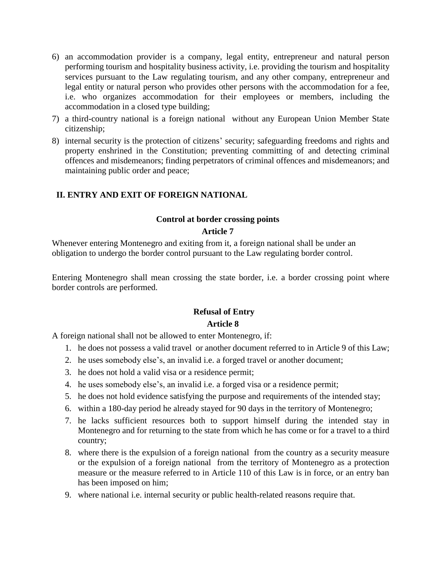- 6) an accommodation provider is a company, legal entity, entrepreneur and natural person performing tourism and hospitality business activity, i.e. providing the tourism and hospitality services pursuant to the Law regulating tourism, and any other company, entrepreneur and legal entity or natural person who provides other persons with the accommodation for a fee, i.e. who organizes accommodation for their employees or members, including the accommodation in a closed type building;
- 7) a third-country national is a foreign national without any European Union Member State citizenship;
- 8) internal security is the protection of citizens' security; safeguarding freedoms and rights and property enshrined in the Constitution; preventing committing of and detecting criminal offences and misdemeanors; finding perpetrators of criminal offences and misdemeanors; and maintaining public order and peace;

#### **II. ENTRY AND EXIT OF FOREIGN NATIONAL**

#### **Control at border crossing points**

#### **Article 7**

Whenever entering Montenegro and exiting from it, a foreign national shall be under an obligation to undergo the border control pursuant to the Law regulating border control.

Entering Montenegro shall mean crossing the state border, i.e. a border crossing point where border controls are performed.

## **Refusal of Entry Article 8**

A foreign national shall not be allowed to enter Montenegro, if:

- 1. he does not possess a valid travel or another document referred to in Article 9 of this Law;
- 2. he uses somebody else's, an invalid i.e. a forged travel or another document;
- 3. he does not hold a valid visa or a residence permit;
- 4. he uses somebody else's, an invalid i.e. a forged visa or a residence permit;
- 5. he does not hold evidence satisfying the purpose and requirements of the intended stay;
- 6. within a 180-day period he already stayed for 90 days in the territory of Montenegro;
- 7. he lacks sufficient resources both to support himself during the intended stay in Montenegro and for returning to the state from which he has come or for a travel to a third country;
- 8. where there is the expulsion of a foreign national from the country as a security measure or the expulsion of a foreign national from the territory of Montenegro as a protection measure or the measure referred to in Article 110 of this Law is in force, or an entry ban has been imposed on him;
- 9. where national i.e. internal security or public health-related reasons require that.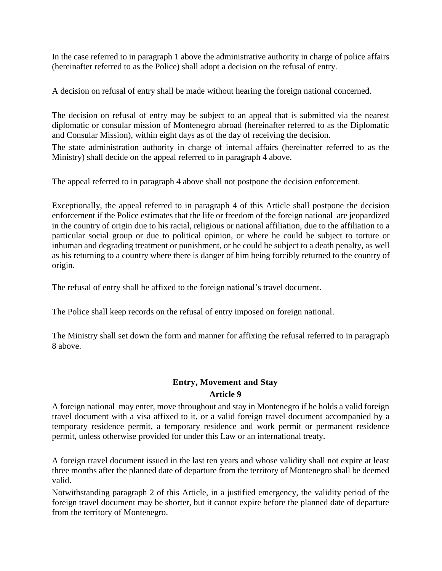In the case referred to in paragraph 1 above the administrative authority in charge of police affairs (hereinafter referred to as the Police) shall adopt a decision on the refusal of entry.

A decision on refusal of entry shall be made without hearing the foreign national concerned.

The decision on refusal of entry may be subject to an appeal that is submitted via the nearest diplomatic or consular mission of Montenegro abroad (hereinafter referred to as the Diplomatic and Consular Mission), within eight days as of the day of receiving the decision.

The state administration authority in charge of internal affairs (hereinafter referred to as the Ministry) shall decide on the appeal referred to in paragraph 4 above.

The appeal referred to in paragraph 4 above shall not postpone the decision enforcement.

Exceptionally, the appeal referred to in paragraph 4 of this Article shall postpone the decision enforcement if the Police estimates that the life or freedom of the foreign national are jeopardized in the country of origin due to his racial, religious or national affiliation, due to the affiliation to a particular social group or due to political opinion, or where he could be subject to torture or inhuman and degrading treatment or punishment, or he could be subject to a death penalty, as well as his returning to a country where there is danger of him being forcibly returned to the country of origin.

The refusal of entry shall be affixed to the foreign national's travel document.

The Police shall keep records on the refusal of entry imposed on foreign national.

The Ministry shall set down the form and manner for affixing the refusal referred to in paragraph 8 above.

## **Entry, Movement and Stay Article 9**

A foreign national may enter, move throughout and stay in Montenegro if he holds a valid foreign travel document with a visa affixed to it, or a valid foreign travel document accompanied by a temporary residence permit, a temporary residence and work permit or permanent residence permit, unless otherwise provided for under this Law or an international treaty.

A foreign travel document issued in the last ten years and whose validity shall not expire at least three months after the planned date of departure from the territory of Montenegro shall be deemed valid.

Notwithstanding paragraph 2 of this Article, in a justified emergency, the validity period of the foreign travel document may be shorter, but it cannot expire before the planned date of departure from the territory of Montenegro.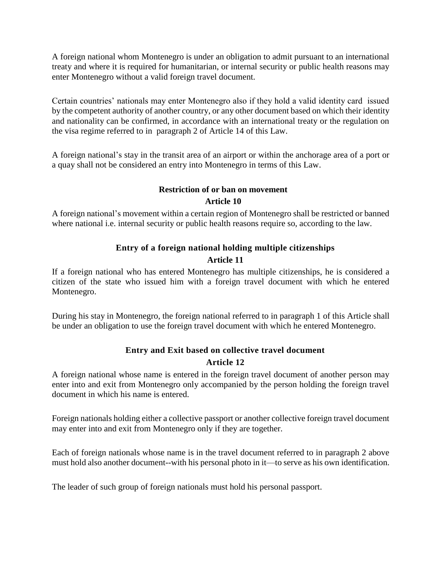A foreign national whom Montenegro is under an obligation to admit pursuant to an international treaty and where it is required for humanitarian, or internal security or public health reasons may enter Montenegro without a valid foreign travel document.

Certain countries' nationals may enter Montenegro also if they hold a valid identity card issued by the competent authority of another country, or any other document based on which their identity and nationality can be confirmed, in accordance with an international treaty or the regulation on the visa regime referred to in paragraph 2 of Article 14 of this Law.

A foreign national's stay in the transit area of an airport or within the anchorage area of a port or a quay shall not be considered an entry into Montenegro in terms of this Law.

# **Restriction of or ban on movement**

**Article 10**

A foreign national's movement within a certain region of Montenegro shall be restricted or banned where national i.e. internal security or public health reasons require so, according to the law.

# **Entry of a foreign national holding multiple citizenships**

### **Article 11**

If a foreign national who has entered Montenegro has multiple citizenships, he is considered a citizen of the state who issued him with a foreign travel document with which he entered Montenegro.

During his stay in Montenegro, the foreign national referred to in paragraph 1 of this Article shall be under an obligation to use the foreign travel document with which he entered Montenegro.

# **Entry and Exit based on collective travel document**

## **Article 12**

A foreign national whose name is entered in the foreign travel document of another person may enter into and exit from Montenegro only accompanied by the person holding the foreign travel document in which his name is entered.

Foreign nationals holding either a collective passport or another collective foreign travel document may enter into and exit from Montenegro only if they are together.

Each of foreign nationals whose name is in the travel document referred to in paragraph 2 above must hold also another document--with his personal photo in it—to serve as his own identification.

The leader of such group of foreign nationals must hold his personal passport.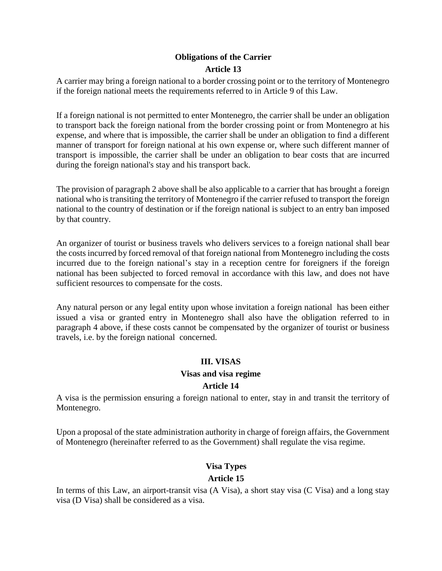## **Obligations of the Carrier Article 13**

A carrier may bring a foreign national to a border crossing point or to the territory of Montenegro if the foreign national meets the requirements referred to in Article 9 of this Law.

If a foreign national is not permitted to enter Montenegro, the carrier shall be under an obligation to transport back the foreign national from the border crossing point or from Montenegro at his expense, and where that is impossible, the carrier shall be under an obligation to find a different manner of transport for foreign national at his own expense or, where such different manner of transport is impossible, the carrier shall be under an obligation to bear costs that are incurred during the foreign national's stay and his transport back.

The provision of paragraph 2 above shall be also applicable to a carrier that has brought a foreign national who is transiting the territory of Montenegro if the carrier refused to transport the foreign national to the country of destination or if the foreign national is subject to an entry ban imposed by that country.

An organizer of tourist or business travels who delivers services to a foreign national shall bear the costs incurred by forced removal of that foreign national from Montenegro including the costs incurred due to the foreign national's stay in a reception centre for foreigners if the foreign national has been subjected to forced removal in accordance with this law, and does not have sufficient resources to compensate for the costs.

Any natural person or any legal entity upon whose invitation a foreign national has been either issued a visa or granted entry in Montenegro shall also have the obligation referred to in paragraph 4 above, if these costs cannot be compensated by the organizer of tourist or business travels, i.e. by the foreign national concerned.

### **III. VISAS**

#### **Visas and visa regime**

#### **Article 14**

A visa is the permission ensuring a foreign national to enter, stay in and transit the territory of Montenegro.

Upon a proposal of the state administration authority in charge of foreign affairs, the Government of Montenegro (hereinafter referred to as the Government) shall regulate the visa regime.

### **Visa Types**

#### **Article 15**

In terms of this Law, an airport-transit visa (A Visa), a short stay visa (C Visa) and a long stay visa (D Visa) shall be considered as a visa.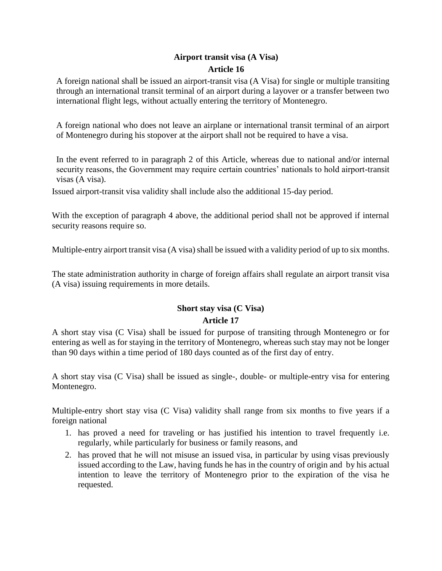## **Airport transit visa (A Visa) Article 16**

A foreign national shall be issued an airport-transit visa (A Visa) for single or multiple transiting through an international transit terminal of an airport during a layover or a transfer between two international flight legs, without actually entering the territory of Montenegro.

A foreign national who does not leave an airplane or international transit terminal of an airport of Montenegro during his stopover at the airport shall not be required to have a visa.

In the event referred to in paragraph 2 of this Article, whereas due to national and/or internal security reasons, the Government may require certain countries' nationals to hold airport-transit visas (A visa).

Issued airport-transit visa validity shall include also the additional 15-day period.

With the exception of paragraph 4 above, the additional period shall not be approved if internal security reasons require so.

Multiple-entry airport transit visa (A visa) shall be issued with a validity period of up to six months.

The state administration authority in charge of foreign affairs shall regulate an airport transit visa (A visa) issuing requirements in more details.

## **Short stay visa (C Visa) Article 17**

A short stay visa (C Visa) shall be issued for purpose of transiting through Montenegro or for entering as well as for staying in the territory of Montenegro, whereas such stay may not be longer than 90 days within a time period of 180 days counted as of the first day of entry.

A short stay visa (C Visa) shall be issued as single-, double- or multiple-entry visa for entering Montenegro.

Multiple-entry short stay visa (C Visa) validity shall range from six months to five years if a foreign national

- 1. has proved a need for traveling or has justified his intention to travel frequently i.e. regularly, while particularly for business or family reasons, and
- 2. has proved that he will not misuse an issued visa, in particular by using visas previously issued according to the Law, having funds he has in the country of origin and by his actual intention to leave the territory of Montenegro prior to the expiration of the visa he requested.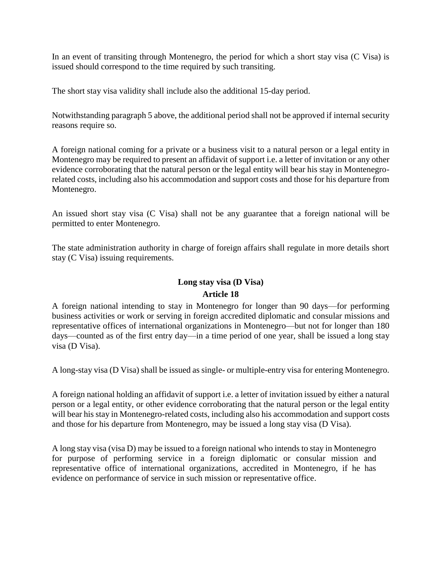In an event of transiting through Montenegro, the period for which a short stay visa (C Visa) is issued should correspond to the time required by such transiting.

The short stay visa validity shall include also the additional 15-day period.

Notwithstanding paragraph 5 above, the additional period shall not be approved if internal security reasons require so.

A foreign national coming for a private or a business visit to a natural person or a legal entity in Montenegro may be required to present an affidavit of support i.e. a letter of invitation or any other evidence corroborating that the natural person or the legal entity will bear his stay in Montenegrorelated costs, including also his accommodation and support costs and those for his departure from Montenegro.

An issued short stay visa (C Visa) shall not be any guarantee that a foreign national will be permitted to enter Montenegro.

The state administration authority in charge of foreign affairs shall regulate in more details short stay (C Visa) issuing requirements.

## **Long stay visa (D Visa) Article 18**

A foreign national intending to stay in Montenegro for longer than 90 days—for performing business activities or work or serving in foreign accredited diplomatic and consular missions and representative offices of international organizations in Montenegro—but not for longer than 180 days—counted as of the first entry day—in a time period of one year, shall be issued a long stay visa (D Visa).

A long-stay visa (D Visa) shall be issued as single- or multiple-entry visa for entering Montenegro.

A foreign national holding an affidavit of support i.e. a letter of invitation issued by either a natural person or a legal entity, or other evidence corroborating that the natural person or the legal entity will bear his stay in Montenegro-related costs, including also his accommodation and support costs and those for his departure from Montenegro, may be issued a long stay visa (D Visa).

A long stay visa (visa D) may be issued to a foreign national who intends to stay in Montenegro for purpose of performing service in a foreign diplomatic or consular mission and representative office of international organizations, accredited in Montenegro, if he has evidence on performance of service in such mission or representative office.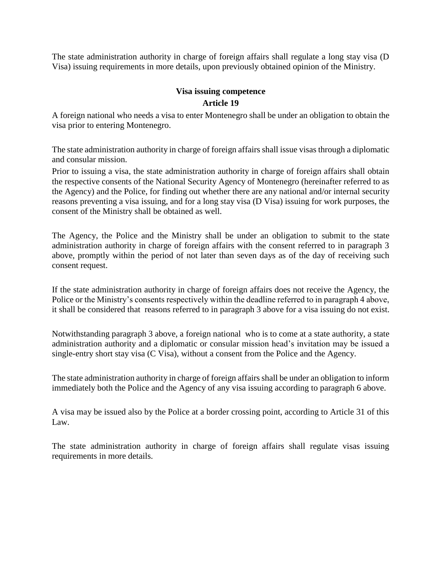The state administration authority in charge of foreign affairs shall regulate a long stay visa (D Visa) issuing requirements in more details, upon previously obtained opinion of the Ministry.

## **Visa issuing competence Article 19**

A foreign national who needs a visa to enter Montenegro shall be under an obligation to obtain the visa prior to entering Montenegro.

The state administration authority in charge of foreign affairs shall issue visas through a diplomatic and consular mission.

Prior to issuing a visa, the state administration authority in charge of foreign affairs shall obtain the respective consents of the National Security Agency of Montenegro (hereinafter referred to as the Agency) and the Police, for finding out whether there are any national and/or internal security reasons preventing a visa issuing, and for a long stay visa (D Visa) issuing for work purposes, the consent of the Ministry shall be obtained as well.

The Agency, the Police and the Ministry shall be under an obligation to submit to the state administration authority in charge of foreign affairs with the consent referred to in paragraph 3 above, promptly within the period of not later than seven days as of the day of receiving such consent request.

If the state administration authority in charge of foreign affairs does not receive the Agency, the Police or the Ministry's consents respectively within the deadline referred to in paragraph 4 above, it shall be considered that reasons referred to in paragraph 3 above for a visa issuing do not exist.

Notwithstanding paragraph 3 above, a foreign national who is to come at a state authority, a state administration authority and a diplomatic or consular mission head's invitation may be issued a single-entry short stay visa (C Visa), without a consent from the Police and the Agency.

The state administration authority in charge of foreign affairs shall be under an obligation to inform immediately both the Police and the Agency of any visa issuing according to paragraph 6 above.

A visa may be issued also by the Police at a border crossing point, according to Article 31 of this Law.

The state administration authority in charge of foreign affairs shall regulate visas issuing requirements in more details.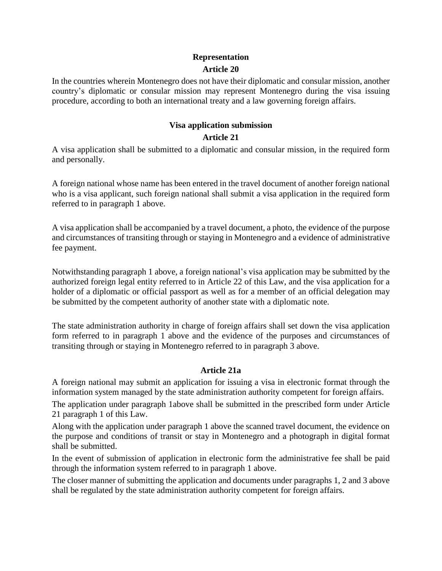## **Representation Article 20**

In the countries wherein Montenegro does not have their diplomatic and consular mission, another country's diplomatic or consular mission may represent Montenegro during the visa issuing procedure, according to both an international treaty and a law governing foreign affairs.

## **Visa application submission**

#### **Article 21**

A visa application shall be submitted to a diplomatic and consular mission, in the required form and personally.

A foreign national whose name has been entered in the travel document of another foreign national who is a visa applicant, such foreign national shall submit a visa application in the required form referred to in paragraph 1 above.

A visa application shall be accompanied by a travel document, a photo, the evidence of the purpose and circumstances of transiting through or staying in Montenegro and a evidence of administrative fee payment.

Notwithstanding paragraph 1 above, a foreign national's visa application may be submitted by the authorized foreign legal entity referred to in Article 22 of this Law, and the visa application for a holder of a diplomatic or official passport as well as for a member of an official delegation may be submitted by the competent authority of another state with a diplomatic note.

The state administration authority in charge of foreign affairs shall set down the visa application form referred to in paragraph 1 above and the evidence of the purposes and circumstances of transiting through or staying in Montenegro referred to in paragraph 3 above.

### **Article 21a**

A foreign national may submit an application for issuing a visa in electronic format through the information system managed by the state administration authority competent for foreign affairs.

The application under paragraph 1above shall be submitted in the prescribed form under Article 21 paragraph 1 of this Law.

Along with the application under paragraph 1 above the scanned travel document, the evidence on the purpose and conditions of transit or stay in Montenegro and a photograph in digital format shall be submitted.

In the event of submission of application in electronic form the administrative fee shall be paid through the information system referred to in paragraph 1 above.

The closer manner of submitting the application and documents under paragraphs 1, 2 and 3 above shall be regulated by the state administration authority competent for foreign affairs.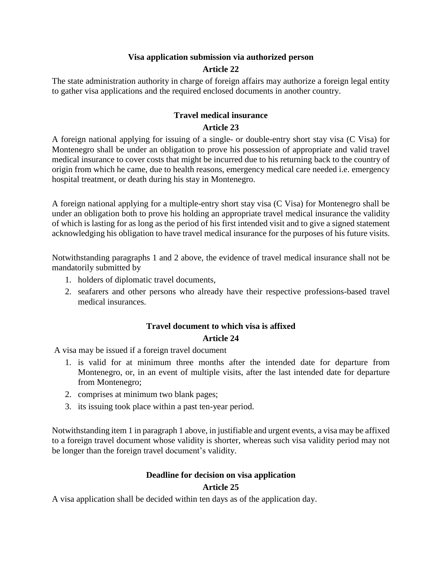## **Visa application submission via authorized person**

## **Article 22**

The state administration authority in charge of foreign affairs may authorize a foreign legal entity to gather visa applications and the required enclosed documents in another country.

#### **Travel medical insurance Article 23**

A foreign national applying for issuing of a single- or double-entry short stay visa (C Visa) for Montenegro shall be under an obligation to prove his possession of appropriate and valid travel medical insurance to cover costs that might be incurred due to his returning back to the country of origin from which he came, due to health reasons, emergency medical care needed i.e. emergency hospital treatment, or death during his stay in Montenegro.

A foreign national applying for a multiple-entry short stay visa (C Visa) for Montenegro shall be under an obligation both to prove his holding an appropriate travel medical insurance the validity of which is lasting for as long as the period of his first intended visit and to give a signed statement acknowledging his obligation to have travel medical insurance for the purposes of his future visits.

Notwithstanding paragraphs 1 and 2 above, the evidence of travel medical insurance shall not be mandatorily submitted by

- 1. holders of diplomatic travel documents,
- 2. seafarers and other persons who already have their respective professions-based travel medical insurances.

### **Travel document to which visa is affixed**

#### **Article 24**

A visa may be issued if a foreign travel document

- 1. is valid for at minimum three months after the intended date for departure from Montenegro, or, in an event of multiple visits, after the last intended date for departure from Montenegro;
- 2. comprises at minimum two blank pages;
- 3. its issuing took place within a past ten-year period.

Notwithstanding item 1 in paragraph 1 above, in justifiable and urgent events, a visa may be affixed to a foreign travel document whose validity is shorter, whereas such visa validity period may not be longer than the foreign travel document's validity.

### **Deadline for decision on visa application**

#### **Article 25**

A visa application shall be decided within ten days as of the application day.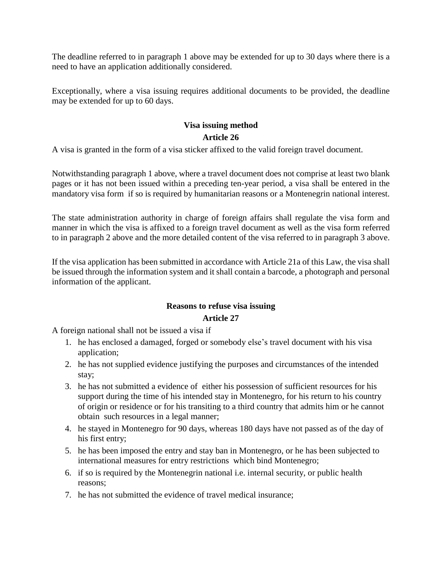The deadline referred to in paragraph 1 above may be extended for up to 30 days where there is a need to have an application additionally considered.

Exceptionally, where a visa issuing requires additional documents to be provided, the deadline may be extended for up to 60 days.

# **Visa issuing method**

### **Article 26**

A visa is granted in the form of a visa sticker affixed to the valid foreign travel document.

Notwithstanding paragraph 1 above, where a travel document does not comprise at least two blank pages or it has not been issued within a preceding ten-year period, a visa shall be entered in the mandatory visa form if so is required by humanitarian reasons or a Montenegrin national interest.

The state administration authority in charge of foreign affairs shall regulate the visa form and manner in which the visa is affixed to a foreign travel document as well as the visa form referred to in paragraph 2 above and the more detailed content of the visa referred to in paragraph 3 above.

If the visa application has been submitted in accordance with Article 21a of this Law, the visa shall be issued through the information system and it shall contain a barcode, a photograph and personal information of the applicant.

#### **Reasons to refuse visa issuing Article 27**

A foreign national shall not be issued a visa if

- 1. he has enclosed a damaged, forged or somebody else's travel document with his visa application;
- 2. he has not supplied evidence justifying the purposes and circumstances of the intended stay;
- 3. he has not submitted a evidence of either his possession of sufficient resources for his support during the time of his intended stay in Montenegro, for his return to his country of origin or residence or for his transiting to a third country that admits him or he cannot obtain such resources in a legal manner;
- 4. he stayed in Montenegro for 90 days, whereas 180 days have not passed as of the day of his first entry;
- 5. he has been imposed the entry and stay ban in Montenegro, or he has been subjected to international measures for entry restrictions which bind Montenegro;
- 6. if so is required by the Montenegrin national i.e. internal security, or public health reasons;
- 7. he has not submitted the evidence of travel medical insurance;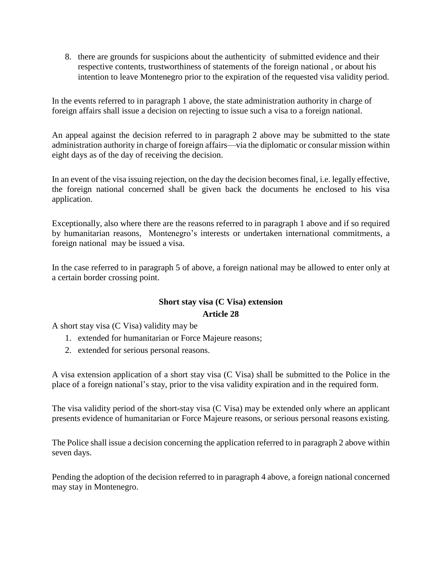8. there are grounds for suspicions about the authenticity of submitted evidence and their respective contents, trustworthiness of statements of the foreign national , or about his intention to leave Montenegro prior to the expiration of the requested visa validity period.

In the events referred to in paragraph 1 above, the state administration authority in charge of foreign affairs shall issue a decision on rejecting to issue such a visa to a foreign national.

An appeal against the decision referred to in paragraph 2 above may be submitted to the state administration authority in charge of foreign affairs—via the diplomatic or consular mission within eight days as of the day of receiving the decision.

In an event of the visa issuing rejection, on the day the decision becomes final, i.e. legally effective, the foreign national concerned shall be given back the documents he enclosed to his visa application.

Exceptionally, also where there are the reasons referred to in paragraph 1 above and if so required by humanitarian reasons, Montenegro's interests or undertaken international commitments, a foreign national may be issued a visa.

In the case referred to in paragraph 5 of above, a foreign national may be allowed to enter only at a certain border crossing point.

## **Short stay visa (C Visa) extension Article 28**

A short stay visa (C Visa) validity may be

- 1. extended for humanitarian or Force Majeure reasons;
- 2. extended for serious personal reasons.

A visa extension application of a short stay visa (C Visa) shall be submitted to the Police in the place of a foreign national's stay, prior to the visa validity expiration and in the required form.

The visa validity period of the short-stay visa (C Visa) may be extended only where an applicant presents evidence of humanitarian or Force Majeure reasons, or serious personal reasons existing.

The Police shall issue a decision concerning the application referred to in paragraph 2 above within seven days.

Pending the adoption of the decision referred to in paragraph 4 above, a foreign national concerned may stay in Montenegro.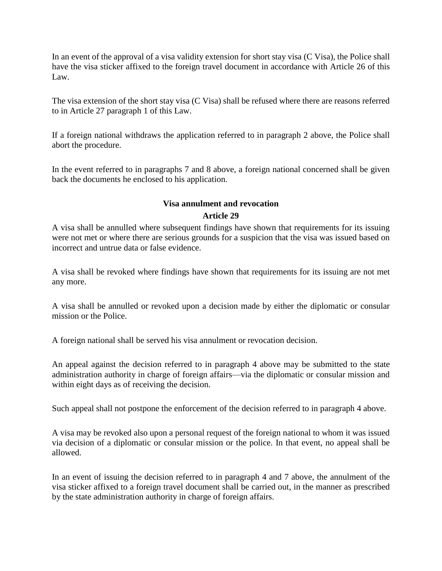In an event of the approval of a visa validity extension for short stay visa (C Visa), the Police shall have the visa sticker affixed to the foreign travel document in accordance with Article 26 of this Law.

The visa extension of the short stay visa (C Visa) shall be refused where there are reasons referred to in Article 27 paragraph 1 of this Law.

If a foreign national withdraws the application referred to in paragraph 2 above, the Police shall abort the procedure.

In the event referred to in paragraphs 7 and 8 above, a foreign national concerned shall be given back the documents he enclosed to his application.

## **Visa annulment and revocation Article 29**

A visa shall be annulled where subsequent findings have shown that requirements for its issuing were not met or where there are serious grounds for a suspicion that the visa was issued based on incorrect and untrue data or false evidence.

A visa shall be revoked where findings have shown that requirements for its issuing are not met any more.

A visa shall be annulled or revoked upon a decision made by either the diplomatic or consular mission or the Police.

A foreign national shall be served his visa annulment or revocation decision.

An appeal against the decision referred to in paragraph 4 above may be submitted to the state administration authority in charge of foreign affairs—via the diplomatic or consular mission and within eight days as of receiving the decision.

Such appeal shall not postpone the enforcement of the decision referred to in paragraph 4 above.

A visa may be revoked also upon a personal request of the foreign national to whom it was issued via decision of a diplomatic or consular mission or the police. In that event, no appeal shall be allowed.

In an event of issuing the decision referred to in paragraph 4 and 7 above, the annulment of the visa sticker affixed to a foreign travel document shall be carried out, in the manner as prescribed by the state administration authority in charge of foreign affairs.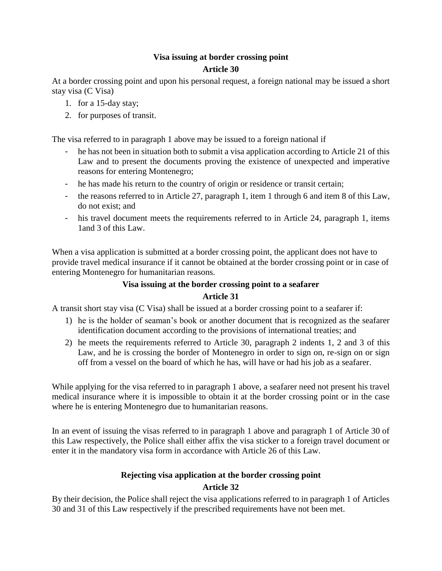## **Visa issuing at border crossing point Article 30**

At a border crossing point and upon his personal request, a foreign national may be issued a short stay visa (C Visa)

- 1. for a 15-day stay;
- 2. for purposes of transit.

The visa referred to in paragraph 1 above may be issued to a foreign national if

- he has not been in situation both to submit a visa application according to Article 21 of this Law and to present the documents proving the existence of unexpected and imperative reasons for entering Montenegro;
- he has made his return to the country of origin or residence or transit certain;
- the reasons referred to in Article 27, paragraph 1, item 1 through 6 and item 8 of this Law, do not exist; and
- his travel document meets the requirements referred to in Article 24, paragraph 1, items 1and 3 of this Law.

When a visa application is submitted at a border crossing point, the applicant does not have to provide travel medical insurance if it cannot be obtained at the border crossing point or in case of entering Montenegro for humanitarian reasons.

## **Visa issuing at the border crossing point to a seafarer**

## **Article 31**

A transit short stay visa (C Visa) shall be issued at a border crossing point to a seafarer if:

- 1) he is the holder of seaman's book or another document that is recognized as the seafarer identification document according to the provisions of international treaties; and
- 2) he meets the requirements referred to Article 30, paragraph 2 indents 1, 2 and 3 of this Law, and he is crossing the border of Montenegro in order to sign on, re-sign on or sign off from a vessel on the board of which he has, will have or had his job as a seafarer.

While applying for the visa referred to in paragraph 1 above, a seafarer need not present his travel medical insurance where it is impossible to obtain it at the border crossing point or in the case where he is entering Montenegro due to humanitarian reasons.

In an event of issuing the visas referred to in paragraph 1 above and paragraph 1 of Article 30 of this Law respectively, the Police shall either affix the visa sticker to a foreign travel document or enter it in the mandatory visa form in accordance with Article 26 of this Law.

## **Rejecting visa application at the border crossing point**

## **Article 32**

By their decision, the Police shall reject the visa applications referred to in paragraph 1 of Articles 30 and 31 of this Law respectively if the prescribed requirements have not been met.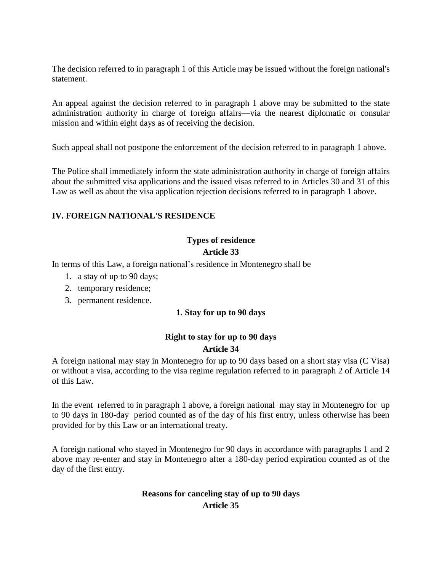The decision referred to in paragraph 1 of this Article may be issued without the foreign national's statement.

An appeal against the decision referred to in paragraph 1 above may be submitted to the state administration authority in charge of foreign affairs—via the nearest diplomatic or consular mission and within eight days as of receiving the decision.

Such appeal shall not postpone the enforcement of the decision referred to in paragraph 1 above.

The Police shall immediately inform the state administration authority in charge of foreign affairs about the submitted visa applications and the issued visas referred to in Articles 30 and 31 of this Law as well as about the visa application rejection decisions referred to in paragraph 1 above.

### **IV. FOREIGN NATIONAL'S RESIDENCE**

# **Types of residence**

#### **Article 33**

In terms of this Law, a foreign national's residence in Montenegro shall be

- 1. a stay of up to 90 days;
- 2. temporary residence;
- 3. permanent residence.

### **1. Stay for up to 90 days**

## **Right to stay for up to 90 days Article 34**

A foreign national may stay in Montenegro for up to 90 days based on a short stay visa (C Visa) or without a visa, according to the visa regime regulation referred to in paragraph 2 of Article 14 of this Law.

In the event referred to in paragraph 1 above, a foreign national may stay in Montenegro for up to 90 days in 180-day period counted as of the day of his first entry, unless otherwise has been provided for by this Law or an international treaty.

A foreign national who stayed in Montenegro for 90 days in accordance with paragraphs 1 and 2 above may re-enter and stay in Montenegro after a 180-day period expiration counted as of the day of the first entry.

### **Reasons for canceling stay of up to 90 days Article 35**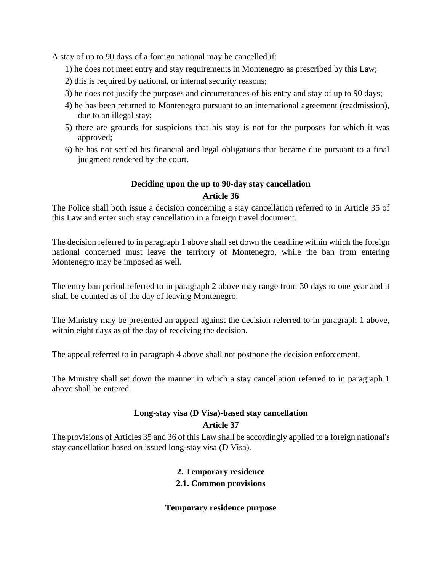A stay of up to 90 days of a foreign national may be cancelled if:

- 1) he does not meet entry and stay requirements in Montenegro as prescribed by this Law;
- 2) this is required by national, or internal security reasons;
- 3) he does not justify the purposes and circumstances of his entry and stay of up to 90 days;
- 4) he has been returned to Montenegro pursuant to an international agreement (readmission), due to an illegal stay;
- 5) there are grounds for suspicions that his stay is not for the purposes for which it was approved;
- 6) he has not settled his financial and legal obligations that became due pursuant to a final judgment rendered by the court.

#### **Deciding upon the up to 90-day stay cancellation**

#### **Article 36**

The Police shall both issue a decision concerning a stay cancellation referred to in Article 35 of this Law and enter such stay cancellation in a foreign travel document.

The decision referred to in paragraph 1 above shall set down the deadline within which the foreign national concerned must leave the territory of Montenegro, while the ban from entering Montenegro may be imposed as well.

The entry ban period referred to in paragraph 2 above may range from 30 days to one year and it shall be counted as of the day of leaving Montenegro.

The Ministry may be presented an appeal against the decision referred to in paragraph 1 above, within eight days as of the day of receiving the decision.

The appeal referred to in paragraph 4 above shall not postpone the decision enforcement.

The Ministry shall set down the manner in which a stay cancellation referred to in paragraph 1 above shall be entered.

# **Long-stay visa (D Visa)-based stay cancellation**

## **Article 37**

The provisions of Articles 35 and 36 of this Law shall be accordingly applied to a foreign national's stay cancellation based on issued long-stay visa (D Visa).

#### **2. Temporary residence**

#### **2.1. Common provisions**

#### **Temporary residence purpose**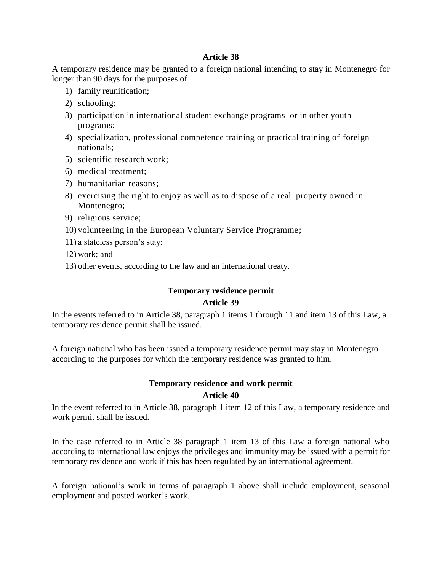#### **Article 38**

A temporary residence may be granted to a foreign national intending to stay in Montenegro for longer than 90 days for the purposes of

- 1) family reunification;
- 2) schooling;
- 3) participation in international student exchange programs or in other youth programs;
- 4) specialization, professional competence training or practical training of foreign nationals;
- 5) scientific research work;
- 6) medical treatment;
- 7) humanitarian reasons;
- 8) exercising the right to enjoy as well as to dispose of a real property owned in Montenegro;
- 9) religious service;
- 10) volunteering in the European Voluntary Service Programme;
- 11) a stateless person's stay;
- 12) work; and
- 13) other events, according to the law and an international treaty.

## **Temporary residence permit**

#### **Article 39**

In the events referred to in Article 38, paragraph 1 items 1 through 11 and item 13 of this Law, a temporary residence permit shall be issued.

A foreign national who has been issued a temporary residence permit may stay in Montenegro according to the purposes for which the temporary residence was granted to him.

## **Temporary residence and work permit Article 40**

In the event referred to in Article 38, paragraph 1 item 12 of this Law, a temporary residence and work permit shall be issued.

In the case referred to in Article 38 paragraph 1 item 13 of this Law a foreign national who according to international law enjoys the privileges and immunity may be issued with a permit for temporary residence and work if this has been regulated by an international agreement.

A foreign national's work in terms of paragraph 1 above shall include employment, seasonal employment and posted worker's work.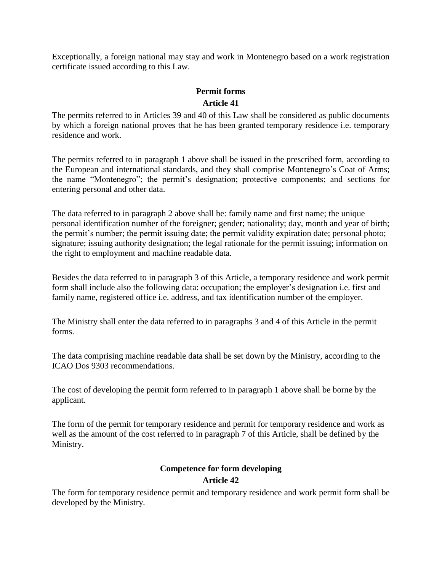Exceptionally, a foreign national may stay and work in Montenegro based on a work registration certificate issued according to this Law.

## **Permit forms Article 41**

The permits referred to in Articles 39 and 40 of this Law shall be considered as public documents by which a foreign national proves that he has been granted temporary residence i.e. temporary residence and work.

The permits referred to in paragraph 1 above shall be issued in the prescribed form, according to the European and international standards, and they shall comprise Montenegro's Coat of Arms; the name "Montenegro"; the permit's designation; protective components; and sections for entering personal and other data.

The data referred to in paragraph 2 above shall be: family name and first name; the unique personal identification number of the foreigner; gender; nationality; day, month and year of birth; the permit's number; the permit issuing date; the permit validity expiration date; personal photo; signature; issuing authority designation; the legal rationale for the permit issuing; information on the right to employment and machine readable data.

Besides the data referred to in paragraph 3 of this Article, a temporary residence and work permit form shall include also the following data: occupation; the employer's designation i.e. first and family name, registered office i.e. address, and tax identification number of the employer.

The Ministry shall enter the data referred to in paragraphs 3 and 4 of this Article in the permit forms.

The data comprising machine readable data shall be set down by the Ministry, according to the ICAO Dos 9303 recommendations.

The cost of developing the permit form referred to in paragraph 1 above shall be borne by the applicant.

The form of the permit for temporary residence and permit for temporary residence and work as well as the amount of the cost referred to in paragraph 7 of this Article, shall be defined by the Ministry.

## **Competence for form developing**

## **Article 42**

The form for temporary residence permit and temporary residence and work permit form shall be developed by the Ministry.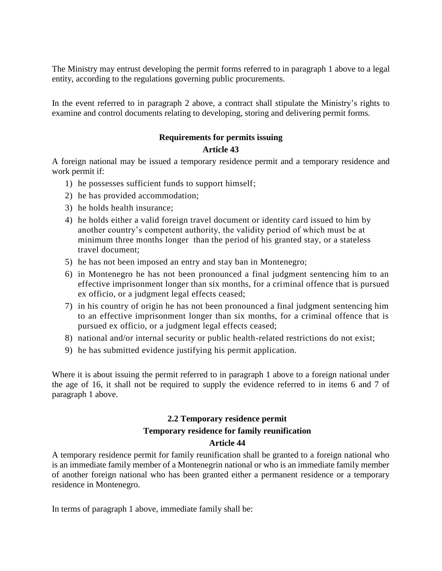The Ministry may entrust developing the permit forms referred to in paragraph 1 above to a legal entity, according to the regulations governing public procurements.

In the event referred to in paragraph 2 above, a contract shall stipulate the Ministry's rights to examine and control documents relating to developing, storing and delivering permit forms.

## **Requirements for permits issuing**

#### **Article 43**

A foreign national may be issued a temporary residence permit and a temporary residence and work permit if:

- 1) he possesses sufficient funds to support himself;
- 2) he has provided accommodation;
- 3) he holds health insurance;
- 4) he holds either a valid foreign travel document or identity card issued to him by another country's competent authority, the validity period of which must be at minimum three months longer than the period of his granted stay, or a stateless travel document;
- 5) he has not been imposed an entry and stay ban in Montenegro;
- 6) in Montenegro he has not been pronounced a final judgment sentencing him to an effective imprisonment longer than six months, for a criminal offence that is pursued ex officio, or a judgment legal effects ceased;
- 7) in his country of origin he has not been pronounced a final judgment sentencing him to an effective imprisonment longer than six months, for a criminal offence that is pursued ex officio, or a judgment legal effects ceased;
- 8) national and/or internal security or public health-related restrictions do not exist;
- 9) he has submitted evidence justifying his permit application.

Where it is about issuing the permit referred to in paragraph 1 above to a foreign national under the age of 16, it shall not be required to supply the evidence referred to in items 6 and 7 of paragraph 1 above.

## **2.2 Temporary residence permit Temporary residence for family reunification Article 44**

A temporary residence permit for family reunification shall be granted to a foreign national who is an immediate family member of a Montenegrin national or who is an immediate family member of another foreign national who has been granted either a permanent residence or a temporary residence in Montenegro.

In terms of paragraph 1 above, immediate family shall be: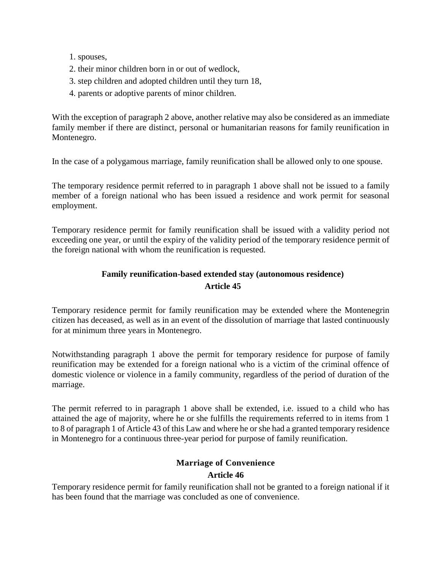- 1. spouses,
- 2. their minor children born in or out of wedlock,
- 3. step children and adopted children until they turn 18,
- 4. parents or adoptive parents of minor children.

With the exception of paragraph 2 above, another relative may also be considered as an immediate family member if there are distinct, personal or humanitarian reasons for family reunification in Montenegro.

In the case of a polygamous marriage, family reunification shall be allowed only to one spouse.

The temporary residence permit referred to in paragraph 1 above shall not be issued to a family member of a foreign national who has been issued a residence and work permit for seasonal employment.

Temporary residence permit for family reunification shall be issued with a validity period not exceeding one year, or until the expiry of the validity period of the temporary residence permit of the foreign national with whom the reunification is requested.

## **Family reunification-based extended stay (autonomous residence) Article 45**

Temporary residence permit for family reunification may be extended where the Montenegrin citizen has deceased, as well as in an event of the dissolution of marriage that lasted continuously for at minimum three years in Montenegro.

Notwithstanding paragraph 1 above the permit for temporary residence for purpose of family reunification may be extended for a foreign national who is a victim of the criminal offence of domestic violence or violence in a family community, regardless of the period of duration of the marriage.

The permit referred to in paragraph 1 above shall be extended, i.e. issued to a child who has attained the age of majority, where he or she fulfills the requirements referred to in items from 1 to 8 of paragraph 1 of Article 43 of this Law and where he or she had a granted temporary residence in Montenegro for a continuous three-year period for purpose of family reunification.

### **Marriage of Convenience**

#### **Article 46**

Temporary residence permit for family reunification shall not be granted to a foreign national if it has been found that the marriage was concluded as one of convenience.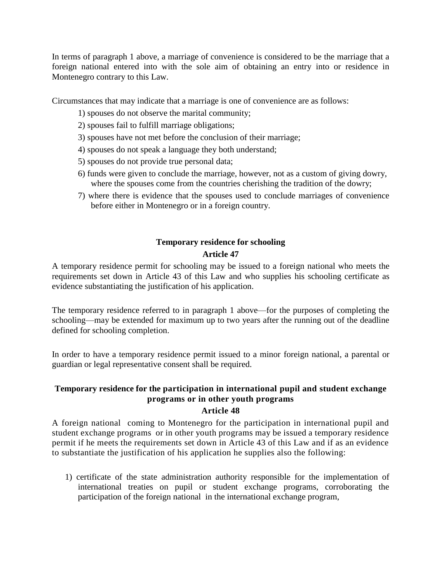In terms of paragraph 1 above, a marriage of convenience is considered to be the marriage that a foreign national entered into with the sole aim of obtaining an entry into or residence in Montenegro contrary to this Law.

Circumstances that may indicate that a marriage is one of convenience are as follows:

- 1) spouses do not observe the marital community;
- 2) spouses fail to fulfill marriage obligations;
- 3) spouses have not met before the conclusion of their marriage;
- 4) spouses do not speak a language they both understand;
- 5) spouses do not provide true personal data;
- 6) funds were given to conclude the marriage, however, not as a custom of giving dowry, where the spouses come from the countries cherishing the tradition of the dowry;
- 7) where there is evidence that the spouses used to conclude marriages of convenience before either in Montenegro or in a foreign country.

## **Temporary residence for schooling Article 47**

A temporary residence permit for schooling may be issued to a foreign national who meets the requirements set down in Article 43 of this Law and who supplies his schooling certificate as evidence substantiating the justification of his application.

The temporary residence referred to in paragraph 1 above—for the purposes of completing the schooling—may be extended for maximum up to two years after the running out of the deadline defined for schooling completion.

In order to have a temporary residence permit issued to a minor foreign national, a parental or guardian or legal representative consent shall be required.

## **Temporary residence for the participation in international pupil and student exchange programs or in other youth programs**

# **Article 48**

A foreign national coming to Montenegro for the participation in international pupil and student exchange programs or in other youth programs may be issued a temporary residence permit if he meets the requirements set down in Article 43 of this Law and if as an evidence to substantiate the justification of his application he supplies also the following:

1) certificate of the state administration authority responsible for the implementation of international treaties on pupil or student exchange programs, corroborating the participation of the foreign national in the international exchange program,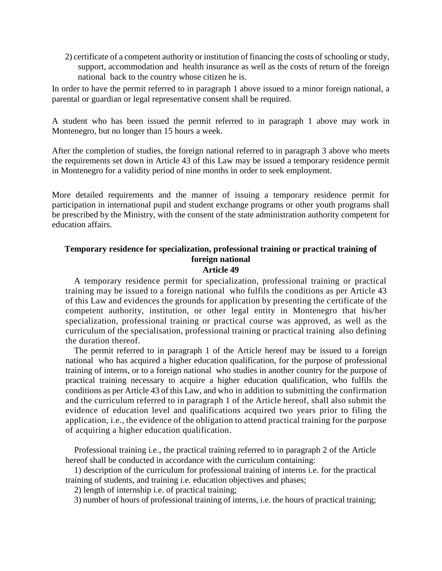2) certificate of a competent authority or institution of financing the costs of schooling or study, support, accommodation and health insurance as well as the costs of return of the foreign national back to the country whose citizen he is.

In order to have the permit referred to in paragraph 1 above issued to a minor foreign national, a parental or guardian or legal representative consent shall be required.

A student who has been issued the permit referred to in paragraph 1 above may work in Montenegro, but no longer than 15 hours a week.

After the completion of studies, the foreign national referred to in paragraph 3 above who meets the requirements set down in Article 43 of this Law may be issued a temporary residence permit in Montenegro for a validity period of nine months in order to seek employment.

More detailed requirements and the manner of issuing a temporary residence permit for participation in international pupil and student exchange programs or other youth programs shall be prescribed by the Ministry, with the consent of the state administration authority competent for education affairs.

## **Temporary residence for specialization, professional training or practical training of foreign national**

#### **Article 49**

A temporary residence permit for specialization, professional training or practical training may be issued to a foreign national who fulfils the conditions as per Article 43 of this Law and evidences the grounds for application by presenting the certificate of the competent authority, institution, or other legal entity in Montenegro that his/her specialization, professional training or practical course was approved, as well as the curriculum of the specialisation, professional training or practical training also defining the duration thereof.

The permit referred to in paragraph 1 of the Article hereof may be issued to a foreign national who has acquired a higher education qualification, for the purpose of professional training of interns, or to a foreign national who studies in another country for the purpose of practical training necessary to acquire a higher education qualification, who fulfils the conditions as per Article 43 of this Law, and who in addition to submitting the confirmation and the curriculum referred to in paragraph 1 of the Article hereof, shall also submit the evidence of education level and qualifications acquired two years prior to filing the application, i.e., the evidence of the obligation to attend practical training for the purpose of acquiring a higher education qualification.

Professional training i.e., the practical training referred to in paragraph 2 of the Article hereof shall be conducted in accordance with the curriculum containing:

1) description of the curriculum for professional training of interns i.e. for the practical training of students, and training i.e. education objectives and phases;

2) length of internship i.e. of practical training;

3) number of hours of professional training of interns, i.e. the hours of practical training;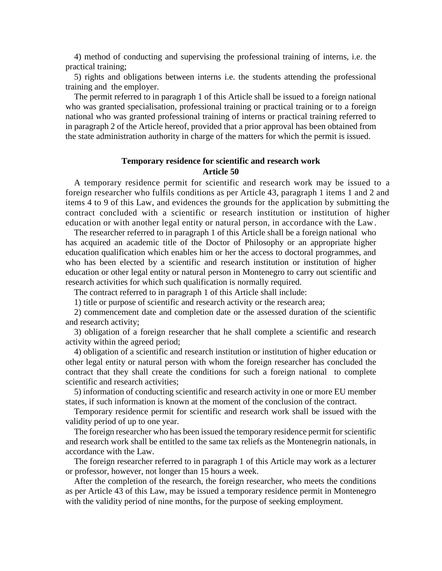4) method of conducting and supervising the professional training of interns, i.e. the practical training;

5) rights and obligations between interns i.e. the students attending the professional training and the employer.

The permit referred to in paragraph 1 of this Article shall be issued to a foreign national who was granted specialisation, professional training or practical training or to a foreign national who was granted professional training of interns or practical training referred to in paragraph 2 of the Article hereof, provided that a prior approval has been obtained from the state administration authority in charge of the matters for which the permit is issued.

### **Temporary residence for scientific and research work Article 50**

A temporary residence permit for scientific and research work may be issued to a foreign researcher who fulfils conditions as per Article 43, paragraph 1 items 1 and 2 and items 4 to 9 of this Law, and evidences the grounds for the application by submitting the contract concluded with a scientific or research institution or institution of higher education or with another legal entity or natural person, in accordance with the Law.

The researcher referred to in paragraph 1 of this Article shall be a foreign national who has acquired an academic title of the Doctor of Philosophy or an appropriate higher education qualification which enables him or her the access to doctoral programmes, and who has been elected by a scientific and research institution or institution of higher education or other legal entity or natural person in Montenegro to carry out scientific and research activities for which such qualification is normally required.

The contract referred to in paragraph 1 of this Article shall include:

1) title or purpose of scientific and research activity or the research area;

2) commencement date and completion date or the assessed duration of the scientific and research activity;

3) obligation of a foreign researcher that he shall complete a scientific and research activity within the agreed period;

4) obligation of a scientific and research institution or institution of higher education or other legal entity or natural person with whom the foreign researcher has concluded the contract that they shall create the conditions for such a foreign national to complete scientific and research activities;

5) information of conducting scientific and research activity in one or more EU member states, if such information is known at the moment of the conclusion of the contract.

Temporary residence permit for scientific and research work shall be issued with the validity period of up to one year.

The foreign researcher who has been issued the temporary residence permit for scientific and research work shall be entitled to the same tax reliefs as the Montenegrin nationals, in accordance with the Law.

The foreign researcher referred to in paragraph 1 of this Article may work as a lecturer or professor, however, not longer than 15 hours a week.

After the completion of the research, the foreign researcher, who meets the conditions as per Article 43 of this Law, may be issued a temporary residence permit in Montenegro with the validity period of nine months, for the purpose of seeking employment.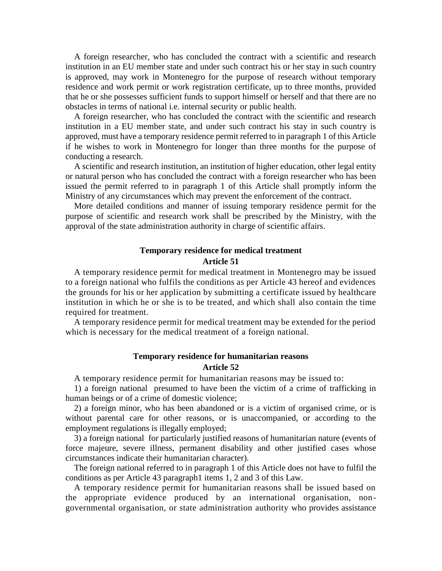A foreign researcher, who has concluded the contract with a scientific and research institution in an EU member state and under such contract his or her stay in such country is approved, may work in Montenegro for the purpose of research without temporary residence and work permit or work registration certificate, up to three months, provided that he or she possesses sufficient funds to support himself or herself and that there are no obstacles in terms of national i.e. internal security or public health.

A foreign researcher, who has concluded the contract with the scientific and research institution in a EU member state, and under such contract his stay in such country is approved, must have a temporary residence permit referred to in paragraph 1 of this Article if he wishes to work in Montenegro for longer than three months for the purpose of conducting a research.

A scientific and research institution, an institution of higher education, other legal entity or natural person who has concluded the contract with a foreign researcher who has been issued the permit referred to in paragraph 1 of this Article shall promptly inform the Ministry of any circumstances which may prevent the enforcement of the contract.

More detailed conditions and manner of issuing temporary residence permit for the purpose of scientific and research work shall be prescribed by the Ministry, with the approval of the state administration authority in charge of scientific affairs.

#### **Temporary residence for medical treatment Article 51**

A temporary residence permit for medical treatment in Montenegro may be issued to a foreign national who fulfils the conditions as per Article 43 hereof and evidences the grounds for his or her application by submitting a certificate issued by healthcare institution in which he or she is to be treated, and which shall also contain the time required for treatment.

A temporary residence permit for medical treatment may be extended for the period which is necessary for the medical treatment of a foreign national.

#### **Temporary residence for humanitarian reasons Article 52**

A temporary residence permit for humanitarian reasons may be issued to:

1) a foreign national presumed to have been the victim of a crime of trafficking in human beings or of a crime of domestic violence;

2) a foreign minor, who has been abandoned or is a victim of organised crime, or is without parental care for other reasons, or is unaccompanied, or according to the employment regulations is illegally employed;

3) a foreign national for particularly justified reasons of humanitarian nature (events of force majeure, severe illness, permanent disability and other justified cases whose circumstances indicate their humanitarian character).

The foreign national referred to in paragraph 1 of this Article does not have to fulfil the conditions as per Article 43 paragraph1 items 1, 2 and 3 of this Law.

A temporary residence permit for humanitarian reasons shall be issued based on the appropriate evidence produced by an international organisation, nongovernmental organisation, or state administration authority who provides assistance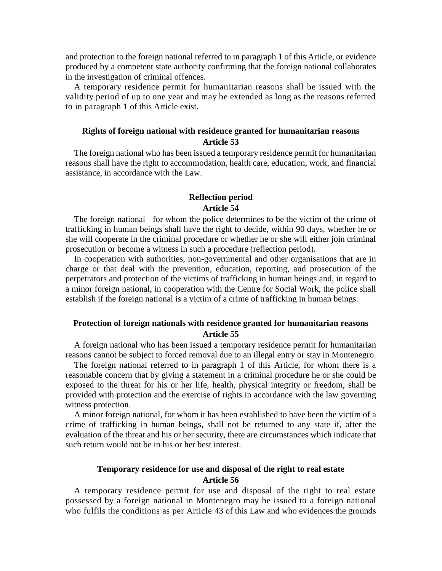and protection to the foreign national referred to in paragraph 1 of this Article, or evidence produced by a competent state authority confirming that the foreign national collaborates in the investigation of criminal offences.

A temporary residence permit for humanitarian reasons shall be issued with the validity period of up to one year and may be extended as long as the reasons referred to in paragraph 1 of this Article exist.

#### **Rights of foreign national with residence granted for humanitarian reasons Article 53**

The foreign national who has been issued a temporary residence permit for humanitarian reasons shall have the right to accommodation, health care, education, work, and financial assistance, in accordance with the Law.

#### **Reflection period Article 54**

The foreign national for whom the police determines to be the victim of the crime of trafficking in human beings shall have the right to decide, within 90 days, whether he or she will cooperate in the criminal procedure or whether he or she will either join criminal prosecution or become a witness in such a procedure (reflection period).

In cooperation with authorities, non-governmental and other organisations that are in charge or that deal with the prevention, education, reporting, and prosecution of the perpetrators and protection of the victims of trafficking in human beings and, in regard to a minor foreign national, in cooperation with the Centre for Social Work, the police shall establish if the foreign national is a victim of a crime of trafficking in human beings.

#### **Protection of foreign nationals with residence granted for humanitarian reasons Article 55**

A foreign national who has been issued a temporary residence permit for humanitarian reasons cannot be subject to forced removal due to an illegal entry or stay in Montenegro.

The foreign national referred to in paragraph 1 of this Article, for whom there is a reasonable concern that by giving a statement in a criminal procedure he or she could be exposed to the threat for his or her life, health, physical integrity or freedom, shall be provided with protection and the exercise of rights in accordance with the law governing witness protection.

A minor foreign national, for whom it has been established to have been the victim of a crime of trafficking in human beings, shall not be returned to any state if, after the evaluation of the threat and his or her security, there are circumstances which indicate that such return would not be in his or her best interest.

## **Temporary residence for use and disposal of the right to real estate Article 56**

A temporary residence permit for use and disposal of the right to real estate possessed by a foreign national in Montenegro may be issued to a foreign national who fulfils the conditions as per Article 43 of this Law and who evidences the grounds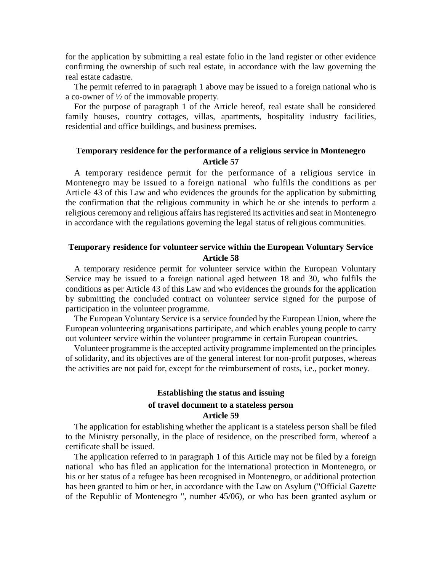for the application by submitting a real estate folio in the land register or other evidence confirming the ownership of such real estate, in accordance with the law governing the real estate cadastre.

The permit referred to in paragraph 1 above may be issued to a foreign national who is a co-owner of ½ of the immovable property.

For the purpose of paragraph 1 of the Article hereof, real estate shall be considered family houses, country cottages, villas, apartments, hospitality industry facilities, residential and office buildings, and business premises.

#### **Temporary residence for the performance of a religious service in Montenegro Article 57**

A temporary residence permit for the performance of a religious service in Montenegro may be issued to a foreign national who fulfils the conditions as per Article 43 of this Law and who evidences the grounds for the application by submitting the confirmation that the religious community in which he or she intends to perform a religious ceremony and religious affairs has registered its activities and seat in Montenegro in accordance with the regulations governing the legal status of religious communities.

#### **Temporary residence for volunteer service within the European Voluntary Service Article 58**

A temporary residence permit for volunteer service within the European Voluntary Service may be issued to a foreign national aged between 18 and 30, who fulfils the conditions as per Article 43 of this Law and who evidences the grounds for the application by submitting the concluded contract on volunteer service signed for the purpose of participation in the volunteer programme.

The European Voluntary Service is a service founded by the European Union, where the European volunteering organisations participate, and which enables young people to carry out volunteer service within the volunteer programme in certain European countries.

Volunteer programme is the accepted activity programme implemented on the principles of solidarity, and its objectives are of the general interest for non-profit purposes, whereas the activities are not paid for, except for the reimbursement of costs, i.e., pocket money.

#### **Establishing the status and issuing of travel document to a stateless person Article 59**

The application for establishing whether the applicant is a stateless person shall be filed to the Ministry personally, in the place of residence, on the prescribed form, whereof a certificate shall be issued.

The application referred to in paragraph 1 of this Article may not be filed by a foreign national who has filed an application for the international protection in Montenegro, or his or her status of a refugee has been recognised in Montenegro, or additional protection has been granted to him or her, in accordance with the Law on Asylum ("Official Gazette of the Republic of Montenegro ", number 45/06), or who has been granted asylum or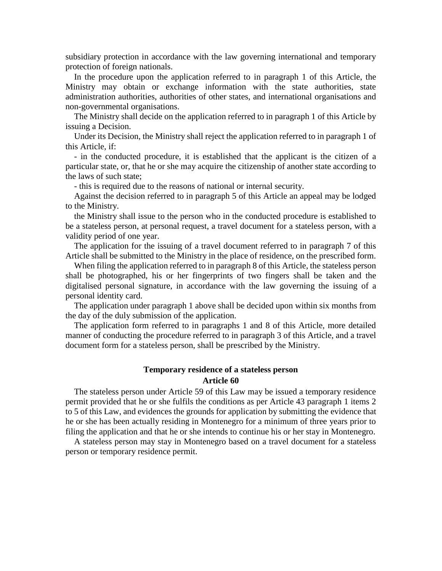subsidiary protection in accordance with the law governing international and temporary protection of foreign nationals.

In the procedure upon the application referred to in paragraph 1 of this Article, the Ministry may obtain or exchange information with the state authorities, state administration authorities, authorities of other states, and international organisations and non-governmental organisations.

The Ministry shall decide on the application referred to in paragraph 1 of this Article by issuing a Decision.

Under its Decision, the Ministry shall reject the application referred to in paragraph 1 of this Article, if:

- in the conducted procedure, it is established that the applicant is the citizen of a particular state, or, that he or she may acquire the citizenship of another state according to the laws of such state;

- this is required due to the reasons of national or internal security.

Against the decision referred to in paragraph 5 of this Article an appeal may be lodged to the Ministry.

the Ministry shall issue to the person who in the conducted procedure is established to be a stateless person, at personal request, a travel document for a stateless person, with a validity period of one year.

The application for the issuing of a travel document referred to in paragraph 7 of this Article shall be submitted to the Ministry in the place of residence, on the prescribed form.

When filing the application referred to in paragraph 8 of this Article, the stateless person shall be photographed, his or her fingerprints of two fingers shall be taken and the digitalised personal signature, in accordance with the law governing the issuing of a personal identity card.

The application under paragraph 1 above shall be decided upon within six months from the day of the duly submission of the application.

The application form referred to in paragraphs 1 and 8 of this Article, more detailed manner of conducting the procedure referred to in paragraph 3 of this Article, and a travel document form for a stateless person, shall be prescribed by the Ministry.

## **Temporary residence of a stateless person**

#### **Article 60**

The stateless person under Article 59 of this Law may be issued a temporary residence permit provided that he or she fulfils the conditions as per Article 43 paragraph 1 items 2 to 5 of this Law, and evidences the grounds for application by submitting the evidence that he or she has been actually residing in Montenegro for a minimum of three years prior to filing the application and that he or she intends to continue his or her stay in Montenegro.

A stateless person may stay in Montenegro based on a travel document for a stateless person or temporary residence permit.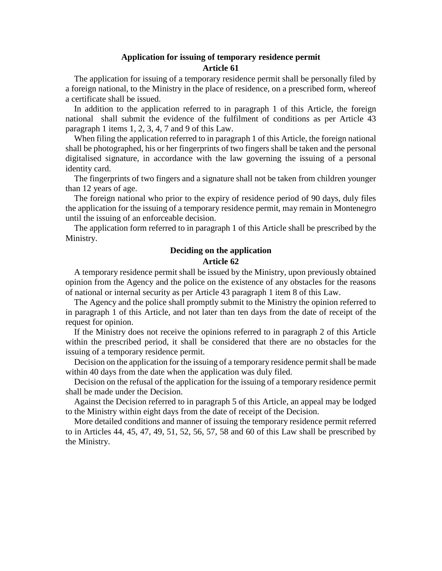#### **Application for issuing of temporary residence permit Article 61**

The application for issuing of a temporary residence permit shall be personally filed by a foreign national, to the Ministry in the place of residence, on a prescribed form, whereof a certificate shall be issued.

In addition to the application referred to in paragraph 1 of this Article, the foreign national shall submit the evidence of the fulfilment of conditions as per Article 43 paragraph 1 items 1, 2, 3, 4, 7 and 9 of this Law.

When filing the application referred to in paragraph 1 of this Article, the foreign national shall be photographed, his or her fingerprints of two fingers shall be taken and the personal digitalised signature, in accordance with the law governing the issuing of a personal identity card.

The fingerprints of two fingers and a signature shall not be taken from children younger than 12 years of age.

The foreign national who prior to the expiry of residence period of 90 days, duly files the application for the issuing of a temporary residence permit, may remain in Montenegro until the issuing of an enforceable decision.

The application form referred to in paragraph 1 of this Article shall be prescribed by the Ministry.

#### **Deciding on the application Article 62**

A temporary residence permit shall be issued by the Ministry, upon previously obtained opinion from the Agency and the police on the existence of any obstacles for the reasons of national or internal security as per Article 43 paragraph 1 item 8 of this Law.

The Agency and the police shall promptly submit to the Ministry the opinion referred to in paragraph 1 of this Article, and not later than ten days from the date of receipt of the request for opinion.

If the Ministry does not receive the opinions referred to in paragraph 2 of this Article within the prescribed period, it shall be considered that there are no obstacles for the issuing of a temporary residence permit.

Decision on the application for the issuing of a temporary residence permit shall be made within 40 days from the date when the application was duly filed.

Decision on the refusal of the application for the issuing of a temporary residence permit shall be made under the Decision.

Against the Decision referred to in paragraph 5 of this Article, an appeal may be lodged to the Ministry within eight days from the date of receipt of the Decision.

More detailed conditions and manner of issuing the temporary residence permit referred to in Articles 44, 45, 47, 49, 51, 52, 56, 57, 58 and 60 of this Law shall be prescribed by the Ministry.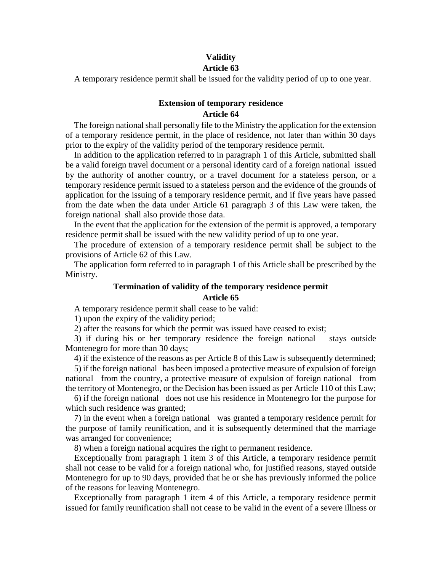#### **Validity Article 63**

A temporary residence permit shall be issued for the validity period of up to one year.

#### **Extension of temporary residence Article 64**

The foreign national shall personally file to the Ministry the application for the extension of a temporary residence permit, in the place of residence, not later than within 30 days prior to the expiry of the validity period of the temporary residence permit.

In addition to the application referred to in paragraph 1 of this Article, submitted shall be a valid foreign travel document or a personal identity card of a foreign national issued by the authority of another country, or a travel document for a stateless person, or a temporary residence permit issued to a stateless person and the evidence of the grounds of application for the issuing of a temporary residence permit, and if five years have passed from the date when the data under Article 61 paragraph 3 of this Law were taken, the foreign national shall also provide those data.

In the event that the application for the extension of the permit is approved, a temporary residence permit shall be issued with the new validity period of up to one year.

The procedure of extension of a temporary residence permit shall be subject to the provisions of Article 62 of this Law.

The application form referred to in paragraph 1 of this Article shall be prescribed by the Ministry.

#### **Termination of validity of the temporary residence permit Article 65**

A temporary residence permit shall cease to be valid:

1) upon the expiry of the validity period;

2) after the reasons for which the permit was issued have ceased to exist;

3) if during his or her temporary residence the foreign national stays outside Montenegro for more than 30 days;

4) if the existence of the reasons as per Article 8 of this Law is subsequently determined;

5) if the foreign national has been imposed a protective measure of expulsion of foreign national from the country, a protective measure of expulsion of foreign national from the territory of Montenegro, or the Decision has been issued as per Article 110 of this Law;

6) if the foreign national does not use his residence in Montenegro for the purpose for which such residence was granted;

7) in the event when a foreign national was granted a temporary residence permit for the purpose of family reunification, and it is subsequently determined that the marriage was arranged for convenience;

8) when a foreign national acquires the right to permanent residence.

Exceptionally from paragraph 1 item 3 of this Article, a temporary residence permit shall not cease to be valid for a foreign national who, for justified reasons, stayed outside Montenegro for up to 90 days, provided that he or she has previously informed the police of the reasons for leaving Montenegro.

Exceptionally from paragraph 1 item 4 of this Article, a temporary residence permit issued for family reunification shall not cease to be valid in the event of a severe illness or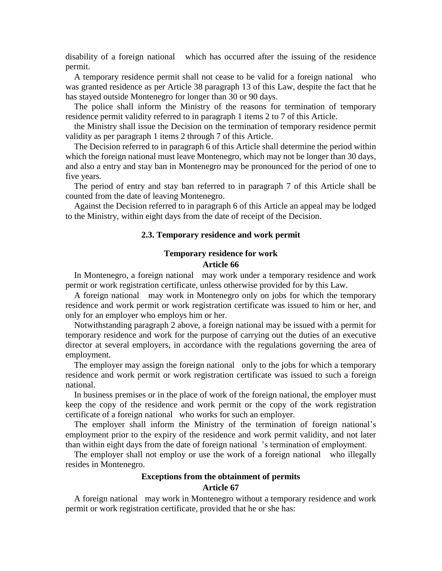disability of a foreign national which has occurred after the issuing of the residence permit.

A temporary residence permit shall not cease to be valid for a foreign national who was granted residence as per Article 38 paragraph 13 of this Law, despite the fact that he has stayed outside Montenegro for longer than 30 or 90 days.

The police shall inform the Ministry of the reasons for termination of temporary residence permit validity referred to in paragraph 1 items 2 to 7 of this Article.

the Ministry shall issue the Decision on the termination of temporary residence permit validity as per paragraph 1 items 2 through 7 of this Article.

The Decision referred to in paragraph 6 of this Article shall determine the period within which the foreign national must leave Montenegro, which may not be longer than 30 days, and also a entry and stay ban in Montenegro may be pronounced for the period of one to five years.

The period of entry and stay ban referred to in paragraph 7 of this Article shall be counted from the date of leaving Montenegro.

Against the Decision referred to in paragraph 6 of this Article an appeal may be lodged to the Ministry, within eight days from the date of receipt of the Decision.

#### **2.3. Temporary residence and work permit**

#### **Temporary residence for work Article 66**

In Montenegro, a foreign national may work under a temporary residence and work permit or work registration certificate, unless otherwise provided for by this Law.

A foreign national may work in Montenegro only on jobs for which the temporary residence and work permit or work registration certificate was issued to him or her, and only for an employer who employs him or her.

Notwithstanding paragraph 2 above, a foreign national may be issued with a permit for temporary residence and work for the purpose of carrying out the duties of an executive director at several employers, in accordance with the regulations governing the area of employment.

The employer may assign the foreign national only to the jobs for which a temporary residence and work permit or work registration certificate was issued to such a foreign national.

In business premises or in the place of work of the foreign national, the employer must keep the copy of the residence and work permit or the copy of the work registration certificate of a foreign national who works for such an employer.

The employer shall inform the Ministry of the termination of foreign national's employment prior to the expiry of the residence and work permit validity, and not later than within eight days from the date of foreign national 's termination of employment.

The employer shall not employ or use the work of a foreign national who illegally resides in Montenegro.

## **Exceptions from the obtainment of permits Article 67**

A foreign national may work in Montenegro without a temporary residence and work permit or work registration certificate, provided that he or she has: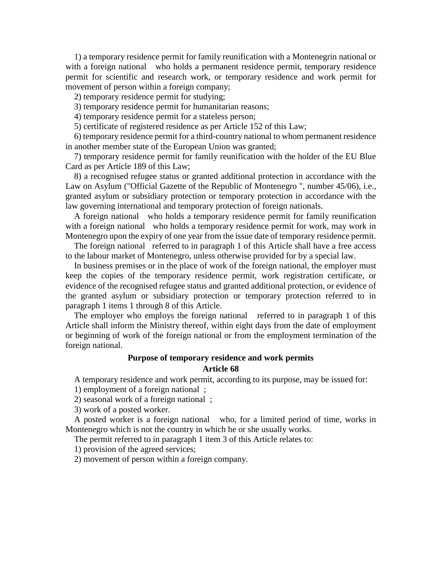1) a temporary residence permit for family reunification with a Montenegrin national or with a foreign national who holds a permanent residence permit, temporary residence permit for scientific and research work, or temporary residence and work permit for movement of person within a foreign company;

2) temporary residence permit for studying;

3) temporary residence permit for humanitarian reasons;

4) temporary residence permit for a stateless person;

5) certificate of registered residence as per Article 152 of this Law;

6) temporary residence permit for a third-country national to whom permanent residence in another member state of the European Union was granted;

7) temporary residence permit for family reunification with the holder of the EU Blue Card as per Article 189 of this Law;

8) a recognised refugee status or granted additional protection in accordance with the Law on Asylum ("Official Gazette of the Republic of Montenegro ", number 45/06), i.e., granted asylum or subsidiary protection or temporary protection in accordance with the law governing international and temporary protection of foreign nationals.

A foreign national who holds a temporary residence permit for family reunification with a foreign national who holds a temporary residence permit for work, may work in Montenegro upon the expiry of one year from the issue date of temporary residence permit.

The foreign national referred to in paragraph 1 of this Article shall have a free access to the labour market of Montenegro, unless otherwise provided for by a special law.

In business premises or in the place of work of the foreign national, the employer must keep the copies of the temporary residence permit, work registration certificate, or evidence of the recognised refugee status and granted additional protection, or evidence of the granted asylum or subsidiary protection or temporary protection referred to in paragraph 1 items 1 through 8 of this Article.

The employer who employs the foreign national referred to in paragraph 1 of this Article shall inform the Ministry thereof, within eight days from the date of employment or beginning of work of the foreign national or from the employment termination of the foreign national.

#### **Purpose of temporary residence and work permits Article 68**

A temporary residence and work permit, according to its purpose, may be issued for:

1) employment of a foreign national ;

2) seasonal work of a foreign national ;

3) work of a posted worker.

A posted worker is a foreign national who, for a limited period of time, works in Montenegro which is not the country in which he or she usually works.

The permit referred to in paragraph 1 item 3 of this Article relates to:

1) provision of the agreed services;

2) movement of person within a foreign company.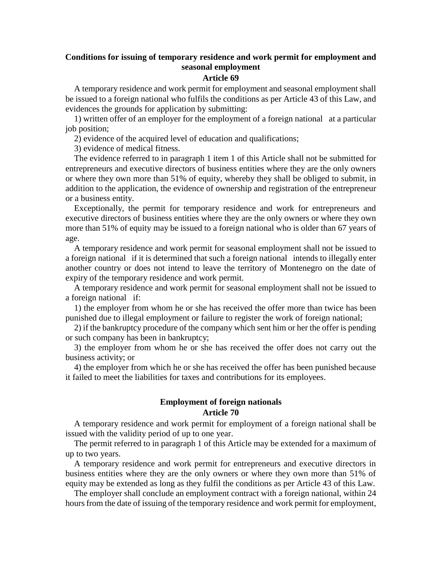## **Conditions for issuing of temporary residence and work permit for employment and seasonal employment**

#### **Article 69**

A temporary residence and work permit for employment and seasonal employment shall be issued to a foreign national who fulfils the conditions as per Article 43 of this Law, and evidences the grounds for application by submitting:

1) written offer of an employer for the employment of a foreign national at a particular job position;

2) evidence of the acquired level of education and qualifications;

3) evidence of medical fitness.

The evidence referred to in paragraph 1 item 1 of this Article shall not be submitted for entrepreneurs and executive directors of business entities where they are the only owners or where they own more than 51% of equity, whereby they shall be obliged to submit, in addition to the application, the evidence of ownership and registration of the entrepreneur or a business entity.

Exceptionally, the permit for temporary residence and work for entrepreneurs and executive directors of business entities where they are the only owners or where they own more than 51% of equity may be issued to a foreign national who is older than 67 years of age.

A temporary residence and work permit for seasonal employment shall not be issued to a foreign national if it is determined that such a foreign national intends to illegally enter another country or does not intend to leave the territory of Montenegro on the date of expiry of the temporary residence and work permit.

A temporary residence and work permit for seasonal employment shall not be issued to a foreign national if:

1) the employer from whom he or she has received the offer more than twice has been punished due to illegal employment or failure to register the work of foreign national;

2) if the bankruptcy procedure of the company which sent him or her the offer is pending or such company has been in bankruptcy;

3) the employer from whom he or she has received the offer does not carry out the business activity; or

4) the employer from which he or she has received the offer has been punished because it failed to meet the liabilities for taxes and contributions for its employees.

#### **Employment of foreign nationals Article 70**

A temporary residence and work permit for employment of a foreign national shall be issued with the validity period of up to one year.

The permit referred to in paragraph 1 of this Article may be extended for a maximum of up to two years.

A temporary residence and work permit for entrepreneurs and executive directors in business entities where they are the only owners or where they own more than 51% of equity may be extended as long as they fulfil the conditions as per Article 43 of this Law.

The employer shall conclude an employment contract with a foreign national, within 24 hours from the date of issuing of the temporary residence and work permit for employment,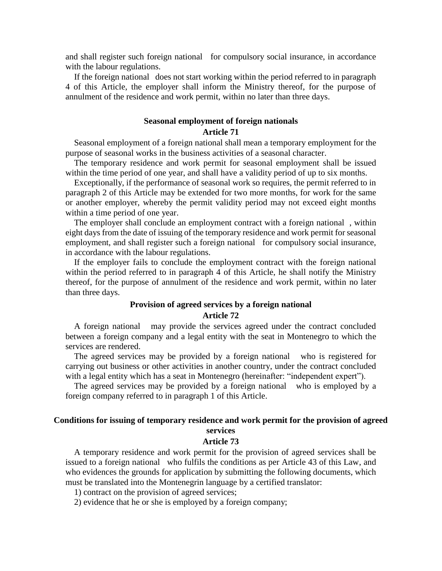and shall register such foreign national for compulsory social insurance, in accordance with the labour regulations.

If the foreign national does not start working within the period referred to in paragraph 4 of this Article, the employer shall inform the Ministry thereof, for the purpose of annulment of the residence and work permit, within no later than three days.

#### **Seasonal employment of foreign nationals Article 71**

Seasonal employment of a foreign national shall mean a temporary employment for the purpose of seasonal works in the business activities of a seasonal character.

The temporary residence and work permit for seasonal employment shall be issued within the time period of one year, and shall have a validity period of up to six months.

Exceptionally, if the performance of seasonal work so requires, the permit referred to in paragraph 2 of this Article may be extended for two more months, for work for the same or another employer, whereby the permit validity period may not exceed eight months within a time period of one year.

The employer shall conclude an employment contract with a foreign national , within eight days from the date of issuing of the temporary residence and work permit for seasonal employment, and shall register such a foreign national for compulsory social insurance, in accordance with the labour regulations.

If the employer fails to conclude the employment contract with the foreign national within the period referred to in paragraph 4 of this Article, he shall notify the Ministry thereof, for the purpose of annulment of the residence and work permit, within no later than three days.

#### **Provision of agreed services by a foreign national Article 72**

A foreign national may provide the services agreed under the contract concluded between a foreign company and a legal entity with the seat in Montenegro to which the services are rendered.

The agreed services may be provided by a foreign national who is registered for carrying out business or other activities in another country, under the contract concluded with a legal entity which has a seat in Montenegro (hereinafter: "independent expert").

The agreed services may be provided by a foreign national who is employed by a foreign company referred to in paragraph 1 of this Article.

#### **Conditions for issuing of temporary residence and work permit for the provision of agreed services**

#### **Article 73**

A temporary residence and work permit for the provision of agreed services shall be issued to a foreign national who fulfils the conditions as per Article 43 of this Law, and who evidences the grounds for application by submitting the following documents, which must be translated into the Montenegrin language by a certified translator:

1) contract on the provision of agreed services;

2) evidence that he or she is employed by a foreign company;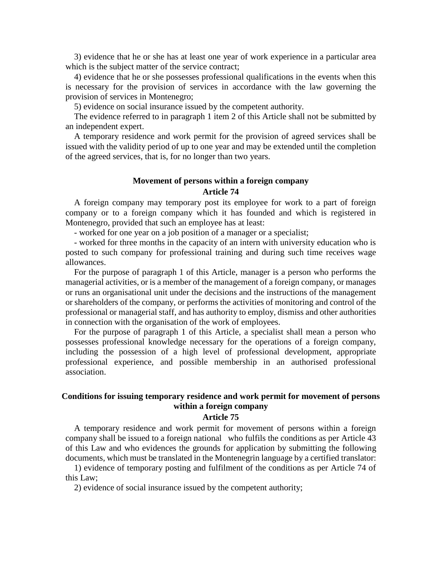3) evidence that he or she has at least one year of work experience in a particular area which is the subject matter of the service contract;

4) evidence that he or she possesses professional qualifications in the events when this is necessary for the provision of services in accordance with the law governing the provision of services in Montenegro;

5) evidence on social insurance issued by the competent authority.

The evidence referred to in paragraph 1 item 2 of this Article shall not be submitted by an independent expert.

A temporary residence and work permit for the provision of agreed services shall be issued with the validity period of up to one year and may be extended until the completion of the agreed services, that is, for no longer than two years.

#### **Movement of persons within a foreign company Article 74**

A foreign company may temporary post its employee for work to a part of foreign company or to a foreign company which it has founded and which is registered in Montenegro, provided that such an employee has at least:

- worked for one year on a job position of a manager or a specialist;

- worked for three months in the capacity of an intern with university education who is posted to such company for professional training and during such time receives wage allowances.

For the purpose of paragraph 1 of this Article, manager is a person who performs the managerial activities, or is a member of the management of a foreign company, or manages or runs an organisational unit under the decisions and the instructions of the management or shareholders of the company, or performs the activities of monitoring and control of the professional or managerial staff, and has authority to employ, dismiss and other authorities in connection with the organisation of the work of employees.

For the purpose of paragraph 1 of this Article, a specialist shall mean a person who possesses professional knowledge necessary for the operations of a foreign company, including the possession of a high level of professional development, appropriate professional experience, and possible membership in an authorised professional association.

#### **Conditions for issuing temporary residence and work permit for movement of persons within a foreign company**

#### **Article 75**

A temporary residence and work permit for movement of persons within a foreign company shall be issued to a foreign national who fulfils the conditions as per Article 43 of this Law and who evidences the grounds for application by submitting the following documents, which must be translated in the Montenegrin language by a certified translator:

1) evidence of temporary posting and fulfilment of the conditions as per Article 74 of this Law;

2) evidence of social insurance issued by the competent authority;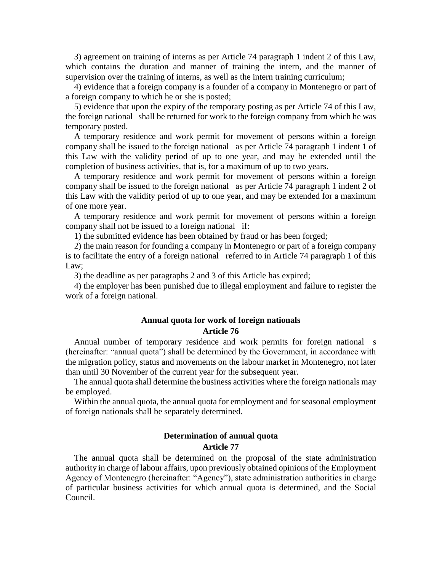3) agreement on training of interns as per Article 74 paragraph 1 indent 2 of this Law, which contains the duration and manner of training the intern, and the manner of supervision over the training of interns, as well as the intern training curriculum;

4) evidence that a foreign company is a founder of a company in Montenegro or part of a foreign company to which he or she is posted;

5) evidence that upon the expiry of the temporary posting as per Article 74 of this Law, the foreign national shall be returned for work to the foreign company from which he was temporary posted.

A temporary residence and work permit for movement of persons within a foreign company shall be issued to the foreign national as per Article 74 paragraph 1 indent 1 of this Law with the validity period of up to one year, and may be extended until the completion of business activities, that is, for a maximum of up to two years.

A temporary residence and work permit for movement of persons within a foreign company shall be issued to the foreign national as per Article 74 paragraph 1 indent 2 of this Law with the validity period of up to one year, and may be extended for a maximum of one more year.

A temporary residence and work permit for movement of persons within a foreign company shall not be issued to a foreign national if:

1) the submitted evidence has been obtained by fraud or has been forged;

2) the main reason for founding a company in Montenegro or part of a foreign company is to facilitate the entry of a foreign national referred to in Article 74 paragraph 1 of this Law;

3) the deadline as per paragraphs 2 and 3 of this Article has expired;

4) the employer has been punished due to illegal employment and failure to register the work of a foreign national.

#### **Annual quota for work of foreign nationals**

#### **Article 76**

Annual number of temporary residence and work permits for foreign national s (hereinafter: "annual quota") shall be determined by the Government, in accordance with the migration policy, status and movements on the labour market in Montenegro, not later than until 30 November of the current year for the subsequent year.

The annual quota shall determine the business activities where the foreign nationals may be employed.

Within the annual quota, the annual quota for employment and for seasonal employment of foreign nationals shall be separately determined.

#### **Determination of annual quota Article 77**

The annual quota shall be determined on the proposal of the state administration authority in charge of labour affairs, upon previously obtained opinions of the Employment Agency of Montenegro (hereinafter: "Agency"), state administration authorities in charge of particular business activities for which annual quota is determined, and the Social Council.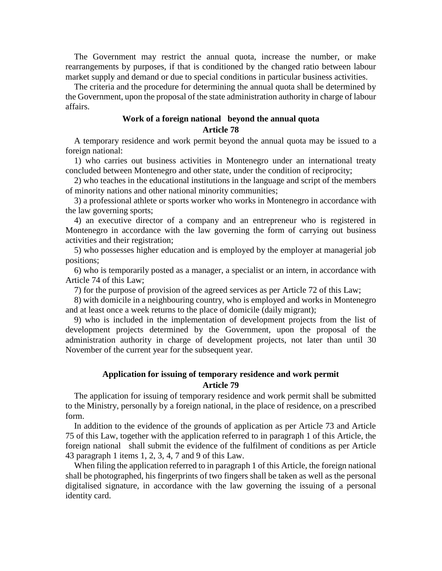The Government may restrict the annual quota, increase the number, or make rearrangements by purposes, if that is conditioned by the changed ratio between labour market supply and demand or due to special conditions in particular business activities.

The criteria and the procedure for determining the annual quota shall be determined by the Government, upon the proposal of the state administration authority in charge of labour affairs.

### **Work of a foreign national beyond the annual quota Article 78**

A temporary residence and work permit beyond the annual quota may be issued to a foreign national:

1) who carries out business activities in Montenegro under an international treaty concluded between Montenegro and other state, under the condition of reciprocity;

2) who teaches in the educational institutions in the language and script of the members of minority nations and other national minority communities;

3) a professional athlete or sports worker who works in Montenegro in accordance with the law governing sports;

4) an executive director of a company and an entrepreneur who is registered in Montenegro in accordance with the law governing the form of carrying out business activities and their registration;

5) who possesses higher education and is employed by the employer at managerial job positions;

6) who is temporarily posted as a manager, a specialist or an intern, in accordance with Article 74 of this Law;

7) for the purpose of provision of the agreed services as per Article 72 of this Law;

8) with domicile in a neighbouring country, who is employed and works in Montenegro and at least once a week returns to the place of domicile (daily migrant);

9) who is included in the implementation of development projects from the list of development projects determined by the Government, upon the proposal of the administration authority in charge of development projects, not later than until 30 November of the current year for the subsequent year.

### **Application for issuing of temporary residence and work permit Article 79**

The application for issuing of temporary residence and work permit shall be submitted to the Ministry, personally by a foreign national, in the place of residence, on a prescribed form.

In addition to the evidence of the grounds of application as per Article 73 and Article 75 of this Law, together with the application referred to in paragraph 1 of this Article, the foreign national shall submit the evidence of the fulfilment of conditions as per Article 43 paragraph 1 items 1, 2, 3, 4, 7 and 9 of this Law.

When filing the application referred to in paragraph 1 of this Article, the foreign national shall be photographed, his fingerprints of two fingers shall be taken as well as the personal digitalised signature, in accordance with the law governing the issuing of a personal identity card.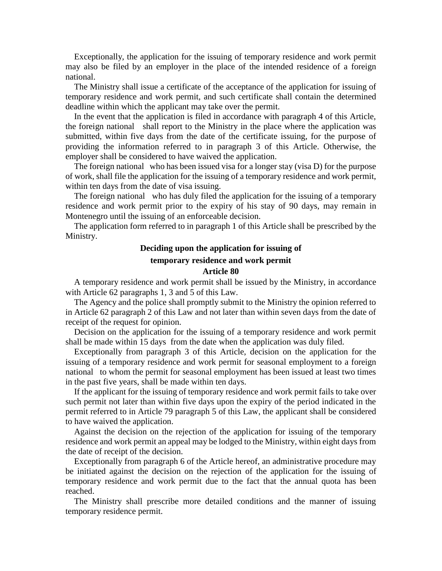Exceptionally, the application for the issuing of temporary residence and work permit may also be filed by an employer in the place of the intended residence of a foreign national.

The Ministry shall issue a certificate of the acceptance of the application for issuing of temporary residence and work permit, and such certificate shall contain the determined deadline within which the applicant may take over the permit.

In the event that the application is filed in accordance with paragraph 4 of this Article, the foreign national shall report to the Ministry in the place where the application was submitted, within five days from the date of the certificate issuing, for the purpose of providing the information referred to in paragraph 3 of this Article. Otherwise, the employer shall be considered to have waived the application.

The foreign national who has been issued visa for a longer stay (visa D) for the purpose of work, shall file the application for the issuing of a temporary residence and work permit, within ten days from the date of visa issuing.

The foreign national who has duly filed the application for the issuing of a temporary residence and work permit prior to the expiry of his stay of 90 days, may remain in Montenegro until the issuing of an enforceable decision.

The application form referred to in paragraph 1 of this Article shall be prescribed by the Ministry.

# **Deciding upon the application for issuing of**

### **temporary residence and work permit**

#### **Article 80**

A temporary residence and work permit shall be issued by the Ministry, in accordance with Article 62 paragraphs 1, 3 and 5 of this Law.

The Agency and the police shall promptly submit to the Ministry the opinion referred to in Article 62 paragraph 2 of this Law and not later than within seven days from the date of receipt of the request for opinion.

Decision on the application for the issuing of a temporary residence and work permit shall be made within 15 days from the date when the application was duly filed.

Exceptionally from paragraph 3 of this Article, decision on the application for the issuing of a temporary residence and work permit for seasonal employment to a foreign national to whom the permit for seasonal employment has been issued at least two times in the past five years, shall be made within ten days.

If the applicant for the issuing of temporary residence and work permit fails to take over such permit not later than within five days upon the expiry of the period indicated in the permit referred to in Article 79 paragraph 5 of this Law, the applicant shall be considered to have waived the application.

Against the decision on the rejection of the application for issuing of the temporary residence and work permit an appeal may be lodged to the Ministry, within eight days from the date of receipt of the decision.

Exceptionally from paragraph 6 of the Article hereof, an administrative procedure may be initiated against the decision on the rejection of the application for the issuing of temporary residence and work permit due to the fact that the annual quota has been reached.

The Ministry shall prescribe more detailed conditions and the manner of issuing temporary residence permit.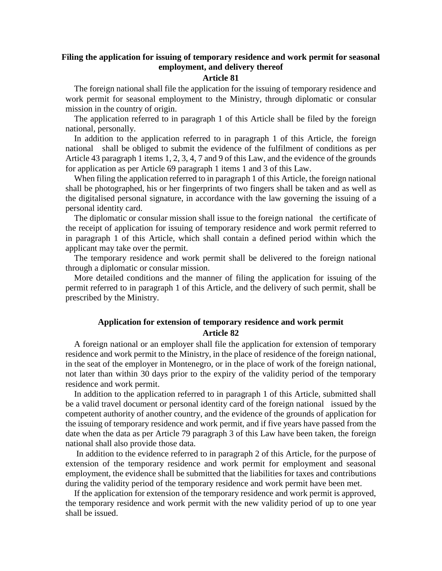## **Filing the application for issuing of temporary residence and work permit for seasonal employment, and delivery thereof**

#### **Article 81**

The foreign national shall file the application for the issuing of temporary residence and work permit for seasonal employment to the Ministry, through diplomatic or consular mission in the country of origin.

The application referred to in paragraph 1 of this Article shall be filed by the foreign national, personally.

In addition to the application referred to in paragraph 1 of this Article, the foreign national shall be obliged to submit the evidence of the fulfilment of conditions as per Article 43 paragraph 1 items 1, 2, 3, 4, 7 and 9 of this Law, and the evidence of the grounds for application as per Article 69 paragraph 1 items 1 and 3 of this Law.

When filing the application referred to in paragraph 1 of this Article, the foreign national shall be photographed, his or her fingerprints of two fingers shall be taken and as well as the digitalised personal signature, in accordance with the law governing the issuing of a personal identity card.

The diplomatic or consular mission shall issue to the foreign national the certificate of the receipt of application for issuing of temporary residence and work permit referred to in paragraph 1 of this Article, which shall contain a defined period within which the applicant may take over the permit.

The temporary residence and work permit shall be delivered to the foreign national through a diplomatic or consular mission.

More detailed conditions and the manner of filing the application for issuing of the permit referred to in paragraph 1 of this Article, and the delivery of such permit, shall be prescribed by the Ministry.

### **Application for extension of temporary residence and work permit Article 82**

A foreign national or an employer shall file the application for extension of temporary residence and work permit to the Ministry, in the place of residence of the foreign national, in the seat of the employer in Montenegro, or in the place of work of the foreign national, not later than within 30 days prior to the expiry of the validity period of the temporary residence and work permit.

In addition to the application referred to in paragraph 1 of this Article, submitted shall be a valid travel document or personal identity card of the foreign national issued by the competent authority of another country, and the evidence of the grounds of application for the issuing of temporary residence and work permit, and if five years have passed from the date when the data as per Article 79 paragraph 3 of this Law have been taken, the foreign national shall also provide those data.

In addition to the evidence referred to in paragraph 2 of this Article, for the purpose of extension of the temporary residence and work permit for employment and seasonal employment, the evidence shall be submitted that the liabilities for taxes and contributions during the validity period of the temporary residence and work permit have been met.

If the application for extension of the temporary residence and work permit is approved, the temporary residence and work permit with the new validity period of up to one year shall be issued.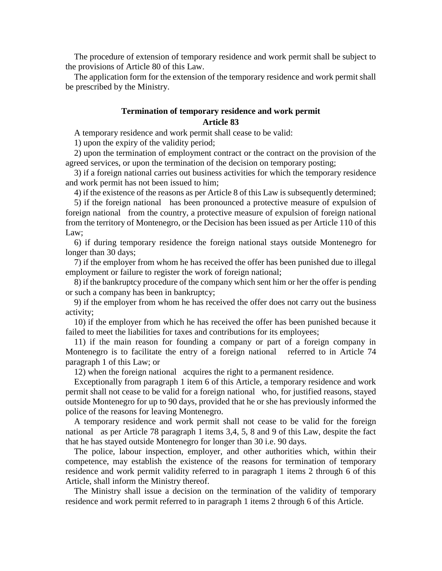The procedure of extension of temporary residence and work permit shall be subject to the provisions of Article 80 of this Law.

The application form for the extension of the temporary residence and work permit shall be prescribed by the Ministry.

### **Termination of temporary residence and work permit Article 83**

A temporary residence and work permit shall cease to be valid:

1) upon the expiry of the validity period;

2) upon the termination of employment contract or the contract on the provision of the agreed services, or upon the termination of the decision on temporary posting;

3) if a foreign national carries out business activities for which the temporary residence and work permit has not been issued to him;

4) if the existence of the reasons as per Article 8 of this Law is subsequently determined;

5) if the foreign national has been pronounced a protective measure of expulsion of foreign national from the country, a protective measure of expulsion of foreign national from the territory of Montenegro, or the Decision has been issued as per Article 110 of this Law:

6) if during temporary residence the foreign national stays outside Montenegro for longer than 30 days;

7) if the employer from whom he has received the offer has been punished due to illegal employment or failure to register the work of foreign national;

8) if the bankruptcy procedure of the company which sent him or her the offer is pending or such a company has been in bankruptcy;

9) if the employer from whom he has received the offer does not carry out the business activity;

10) if the employer from which he has received the offer has been punished because it failed to meet the liabilities for taxes and contributions for its employees;

11) if the main reason for founding a company or part of a foreign company in Montenegro is to facilitate the entry of a foreign national referred to in Article 74 paragraph 1 of this Law; or

12) when the foreign national acquires the right to a permanent residence.

Exceptionally from paragraph 1 item 6 of this Article, a temporary residence and work permit shall not cease to be valid for a foreign national who, for justified reasons, stayed outside Montenegro for up to 90 days, provided that he or she has previously informed the police of the reasons for leaving Montenegro.

A temporary residence and work permit shall not cease to be valid for the foreign national as per Article 78 paragraph 1 items 3,4, 5, 8 and 9 of this Law, despite the fact that he has stayed outside Montenegro for longer than 30 i.e. 90 days.

The police, labour inspection, employer, and other authorities which, within their competence, may establish the existence of the reasons for termination of temporary residence and work permit validity referred to in paragraph 1 items 2 through 6 of this Article, shall inform the Ministry thereof.

The Ministry shall issue a decision on the termination of the validity of temporary residence and work permit referred to in paragraph 1 items 2 through 6 of this Article.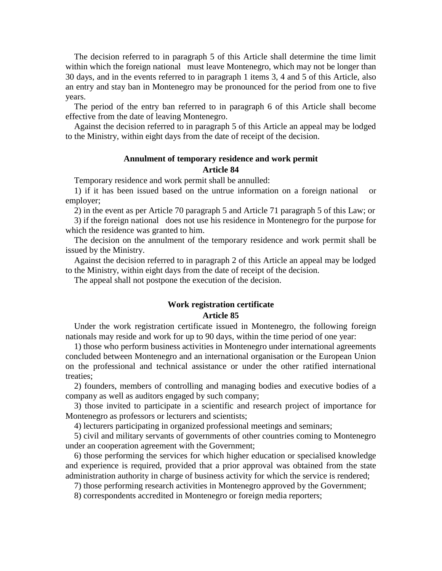The decision referred to in paragraph 5 of this Article shall determine the time limit within which the foreign national must leave Montenegro, which may not be longer than 30 days, and in the events referred to in paragraph 1 items 3, 4 and 5 of this Article, also an entry and stay ban in Montenegro may be pronounced for the period from one to five years.

The period of the entry ban referred to in paragraph 6 of this Article shall become effective from the date of leaving Montenegro.

Against the decision referred to in paragraph 5 of this Article an appeal may be lodged to the Ministry, within eight days from the date of receipt of the decision.

### **Annulment of temporary residence and work permit Article 84**

Temporary residence and work permit shall be annulled:

1) if it has been issued based on the untrue information on a foreign national or employer;

2) in the event as per Article 70 paragraph 5 and Article 71 paragraph 5 of this Law; or

3) if the foreign national does not use his residence in Montenegro for the purpose for which the residence was granted to him.

The decision on the annulment of the temporary residence and work permit shall be issued by the Ministry.

Against the decision referred to in paragraph 2 of this Article an appeal may be lodged to the Ministry, within eight days from the date of receipt of the decision.

The appeal shall not postpone the execution of the decision.

# **Work registration certificate**

#### **Article 85**

Under the work registration certificate issued in Montenegro, the following foreign nationals may reside and work for up to 90 days, within the time period of one year:

1) those who perform business activities in Montenegro under international agreements concluded between Montenegro and an international organisation or the European Union on the professional and technical assistance or under the other ratified international treaties;

2) founders, members of controlling and managing bodies and executive bodies of a company as well as auditors engaged by such company;

3) those invited to participate in a scientific and research project of importance for Montenegro as professors or lecturers and scientists;

4) lecturers participating in organized professional meetings and seminars;

5) civil and military servants of governments of other countries coming to Montenegro under an cooperation agreement with the Government;

6) those performing the services for which higher education or specialised knowledge and experience is required, provided that a prior approval was obtained from the state administration authority in charge of business activity for which the service is rendered;

7) those performing research activities in Montenegro approved by the Government;

8) correspondents accredited in Montenegro or foreign media reporters;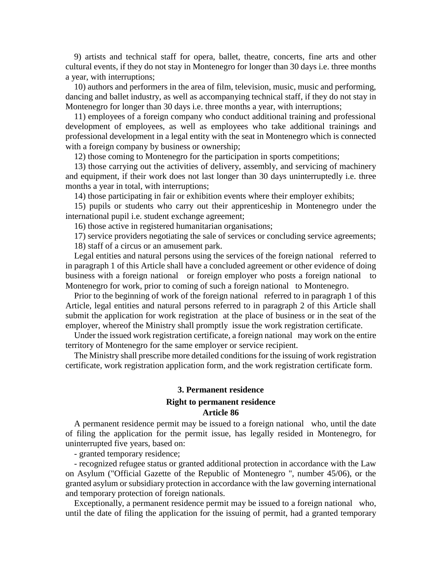9) artists and technical staff for opera, ballet, theatre, concerts, fine arts and other cultural events, if they do not stay in Montenegro for longer than 30 days i.e. three months a year, with interruptions;

10) authors and performers in the area of film, television, music, music and performing, dancing and ballet industry, as well as accompanying technical staff, if they do not stay in Montenegro for longer than 30 days i.e. three months a year, with interruptions;

11) employees of a foreign company who conduct additional training and professional development of employees, as well as employees who take additional trainings and professional development in a legal entity with the seat in Montenegro which is connected with a foreign company by business or ownership;

12) those coming to Montenegro for the participation in sports competitions;

13) those carrying out the activities of delivery, assembly, and servicing of machinery and equipment, if their work does not last longer than 30 days uninterruptedly i.e. three months a year in total, with interruptions;

14) those participating in fair or exhibition events where their employer exhibits;

15) pupils or students who carry out their apprenticeship in Montenegro under the international pupil i.e. student exchange agreement;

16) those active in registered humanitarian organisations;

17) service providers negotiating the sale of services or concluding service agreements;

18) staff of a circus or an amusement park.

Legal entities and natural persons using the services of the foreign national referred to in paragraph 1 of this Article shall have a concluded agreement or other evidence of doing business with a foreign national or foreign employer who posts a foreign national to Montenegro for work, prior to coming of such a foreign national to Montenegro.

Prior to the beginning of work of the foreign national referred to in paragraph 1 of this Article, legal entities and natural persons referred to in paragraph 2 of this Article shall submit the application for work registration at the place of business or in the seat of the employer, whereof the Ministry shall promptly issue the work registration certificate.

Under the issued work registration certificate, a foreign national may work on the entire territory of Montenegro for the same employer or service recipient.

The Ministry shall prescribe more detailed conditions for the issuing of work registration certificate, work registration application form, and the work registration certificate form.

### **3. Permanent residence**

## **Right to permanent residence**

#### **Article 86**

A permanent residence permit may be issued to a foreign national who, until the date of filing the application for the permit issue, has legally resided in Montenegro, for uninterrupted five years, based on:

- granted temporary residence;

- recognized refugee status or granted additional protection in accordance with the Law on Asylum ("Official Gazette of the Republic of Montenegro ", number 45/06), or the granted asylum or subsidiary protection in accordance with the law governing international and temporary protection of foreign nationals.

Exceptionally, a permanent residence permit may be issued to a foreign national who, until the date of filing the application for the issuing of permit, had a granted temporary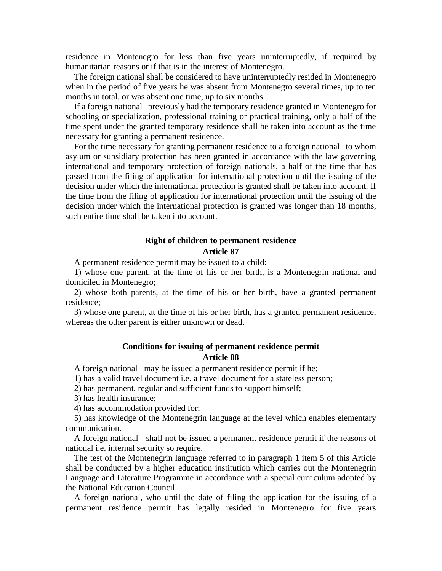residence in Montenegro for less than five years uninterruptedly, if required by humanitarian reasons or if that is in the interest of Montenegro.

The foreign national shall be considered to have uninterruptedly resided in Montenegro when in the period of five years he was absent from Montenegro several times, up to ten months in total, or was absent one time, up to six months.

If a foreign national previously had the temporary residence granted in Montenegro for schooling or specialization, professional training or practical training, only a half of the time spent under the granted temporary residence shall be taken into account as the time necessary for granting a permanent residence.

For the time necessary for granting permanent residence to a foreign national to whom asylum or subsidiary protection has been granted in accordance with the law governing international and temporary protection of foreign nationals, a half of the time that has passed from the filing of application for international protection until the issuing of the decision under which the international protection is granted shall be taken into account. If the time from the filing of application for international protection until the issuing of the decision under which the international protection is granted was longer than 18 months, such entire time shall be taken into account.

### **Right of children to permanent residence Article 87**

A permanent residence permit may be issued to a child:

1) whose one parent, at the time of his or her birth, is a Montenegrin national and domiciled in Montenegro;

2) whose both parents, at the time of his or her birth, have a granted permanent residence;

3) whose one parent, at the time of his or her birth, has a granted permanent residence, whereas the other parent is either unknown or dead.

#### **Conditions for issuing of permanent residence permit Article 88**

A foreign national may be issued a permanent residence permit if he:

1) has a valid travel document i.e. a travel document for a stateless person;

2) has permanent, regular and sufficient funds to support himself;

3) has health insurance;

4) has accommodation provided for;

5) has knowledge of the Montenegrin language at the level which enables elementary communication.

A foreign national shall not be issued a permanent residence permit if the reasons of national i.e. internal security so require.

The test of the Montenegrin language referred to in paragraph 1 item 5 of this Article shall be conducted by a higher education institution which carries out the Montenegrin Language and Literature Programme in accordance with a special curriculum adopted by the National Education Council.

A foreign national, who until the date of filing the application for the issuing of a permanent residence permit has legally resided in Montenegro for five years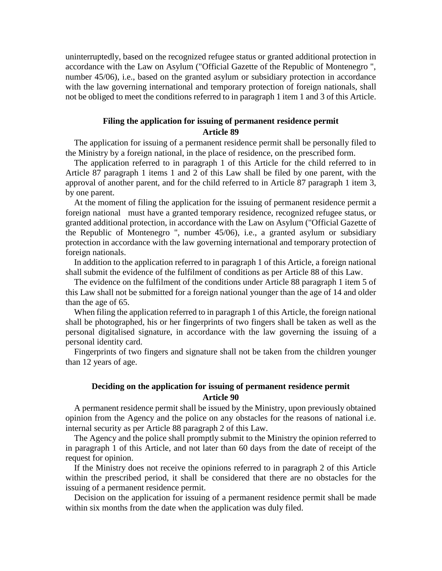uninterruptedly, based on the recognized refugee status or granted additional protection in accordance with the Law on Asylum ("Official Gazette of the Republic of Montenegro ", number 45/06), i.e., based on the granted asylum or subsidiary protection in accordance with the law governing international and temporary protection of foreign nationals, shall not be obliged to meet the conditions referred to in paragraph 1 item 1 and 3 of this Article.

### **Filing the application for issuing of permanent residence permit Article 89**

The application for issuing of a permanent residence permit shall be personally filed to the Ministry by a foreign national, in the place of residence, on the prescribed form.

The application referred to in paragraph 1 of this Article for the child referred to in Article 87 paragraph 1 items 1 and 2 of this Law shall be filed by one parent, with the approval of another parent, and for the child referred to in Article 87 paragraph 1 item 3, by one parent.

At the moment of filing the application for the issuing of permanent residence permit a foreign national must have a granted temporary residence, recognized refugee status, or granted additional protection, in accordance with the Law on Asylum ("Official Gazette of the Republic of Montenegro ", number 45/06), i.e., a granted asylum or subsidiary protection in accordance with the law governing international and temporary protection of foreign nationals.

In addition to the application referred to in paragraph 1 of this Article, a foreign national shall submit the evidence of the fulfilment of conditions as per Article 88 of this Law.

The evidence on the fulfilment of the conditions under Article 88 paragraph 1 item 5 of this Law shall not be submitted for a foreign national younger than the age of 14 and older than the age of 65.

When filing the application referred to in paragraph 1 of this Article, the foreign national shall be photographed, his or her fingerprints of two fingers shall be taken as well as the personal digitalised signature, in accordance with the law governing the issuing of a personal identity card.

Fingerprints of two fingers and signature shall not be taken from the children younger than 12 years of age.

### **Deciding on the application for issuing of permanent residence permit Article 90**

A permanent residence permit shall be issued by the Ministry, upon previously obtained opinion from the Agency and the police on any obstacles for the reasons of national i.e. internal security as per Article 88 paragraph 2 of this Law.

The Agency and the police shall promptly submit to the Ministry the opinion referred to in paragraph 1 of this Article, and not later than 60 days from the date of receipt of the request for opinion.

If the Ministry does not receive the opinions referred to in paragraph 2 of this Article within the prescribed period, it shall be considered that there are no obstacles for the issuing of a permanent residence permit.

Decision on the application for issuing of a permanent residence permit shall be made within six months from the date when the application was duly filed.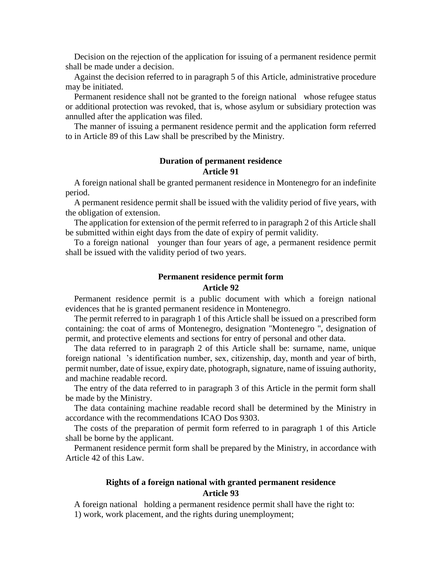Decision on the rejection of the application for issuing of a permanent residence permit shall be made under a decision.

Against the decision referred to in paragraph 5 of this Article, administrative procedure may be initiated.

Permanent residence shall not be granted to the foreign national whose refugee status or additional protection was revoked, that is, whose asylum or subsidiary protection was annulled after the application was filed.

The manner of issuing a permanent residence permit and the application form referred to in Article 89 of this Law shall be prescribed by the Ministry.

### **Duration of permanent residence Article 91**

A foreign national shall be granted permanent residence in Montenegro for an indefinite period.

A permanent residence permit shall be issued with the validity period of five years, with the obligation of extension.

The application for extension of the permit referred to in paragraph 2 of this Article shall be submitted within eight days from the date of expiry of permit validity.

To a foreign national younger than four years of age, a permanent residence permit shall be issued with the validity period of two years.

#### **Permanent residence permit form**

#### **Article 92**

Permanent residence permit is a public document with which a foreign national evidences that he is granted permanent residence in Montenegro.

The permit referred to in paragraph 1 of this Article shall be issued on a prescribed form containing: the coat of arms of Montenegro, designation "Montenegro ", designation of permit, and protective elements and sections for entry of personal and other data.

The data referred to in paragraph 2 of this Article shall be: surname, name, unique foreign national 's identification number, sex, citizenship, day, month and year of birth, permit number, date of issue, expiry date, photograph, signature, name of issuing authority, and machine readable record.

The entry of the data referred to in paragraph 3 of this Article in the permit form shall be made by the Ministry.

The data containing machine readable record shall be determined by the Ministry in accordance with the recommendations ICAO Dos 9303.

The costs of the preparation of permit form referred to in paragraph 1 of this Article shall be borne by the applicant.

Permanent residence permit form shall be prepared by the Ministry, in accordance with Article 42 of this Law.

### **Rights of a foreign national with granted permanent residence Article 93**

A foreign national holding a permanent residence permit shall have the right to: 1) work, work placement, and the rights during unemployment;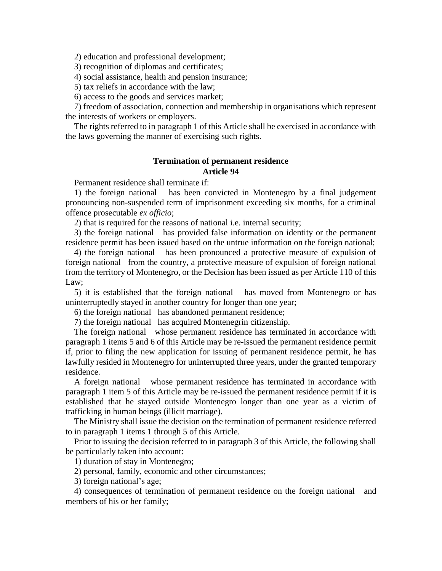2) education and professional development;

3) recognition of diplomas and certificates;

4) social assistance, health and pension insurance;

5) tax reliefs in accordance with the law;

6) access to the goods and services market;

7) freedom of association, connection and membership in organisations which represent the interests of workers or employers.

The rights referred to in paragraph 1 of this Article shall be exercised in accordance with the laws governing the manner of exercising such rights.

### **Termination of permanent residence Article 94**

Permanent residence shall terminate if:

1) the foreign national has been convicted in Montenegro by a final judgement pronouncing non-suspended term of imprisonment exceeding six months, for a criminal offence prosecutable *ex officio*;

2) that is required for the reasons of national i.e. internal security;

3) the foreign national has provided false information on identity or the permanent residence permit has been issued based on the untrue information on the foreign national;

4) the foreign national has been pronounced a protective measure of expulsion of foreign national from the country, a protective measure of expulsion of foreign national from the territory of Montenegro, or the Decision has been issued as per Article 110 of this Law;

5) it is established that the foreign national has moved from Montenegro or has uninterruptedly stayed in another country for longer than one year;

6) the foreign national has abandoned permanent residence;

7) the foreign national has acquired Montenegrin citizenship.

The foreign national whose permanent residence has terminated in accordance with paragraph 1 items 5 and 6 of this Article may be re-issued the permanent residence permit if, prior to filing the new application for issuing of permanent residence permit, he has lawfully resided in Montenegro for uninterrupted three years, under the granted temporary residence.

A foreign national whose permanent residence has terminated in accordance with paragraph 1 item 5 of this Article may be re-issued the permanent residence permit if it is established that he stayed outside Montenegro longer than one year as a victim of trafficking in human beings (illicit marriage).

The Ministry shall issue the decision on the termination of permanent residence referred to in paragraph 1 items 1 through 5 of this Article.

Prior to issuing the decision referred to in paragraph 3 of this Article, the following shall be particularly taken into account:

1) duration of stay in Montenegro;

2) personal, family, economic and other circumstances;

3) foreign national's age;

4) consequences of termination of permanent residence on the foreign national and members of his or her family;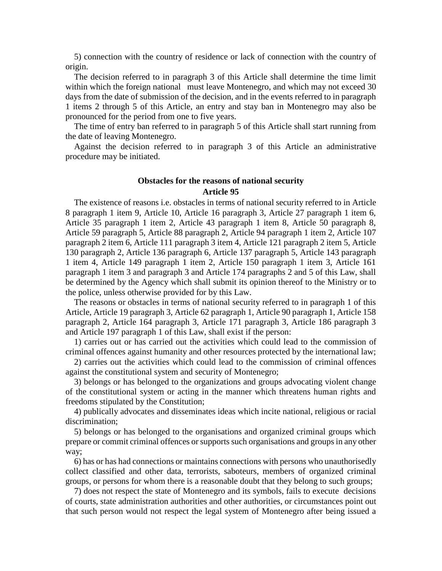5) connection with the country of residence or lack of connection with the country of origin.

The decision referred to in paragraph 3 of this Article shall determine the time limit within which the foreign national must leave Montenegro, and which may not exceed 30 days from the date of submission of the decision, and in the events referred to in paragraph 1 items 2 through 5 of this Article, an entry and stay ban in Montenegro may also be pronounced for the period from one to five years.

The time of entry ban referred to in paragraph 5 of this Article shall start running from the date of leaving Montenegro.

Against the decision referred to in paragraph 3 of this Article an administrative procedure may be initiated.

### **Obstacles for the reasons of national security Article 95**

The existence of reasons i.e. obstacles in terms of national security referred to in Article 8 paragraph 1 item 9, Article 10, Article 16 paragraph 3, Article 27 paragraph 1 item 6, Article 35 paragraph 1 item 2, Article 43 paragraph 1 item 8, Article 50 paragraph 8, Article 59 paragraph 5, Article 88 paragraph 2, Article 94 paragraph 1 item 2, Article 107 paragraph 2 item 6, Article 111 paragraph 3 item 4, Article 121 paragraph 2 item 5, Article 130 paragraph 2, Article 136 paragraph 6, Article 137 paragraph 5, Article 143 paragraph 1 item 4, Article 149 paragraph 1 item 2, Article 150 paragraph 1 item 3, Article 161 paragraph 1 item 3 and paragraph 3 and Article 174 paragraphs 2 and 5 of this Law, shall be determined by the Agency which shall submit its opinion thereof to the Ministry or to the police, unless otherwise provided for by this Law.

The reasons or obstacles in terms of national security referred to in paragraph 1 of this Article, Article 19 paragraph 3, Article 62 paragraph 1, Article 90 paragraph 1, Article 158 paragraph 2, Article 164 paragraph 3, Article 171 paragraph 3, Article 186 paragraph 3 and Article 197 paragraph 1 of this Law, shall exist if the person:

1) carries out or has carried out the activities which could lead to the commission of criminal offences against humanity and other resources protected by the international law;

2) carries out the activities which could lead to the commission of criminal offences against the constitutional system and security of Montenegro;

3) belongs or has belonged to the organizations and groups advocating violent change of the constitutional system or acting in the manner which threatens human rights and freedoms stipulated by the Constitution;

4) publically advocates and disseminates ideas which incite national, religious or racial discrimination;

5) belongs or has belonged to the organisations and organized criminal groups which prepare or commit criminal offences or supports such organisations and groups in any other way;

6) has or has had connections or maintains connections with persons who unauthorisedly collect classified and other data, terrorists, saboteurs, members of organized criminal groups, or persons for whom there is a reasonable doubt that they belong to such groups;

7) does not respect the state of Montenegro and its symbols, fails to execute decisions of courts, state administration authorities and other authorities, or circumstances point out that such person would not respect the legal system of Montenegro after being issued a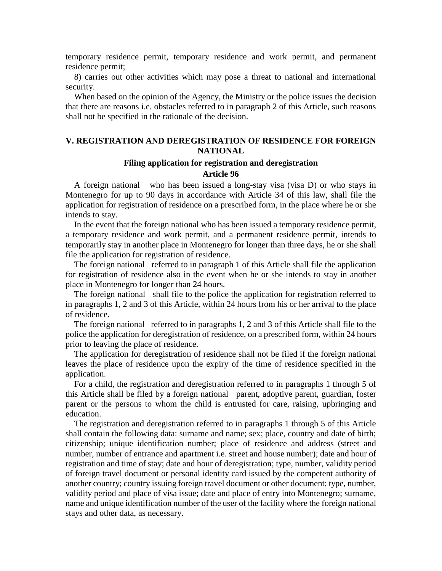temporary residence permit, temporary residence and work permit, and permanent residence permit;

8) carries out other activities which may pose a threat to national and international security.

When based on the opinion of the Agency, the Ministry or the police issues the decision that there are reasons i.e. obstacles referred to in paragraph 2 of this Article, such reasons shall not be specified in the rationale of the decision.

#### **V. REGISTRATION AND DEREGISTRATION OF RESIDENCE FOR FOREIGN NATIONAL**

#### **Filing application for registration and deregistration Article 96**

A foreign national who has been issued a long-stay visa (visa D) or who stays in Montenegro for up to 90 days in accordance with Article 34 of this law, shall file the application for registration of residence on a prescribed form, in the place where he or she intends to stay.

In the event that the foreign national who has been issued a temporary residence permit, a temporary residence and work permit, and a permanent residence permit, intends to temporarily stay in another place in Montenegro for longer than three days, he or she shall file the application for registration of residence.

The foreign national referred to in paragraph 1 of this Article shall file the application for registration of residence also in the event when he or she intends to stay in another place in Montenegro for longer than 24 hours.

The foreign national shall file to the police the application for registration referred to in paragraphs 1, 2 and 3 of this Article, within 24 hours from his or her arrival to the place of residence.

The foreign national referred to in paragraphs 1, 2 and 3 of this Article shall file to the police the application for deregistration of residence, on a prescribed form, within 24 hours prior to leaving the place of residence.

The application for deregistration of residence shall not be filed if the foreign national leaves the place of residence upon the expiry of the time of residence specified in the application.

For a child, the registration and deregistration referred to in paragraphs 1 through 5 of this Article shall be filed by a foreign national parent, adoptive parent, guardian, foster parent or the persons to whom the child is entrusted for care, raising, upbringing and education.

The registration and deregistration referred to in paragraphs 1 through 5 of this Article shall contain the following data: surname and name; sex; place, country and date of birth; citizenship; unique identification number; place of residence and address (street and number, number of entrance and apartment i.e. street and house number); date and hour of registration and time of stay; date and hour of deregistration; type, number, validity period of foreign travel document or personal identity card issued by the competent authority of another country; country issuing foreign travel document or other document; type, number, validity period and place of visa issue; date and place of entry into Montenegro; surname, name and unique identification number of the user of the facility where the foreign national stays and other data, as necessary.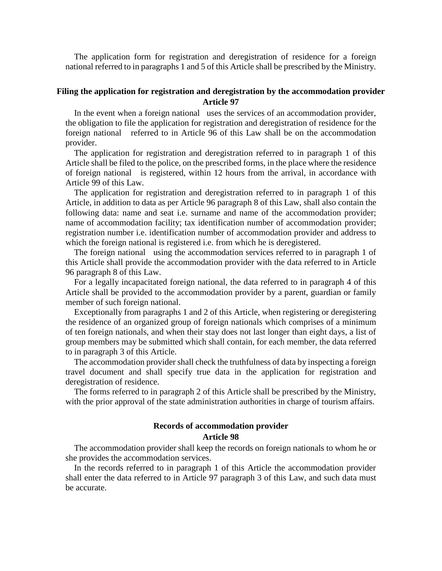The application form for registration and deregistration of residence for a foreign national referred to in paragraphs 1 and 5 of this Article shall be prescribed by the Ministry.

#### **Filing the application for registration and deregistration by the accommodation provider Article 97**

In the event when a foreign national uses the services of an accommodation provider, the obligation to file the application for registration and deregistration of residence for the foreign national referred to in Article 96 of this Law shall be on the accommodation provider.

The application for registration and deregistration referred to in paragraph 1 of this Article shall be filed to the police, on the prescribed forms, in the place where the residence of foreign national is registered, within 12 hours from the arrival, in accordance with Article 99 of this Law.

The application for registration and deregistration referred to in paragraph 1 of this Article, in addition to data as per Article 96 paragraph 8 of this Law, shall also contain the following data: name and seat i.e. surname and name of the accommodation provider; name of accommodation facility; tax identification number of accommodation provider; registration number i.e. identification number of accommodation provider and address to which the foreign national is registered i.e. from which he is deregistered.

The foreign national using the accommodation services referred to in paragraph 1 of this Article shall provide the accommodation provider with the data referred to in Article 96 paragraph 8 of this Law.

For a legally incapacitated foreign national, the data referred to in paragraph 4 of this Article shall be provided to the accommodation provider by a parent, guardian or family member of such foreign national.

Exceptionally from paragraphs 1 and 2 of this Article, when registering or deregistering the residence of an organized group of foreign nationals which comprises of a minimum of ten foreign nationals, and when their stay does not last longer than eight days, a list of group members may be submitted which shall contain, for each member, the data referred to in paragraph 3 of this Article.

The accommodation provider shall check the truthfulness of data by inspecting a foreign travel document and shall specify true data in the application for registration and deregistration of residence.

The forms referred to in paragraph 2 of this Article shall be prescribed by the Ministry, with the prior approval of the state administration authorities in charge of tourism affairs.

#### **Records of accommodation provider Article 98**

The accommodation provider shall keep the records on foreign nationals to whom he or she provides the accommodation services.

In the records referred to in paragraph 1 of this Article the accommodation provider shall enter the data referred to in Article 97 paragraph 3 of this Law, and such data must be accurate.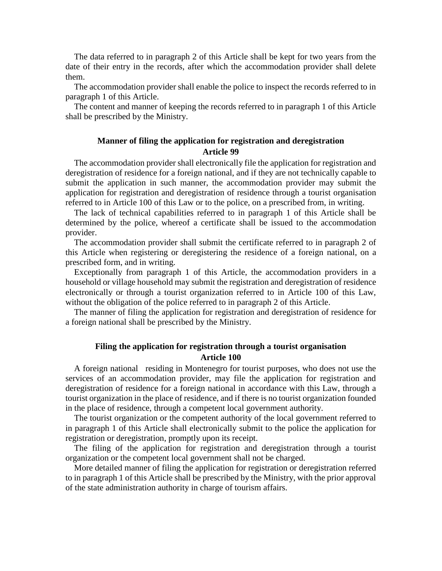The data referred to in paragraph 2 of this Article shall be kept for two years from the date of their entry in the records, after which the accommodation provider shall delete them.

The accommodation provider shall enable the police to inspect the records referred to in paragraph 1 of this Article.

The content and manner of keeping the records referred to in paragraph 1 of this Article shall be prescribed by the Ministry.

### **Manner of filing the application for registration and deregistration Article 99**

The accommodation provider shall electronically file the application for registration and deregistration of residence for a foreign national, and if they are not technically capable to submit the application in such manner, the accommodation provider may submit the application for registration and deregistration of residence through a tourist organisation referred to in Article 100 of this Law or to the police, on a prescribed from, in writing.

The lack of technical capabilities referred to in paragraph 1 of this Article shall be determined by the police, whereof a certificate shall be issued to the accommodation provider.

The accommodation provider shall submit the certificate referred to in paragraph 2 of this Article when registering or deregistering the residence of a foreign national, on a prescribed form, and in writing.

Exceptionally from paragraph 1 of this Article, the accommodation providers in a household or village household may submit the registration and deregistration of residence electronically or through a tourist organization referred to in Article 100 of this Law, without the obligation of the police referred to in paragraph 2 of this Article.

The manner of filing the application for registration and deregistration of residence for a foreign national shall be prescribed by the Ministry.

### **Filing the application for registration through a tourist organisation Article 100**

A foreign national residing in Montenegro for tourist purposes, who does not use the services of an accommodation provider, may file the application for registration and deregistration of residence for a foreign national in accordance with this Law, through a tourist organization in the place of residence, and if there is no tourist organization founded in the place of residence, through a competent local government authority.

The tourist organization or the competent authority of the local government referred to in paragraph 1 of this Article shall electronically submit to the police the application for registration or deregistration, promptly upon its receipt.

The filing of the application for registration and deregistration through a tourist organization or the competent local government shall not be charged.

More detailed manner of filing the application for registration or deregistration referred to in paragraph 1 of this Article shall be prescribed by the Ministry, with the prior approval of the state administration authority in charge of tourism affairs.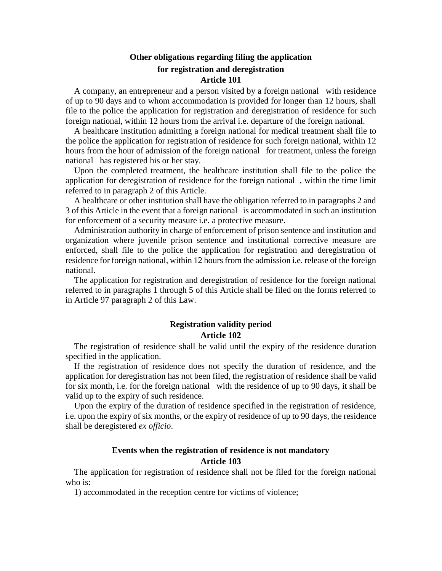### **Other obligations regarding filing the application for registration and deregistration Article 101**

A company, an entrepreneur and a person visited by a foreign national with residence of up to 90 days and to whom accommodation is provided for longer than 12 hours, shall file to the police the application for registration and deregistration of residence for such foreign national, within 12 hours from the arrival i.e. departure of the foreign national.

A healthcare institution admitting a foreign national for medical treatment shall file to the police the application for registration of residence for such foreign national, within 12 hours from the hour of admission of the foreign national for treatment, unless the foreign national has registered his or her stay.

Upon the completed treatment, the healthcare institution shall file to the police the application for deregistration of residence for the foreign national , within the time limit referred to in paragraph 2 of this Article.

A healthcare or other institution shall have the obligation referred to in paragraphs 2 and 3 of this Article in the event that a foreign national is accommodated in such an institution for enforcement of a security measure i.e. a protective measure.

Administration authority in charge of enforcement of prison sentence and institution and organization where juvenile prison sentence and institutional corrective measure are enforced, shall file to the police the application for registration and deregistration of residence for foreign national, within 12 hours from the admission i.e. release of the foreign national.

The application for registration and deregistration of residence for the foreign national referred to in paragraphs 1 through 5 of this Article shall be filed on the forms referred to in Article 97 paragraph 2 of this Law.

### **Registration validity period Article 102**

The registration of residence shall be valid until the expiry of the residence duration specified in the application.

If the registration of residence does not specify the duration of residence, and the application for deregistration has not been filed, the registration of residence shall be valid for six month, i.e. for the foreign national with the residence of up to 90 days, it shall be valid up to the expiry of such residence.

Upon the expiry of the duration of residence specified in the registration of residence, i.e. upon the expiry of six months, or the expiry of residence of up to 90 days, the residence shall be deregistered *ex officio*.

### **Events when the registration of residence is not mandatory Article 103**

The application for registration of residence shall not be filed for the foreign national who is:

1) accommodated in the reception centre for victims of violence;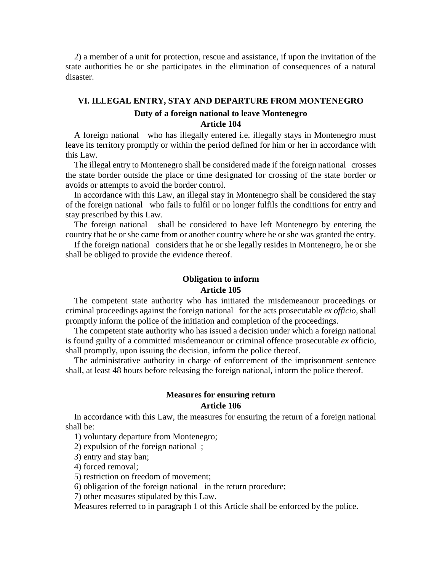2) a member of a unit for protection, rescue and assistance, if upon the invitation of the state authorities he or she participates in the elimination of consequences of a natural disaster.

## **VI. ILLEGAL ENTRY, STAY AND DEPARTURE FROM MONTENEGRO Duty of a foreign national to leave Montenegro Article 104**

A foreign national who has illegally entered i.e. illegally stays in Montenegro must leave its territory promptly or within the period defined for him or her in accordance with this Law.

The illegal entry to Montenegro shall be considered made if the foreign national crosses the state border outside the place or time designated for crossing of the state border or avoids or attempts to avoid the border control.

In accordance with this Law, an illegal stay in Montenegro shall be considered the stay of the foreign national who fails to fulfil or no longer fulfils the conditions for entry and stay prescribed by this Law.

The foreign national shall be considered to have left Montenegro by entering the country that he or she came from or another country where he or she was granted the entry.

If the foreign national considers that he or she legally resides in Montenegro, he or she shall be obliged to provide the evidence thereof.

#### **Obligation to inform Article 105**

The competent state authority who has initiated the misdemeanour proceedings or criminal proceedings against the foreign national for the acts prosecutable *ex officio,* shall promptly inform the police of the initiation and completion of the proceedings.

The competent state authority who has issued a decision under which a foreign national is found guilty of a committed misdemeanour or criminal offence prosecutable *ex* officio, shall promptly, upon issuing the decision, inform the police thereof.

The administrative authority in charge of enforcement of the imprisonment sentence shall, at least 48 hours before releasing the foreign national, inform the police thereof.

### **Measures for ensuring return Article 106**

In accordance with this Law, the measures for ensuring the return of a foreign national shall be:

1) voluntary departure from Montenegro;

2) expulsion of the foreign national ;

3) entry and stay ban;

4) forced removal;

5) restriction on freedom of movement;

6) obligation of the foreign national in the return procedure;

7) other measures stipulated by this Law.

Measures referred to in paragraph 1 of this Article shall be enforced by the police.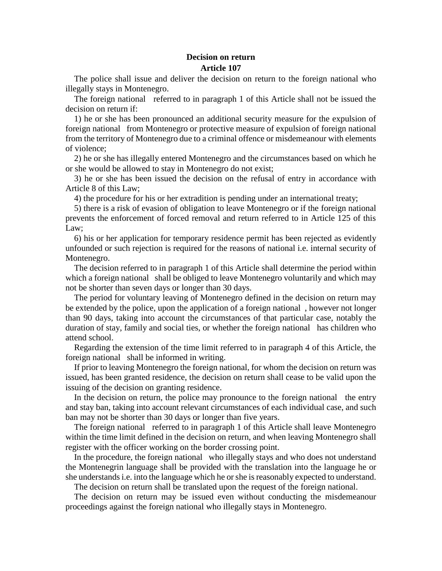### **Decision on return Article 107**

The police shall issue and deliver the decision on return to the foreign national who illegally stays in Montenegro.

The foreign national referred to in paragraph 1 of this Article shall not be issued the decision on return if:

1) he or she has been pronounced an additional security measure for the expulsion of foreign national from Montenegro or protective measure of expulsion of foreign national from the territory of Montenegro due to a criminal offence or misdemeanour with elements of violence;

2) he or she has illegally entered Montenegro and the circumstances based on which he or she would be allowed to stay in Montenegro do not exist;

3) he or she has been issued the decision on the refusal of entry in accordance with Article 8 of this Law;

4) the procedure for his or her extradition is pending under an international treaty;

5) there is a risk of evasion of obligation to leave Montenegro or if the foreign national prevents the enforcement of forced removal and return referred to in Article 125 of this Law;

6) his or her application for temporary residence permit has been rejected as evidently unfounded or such rejection is required for the reasons of national i.e. internal security of Montenegro.

The decision referred to in paragraph 1 of this Article shall determine the period within which a foreign national shall be obliged to leave Montenegro voluntarily and which may not be shorter than seven days or longer than 30 days.

The period for voluntary leaving of Montenegro defined in the decision on return may be extended by the police, upon the application of a foreign national , however not longer than 90 days, taking into account the circumstances of that particular case, notably the duration of stay, family and social ties, or whether the foreign national has children who attend school.

Regarding the extension of the time limit referred to in paragraph 4 of this Article, the foreign national shall be informed in writing.

If prior to leaving Montenegro the foreign national, for whom the decision on return was issued, has been granted residence, the decision on return shall cease to be valid upon the issuing of the decision on granting residence.

In the decision on return, the police may pronounce to the foreign national the entry and stay ban, taking into account relevant circumstances of each individual case, and such ban may not be shorter than 30 days or longer than five years.

The foreign national referred to in paragraph 1 of this Article shall leave Montenegro within the time limit defined in the decision on return, and when leaving Montenegro shall register with the officer working on the border crossing point.

In the procedure, the foreign national who illegally stays and who does not understand the Montenegrin language shall be provided with the translation into the language he or she understands i.e. into the language which he or she is reasonably expected to understand.

The decision on return shall be translated upon the request of the foreign national.

The decision on return may be issued even without conducting the misdemeanour proceedings against the foreign national who illegally stays in Montenegro.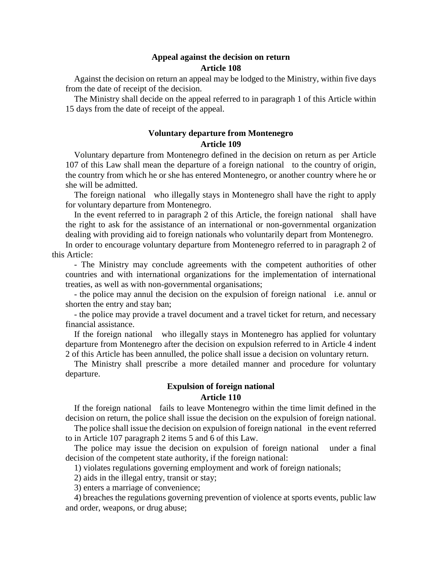#### **Appeal against the decision on return Article 108**

Against the decision on return an appeal may be lodged to the Ministry, within five days from the date of receipt of the decision.

The Ministry shall decide on the appeal referred to in paragraph 1 of this Article within 15 days from the date of receipt of the appeal.

### **Voluntary departure from Montenegro Article 109**

Voluntary departure from Montenegro defined in the decision on return as per Article 107 of this Law shall mean the departure of a foreign national to the country of origin, the country from which he or she has entered Montenegro, or another country where he or she will be admitted.

The foreign national who illegally stays in Montenegro shall have the right to apply for voluntary departure from Montenegro.

In the event referred to in paragraph 2 of this Article, the foreign national shall have the right to ask for the assistance of an international or non-governmental organization dealing with providing aid to foreign nationals who voluntarily depart from Montenegro.

In order to encourage voluntary departure from Montenegro referred to in paragraph 2 of this Article:

- The Ministry may conclude agreements with the competent authorities of other countries and with international organizations for the implementation of international treaties, as well as with non-governmental organisations;

- the police may annul the decision on the expulsion of foreign national i.e. annul or shorten the entry and stay ban;

- the police may provide a travel document and a travel ticket for return, and necessary financial assistance.

If the foreign national who illegally stays in Montenegro has applied for voluntary departure from Montenegro after the decision on expulsion referred to in Article 4 indent 2 of this Article has been annulled, the police shall issue a decision on voluntary return.

The Ministry shall prescribe a more detailed manner and procedure for voluntary departure.

### **Expulsion of foreign national Article 110**

If the foreign national fails to leave Montenegro within the time limit defined in the decision on return, the police shall issue the decision on the expulsion of foreign national.

The police shall issue the decision on expulsion of foreign national in the event referred to in Article 107 paragraph 2 items 5 and 6 of this Law.

The police may issue the decision on expulsion of foreign national under a final decision of the competent state authority, if the foreign national:

1) violates regulations governing employment and work of foreign nationals;

2) aids in the illegal entry, transit or stay;

3) enters a marriage of convenience;

4) breaches the regulations governing prevention of violence at sports events, public law and order, weapons, or drug abuse;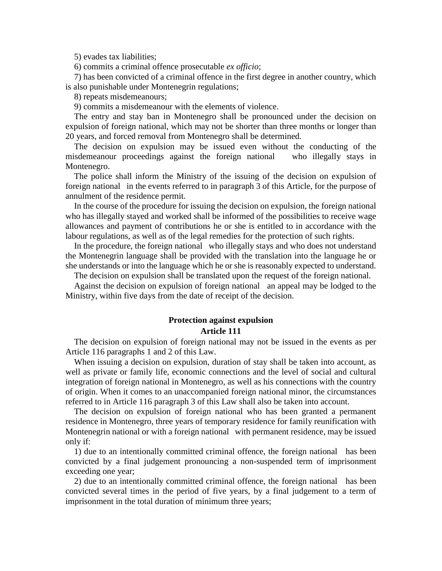5) evades tax liabilities;

6) commits a criminal offence prosecutable *ex officio*;

7) has been convicted of a criminal offence in the first degree in another country, which is also punishable under Montenegrin regulations;

8) repeats misdemeanours;

9) commits a misdemeanour with the elements of violence.

The entry and stay ban in Montenegro shall be pronounced under the decision on expulsion of foreign national, which may not be shorter than three months or longer than 20 years, and forced removal from Montenegro shall be determined.

The decision on expulsion may be issued even without the conducting of the misdemeanour proceedings against the foreign national who illegally stays in Montenegro.

The police shall inform the Ministry of the issuing of the decision on expulsion of foreign national in the events referred to in paragraph 3 of this Article, for the purpose of annulment of the residence permit.

In the course of the procedure for issuing the decision on expulsion, the foreign national who has illegally stayed and worked shall be informed of the possibilities to receive wage allowances and payment of contributions he or she is entitled to in accordance with the labour regulations, as well as of the legal remedies for the protection of such rights.

In the procedure, the foreign national who illegally stays and who does not understand the Montenegrin language shall be provided with the translation into the language he or she understands or into the language which he or she is reasonably expected to understand.

The decision on expulsion shall be translated upon the request of the foreign national.

Against the decision on expulsion of foreign national an appeal may be lodged to the Ministry, within five days from the date of receipt of the decision.

#### **Protection against expulsion Article 111**

The decision on expulsion of foreign national may not be issued in the events as per Article 116 paragraphs 1 and 2 of this Law.

When issuing a decision on expulsion, duration of stay shall be taken into account, as well as private or family life, economic connections and the level of social and cultural integration of foreign national in Montenegro, as well as his connections with the country of origin. When it comes to an unaccompanied foreign national minor, the circumstances referred to in Article 116 paragraph 3 of this Law shall also be taken into account.

The decision on expulsion of foreign national who has been granted a permanent residence in Montenegro, three years of temporary residence for family reunification with Montenegrin national or with a foreign national with permanent residence, may be issued only if:

1) due to an intentionally committed criminal offence, the foreign national has been convicted by a final judgement pronouncing a non-suspended term of imprisonment exceeding one year;

2) due to an intentionally committed criminal offence, the foreign national has been convicted several times in the period of five years, by a final judgement to a term of imprisonment in the total duration of minimum three years;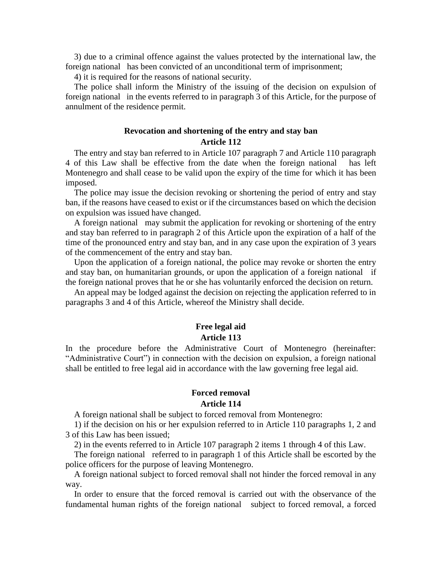3) due to a criminal offence against the values protected by the international law, the foreign national has been convicted of an unconditional term of imprisonment;

4) it is required for the reasons of national security.

The police shall inform the Ministry of the issuing of the decision on expulsion of foreign national in the events referred to in paragraph 3 of this Article, for the purpose of annulment of the residence permit.

### **Revocation and shortening of the entry and stay ban Article 112**

The entry and stay ban referred to in Article 107 paragraph 7 and Article 110 paragraph 4 of this Law shall be effective from the date when the foreign national has left Montenegro and shall cease to be valid upon the expiry of the time for which it has been imposed.

The police may issue the decision revoking or shortening the period of entry and stay ban, if the reasons have ceased to exist or if the circumstances based on which the decision on expulsion was issued have changed.

A foreign national may submit the application for revoking or shortening of the entry and stay ban referred to in paragraph 2 of this Article upon the expiration of a half of the time of the pronounced entry and stay ban, and in any case upon the expiration of 3 years of the commencement of the entry and stay ban.

Upon the application of a foreign national, the police may revoke or shorten the entry and stay ban, on humanitarian grounds, or upon the application of a foreign national if the foreign national proves that he or she has voluntarily enforced the decision on return.

An appeal may be lodged against the decision on rejecting the application referred to in paragraphs 3 and 4 of this Article, whereof the Ministry shall decide.

### **Free legal aid Article 113**

In the procedure before the Administrative Court of Montenegro (hereinafter: "Administrative Court") in connection with the decision on expulsion, a foreign national shall be entitled to free legal aid in accordance with the law governing free legal aid.

#### **Forced removal Article 114**

A foreign national shall be subject to forced removal from Montenegro:

1) if the decision on his or her expulsion referred to in Article 110 paragraphs 1, 2 and 3 of this Law has been issued;

2) in the events referred to in Article 107 paragraph 2 items 1 through 4 of this Law.

The foreign national referred to in paragraph 1 of this Article shall be escorted by the police officers for the purpose of leaving Montenegro.

A foreign national subject to forced removal shall not hinder the forced removal in any way.

In order to ensure that the forced removal is carried out with the observance of the fundamental human rights of the foreign national subject to forced removal, a forced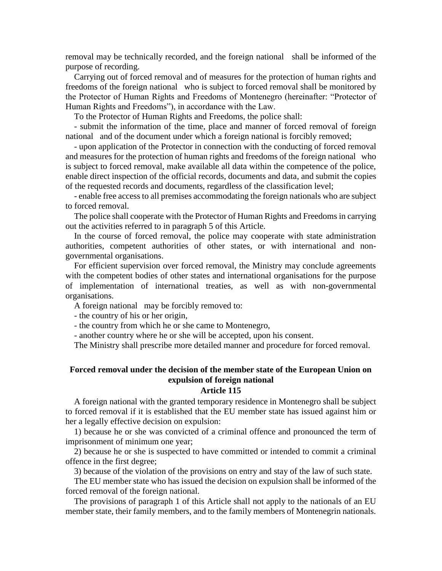removal may be technically recorded, and the foreign national shall be informed of the purpose of recording.

Carrying out of forced removal and of measures for the protection of human rights and freedoms of the foreign national who is subject to forced removal shall be monitored by the Protector of Human Rights and Freedoms of Montenegro (hereinafter: "Protector of Human Rights and Freedoms"), in accordance with the Law.

To the Protector of Human Rights and Freedoms, the police shall:

- submit the information of the time, place and manner of forced removal of foreign national and of the document under which a foreign national is forcibly removed;

- upon application of the Protector in connection with the conducting of forced removal and measures for the protection of human rights and freedoms of the foreign national who is subject to forced removal, make available all data within the competence of the police, enable direct inspection of the official records, documents and data, and submit the copies of the requested records and documents, regardless of the classification level;

- enable free access to all premises accommodating the foreign nationals who are subject to forced removal.

The police shall cooperate with the Protector of Human Rights and Freedoms in carrying out the activities referred to in paragraph 5 of this Article.

In the course of forced removal, the police may cooperate with state administration authorities, competent authorities of other states, or with international and nongovernmental organisations.

For efficient supervision over forced removal, the Ministry may conclude agreements with the competent bodies of other states and international organisations for the purpose of implementation of international treaties, as well as with non-governmental organisations.

A foreign national may be forcibly removed to:

- the country of his or her origin,

- the country from which he or she came to Montenegro,

- another country where he or she will be accepted, upon his consent.

The Ministry shall prescribe more detailed manner and procedure for forced removal.

## **Forced removal under the decision of the member state of the European Union on expulsion of foreign national**

### **Article 115**

A foreign national with the granted temporary residence in Montenegro shall be subject to forced removal if it is established that the EU member state has issued against him or her a legally effective decision on expulsion:

1) because he or she was convicted of a criminal offence and pronounced the term of imprisonment of minimum one year;

2) because he or she is suspected to have committed or intended to commit a criminal offence in the first degree;

3) because of the violation of the provisions on entry and stay of the law of such state.

The EU member state who has issued the decision on expulsion shall be informed of the forced removal of the foreign national.

The provisions of paragraph 1 of this Article shall not apply to the nationals of an EU member state, their family members, and to the family members of Montenegrin nationals.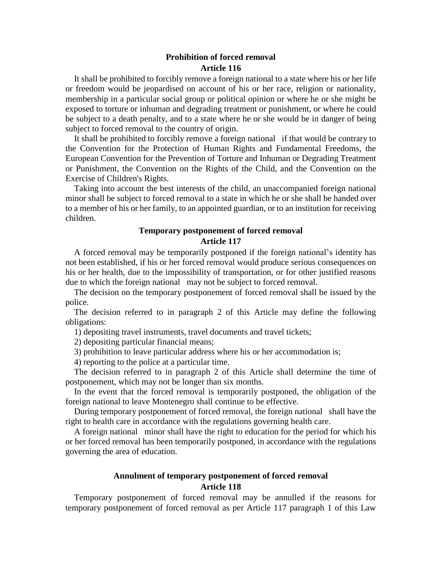### **Prohibition of forced removal Article 116**

It shall be prohibited to forcibly remove a foreign national to a state where his or her life or freedom would be jeopardised on account of his or her race, religion or nationality, membership in a particular social group or political opinion or where he or she might be exposed to torture or inhuman and degrading treatment or punishment, or where he could be subject to a death penalty, and to a state where he or she would be in danger of being subject to forced removal to the country of origin.

It shall be prohibited to forcibly remove a foreign national if that would be contrary to the Convention for the Protection of Human Rights and Fundamental Freedoms, the European Convention for the Prevention of Torture and Inhuman or Degrading Treatment or Punishment, the Convention on the Rights of the Child, and the Convention on the Exercise of Children's Rights.

Taking into account the best interests of the child, an unaccompanied foreign national minor shall be subject to forced removal to a state in which he or she shall be handed over to a member of his or her family, to an appointed guardian, or to an institution for receiving children.

### **Temporary postponement of forced removal Article 117**

A forced removal may be temporarily postponed if the foreign national's identity has not been established, if his or her forced removal would produce serious consequences on his or her health, due to the impossibility of transportation, or for other justified reasons due to which the foreign national may not be subject to forced removal.

The decision on the temporary postponement of forced removal shall be issued by the police.

The decision referred to in paragraph 2 of this Article may define the following obligations:

1) depositing travel instruments, travel documents and travel tickets;

2) depositing particular financial means;

3) prohibition to leave particular address where his or her accommodation is;

4) reporting to the police at a particular time.

The decision referred to in paragraph 2 of this Article shall determine the time of postponement, which may not be longer than six months.

In the event that the forced removal is temporarily postponed, the obligation of the foreign national to leave Montenegro shall continue to be effective.

During temporary postponement of forced removal, the foreign national shall have the right to health care in accordance with the regulations governing health care.

A foreign national minor shall have the right to education for the period for which his or her forced removal has been temporarily postponed, in accordance with the regulations governing the area of education.

### **Annulment of temporary postponement of forced removal Article 118**

Temporary postponement of forced removal may be annulled if the reasons for temporary postponement of forced removal as per Article 117 paragraph 1 of this Law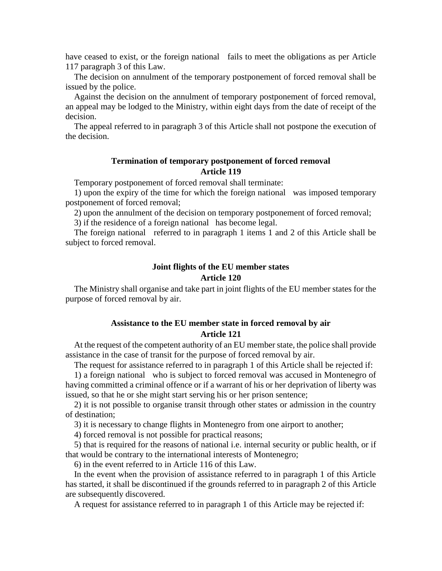have ceased to exist, or the foreign national fails to meet the obligations as per Article 117 paragraph 3 of this Law.

The decision on annulment of the temporary postponement of forced removal shall be issued by the police.

Against the decision on the annulment of temporary postponement of forced removal, an appeal may be lodged to the Ministry, within eight days from the date of receipt of the decision.

The appeal referred to in paragraph 3 of this Article shall not postpone the execution of the decision.

### **Termination of temporary postponement of forced removal Article 119**

Temporary postponement of forced removal shall terminate:

1) upon the expiry of the time for which the foreign national was imposed temporary postponement of forced removal;

2) upon the annulment of the decision on temporary postponement of forced removal;

3) if the residence of a foreign national has become legal.

The foreign national referred to in paragraph 1 items 1 and 2 of this Article shall be subject to forced removal.

### **Joint flights of the EU member states Article 120**

The Ministry shall organise and take part in joint flights of the EU member states for the purpose of forced removal by air.

### **Assistance to the EU member state in forced removal by air Article 121**

At the request of the competent authority of an EU member state, the police shall provide assistance in the case of transit for the purpose of forced removal by air.

The request for assistance referred to in paragraph 1 of this Article shall be rejected if:

1) a foreign national who is subject to forced removal was accused in Montenegro of having committed a criminal offence or if a warrant of his or her deprivation of liberty was issued, so that he or she might start serving his or her prison sentence;

2) it is not possible to organise transit through other states or admission in the country of destination;

3) it is necessary to change flights in Montenegro from one airport to another;

4) forced removal is not possible for practical reasons;

5) that is required for the reasons of national i.e. internal security or public health, or if that would be contrary to the international interests of Montenegro;

6) in the event referred to in Article 116 of this Law.

In the event when the provision of assistance referred to in paragraph 1 of this Article has started, it shall be discontinued if the grounds referred to in paragraph 2 of this Article are subsequently discovered.

A request for assistance referred to in paragraph 1 of this Article may be rejected if: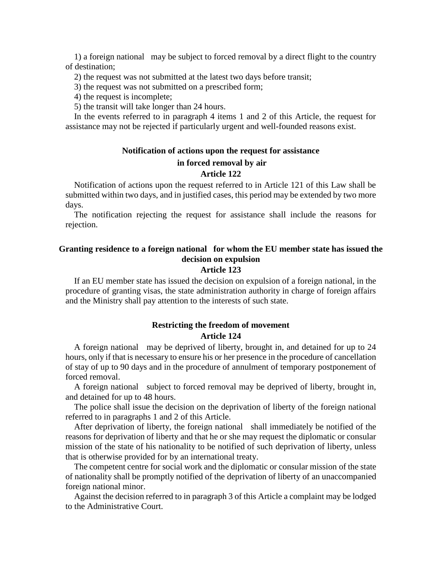1) a foreign national may be subject to forced removal by a direct flight to the country of destination;

2) the request was not submitted at the latest two days before transit;

3) the request was not submitted on a prescribed form;

4) the request is incomplete;

5) the transit will take longer than 24 hours.

In the events referred to in paragraph 4 items 1 and 2 of this Article, the request for assistance may not be rejected if particularly urgent and well-founded reasons exist.

#### **Notification of actions upon the request for assistance**

#### **in forced removal by air**

#### **Article 122**

Notification of actions upon the request referred to in Article 121 of this Law shall be submitted within two days, and in justified cases, this period may be extended by two more days.

The notification rejecting the request for assistance shall include the reasons for rejection.

## **Granting residence to a foreign national for whom the EU member state has issued the decision on expulsion**

### **Article 123**

If an EU member state has issued the decision on expulsion of a foreign national, in the procedure of granting visas, the state administration authority in charge of foreign affairs and the Ministry shall pay attention to the interests of such state.

### **Restricting the freedom of movement Article 124**

A foreign national may be deprived of liberty, brought in, and detained for up to 24 hours, only if that is necessary to ensure his or her presence in the procedure of cancellation of stay of up to 90 days and in the procedure of annulment of temporary postponement of forced removal.

A foreign national subject to forced removal may be deprived of liberty, brought in, and detained for up to 48 hours.

The police shall issue the decision on the deprivation of liberty of the foreign national referred to in paragraphs 1 and 2 of this Article.

After deprivation of liberty, the foreign national shall immediately be notified of the reasons for deprivation of liberty and that he or she may request the diplomatic or consular mission of the state of his nationality to be notified of such deprivation of liberty, unless that is otherwise provided for by an international treaty.

The competent centre for social work and the diplomatic or consular mission of the state of nationality shall be promptly notified of the deprivation of liberty of an unaccompanied foreign national minor.

Against the decision referred to in paragraph 3 of this Article a complaint may be lodged to the Administrative Court.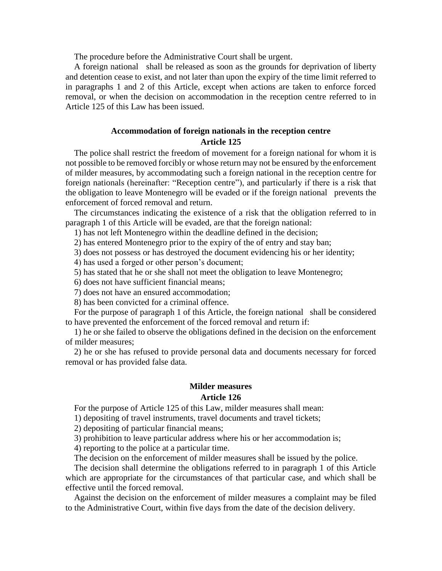The procedure before the Administrative Court shall be urgent.

A foreign national shall be released as soon as the grounds for deprivation of liberty and detention cease to exist, and not later than upon the expiry of the time limit referred to in paragraphs 1 and 2 of this Article, except when actions are taken to enforce forced removal, or when the decision on accommodation in the reception centre referred to in Article 125 of this Law has been issued.

### **Accommodation of foreign nationals in the reception centre Article 125**

The police shall restrict the freedom of movement for a foreign national for whom it is not possible to be removed forcibly or whose return may not be ensured by the enforcement of milder measures, by accommodating such a foreign national in the reception centre for foreign nationals (hereinafter: "Reception centre"), and particularly if there is a risk that the obligation to leave Montenegro will be evaded or if the foreign national prevents the enforcement of forced removal and return.

The circumstances indicating the existence of a risk that the obligation referred to in paragraph 1 of this Article will be evaded, are that the foreign national:

1) has not left Montenegro within the deadline defined in the decision;

2) has entered Montenegro prior to the expiry of the of entry and stay ban;

3) does not possess or has destroyed the document evidencing his or her identity;

4) has used a forged or other person's document;

5) has stated that he or she shall not meet the obligation to leave Montenegro;

6) does not have sufficient financial means;

7) does not have an ensured accommodation;

8) has been convicted for a criminal offence.

For the purpose of paragraph 1 of this Article, the foreign national shall be considered to have prevented the enforcement of the forced removal and return if:

1) he or she failed to observe the obligations defined in the decision on the enforcement of milder measures;

2) he or she has refused to provide personal data and documents necessary for forced removal or has provided false data.

### **Milder measures Article 126**

For the purpose of Article 125 of this Law, milder measures shall mean:

1) depositing of travel instruments, travel documents and travel tickets;

2) depositing of particular financial means;

3) prohibition to leave particular address where his or her accommodation is;

4) reporting to the police at a particular time.

The decision on the enforcement of milder measures shall be issued by the police.

The decision shall determine the obligations referred to in paragraph 1 of this Article which are appropriate for the circumstances of that particular case, and which shall be effective until the forced removal.

Against the decision on the enforcement of milder measures a complaint may be filed to the Administrative Court, within five days from the date of the decision delivery.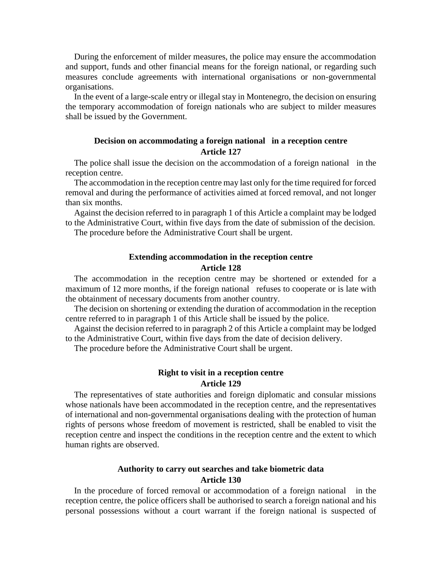During the enforcement of milder measures, the police may ensure the accommodation and support, funds and other financial means for the foreign national, or regarding such measures conclude agreements with international organisations or non-governmental organisations.

In the event of a large-scale entry or illegal stay in Montenegro, the decision on ensuring the temporary accommodation of foreign nationals who are subject to milder measures shall be issued by the Government.

### **Decision on accommodating a foreign national in a reception centre Article 127**

The police shall issue the decision on the accommodation of a foreign national in the reception centre.

The accommodation in the reception centre may last only for the time required for forced removal and during the performance of activities aimed at forced removal, and not longer than six months.

Against the decision referred to in paragraph 1 of this Article a complaint may be lodged to the Administrative Court, within five days from the date of submission of the decision.

The procedure before the Administrative Court shall be urgent.

### **Extending accommodation in the reception centre Article 128**

The accommodation in the reception centre may be shortened or extended for a maximum of 12 more months, if the foreign national refuses to cooperate or is late with the obtainment of necessary documents from another country.

The decision on shortening or extending the duration of accommodation in the reception centre referred to in paragraph 1 of this Article shall be issued by the police.

Against the decision referred to in paragraph 2 of this Article a complaint may be lodged to the Administrative Court, within five days from the date of decision delivery.

The procedure before the Administrative Court shall be urgent.

### **Right to visit in a reception centre Article 129**

The representatives of state authorities and foreign diplomatic and consular missions whose nationals have been accommodated in the reception centre, and the representatives of international and non-governmental organisations dealing with the protection of human rights of persons whose freedom of movement is restricted, shall be enabled to visit the reception centre and inspect the conditions in the reception centre and the extent to which human rights are observed.

### **Authority to carry out searches and take biometric data Article 130**

In the procedure of forced removal or accommodation of a foreign national in the reception centre, the police officers shall be authorised to search a foreign national and his personal possessions without a court warrant if the foreign national is suspected of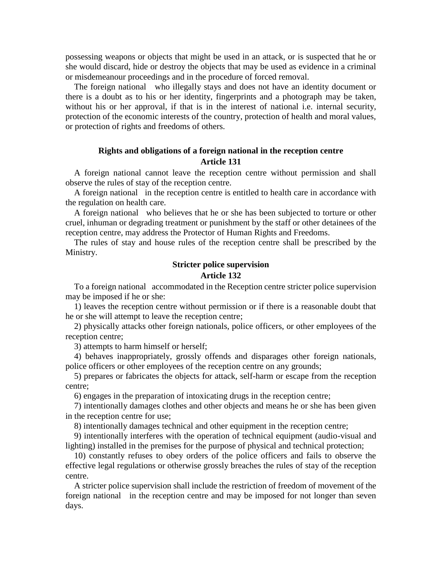possessing weapons or objects that might be used in an attack, or is suspected that he or she would discard, hide or destroy the objects that may be used as evidence in a criminal or misdemeanour proceedings and in the procedure of forced removal.

The foreign national who illegally stays and does not have an identity document or there is a doubt as to his or her identity, fingerprints and a photograph may be taken, without his or her approval, if that is in the interest of national i.e. internal security, protection of the economic interests of the country, protection of health and moral values, or protection of rights and freedoms of others.

### **Rights and obligations of a foreign national in the reception centre Article 131**

A foreign national cannot leave the reception centre without permission and shall observe the rules of stay of the reception centre.

A foreign national in the reception centre is entitled to health care in accordance with the regulation on health care.

A foreign national who believes that he or she has been subjected to torture or other cruel, inhuman or degrading treatment or punishment by the staff or other detainees of the reception centre, may address the Protector of Human Rights and Freedoms.

The rules of stay and house rules of the reception centre shall be prescribed by the Ministry.

## **Stricter police supervision Article 132**

To a foreign national accommodated in the Reception centre stricter police supervision may be imposed if he or she:

1) leaves the reception centre without permission or if there is a reasonable doubt that he or she will attempt to leave the reception centre;

2) physically attacks other foreign nationals, police officers, or other employees of the reception centre;

3) attempts to harm himself or herself;

4) behaves inappropriately, grossly offends and disparages other foreign nationals, police officers or other employees of the reception centre on any grounds;

5) prepares or fabricates the objects for attack, self-harm or escape from the reception centre;

6) engages in the preparation of intoxicating drugs in the reception centre;

7) intentionally damages clothes and other objects and means he or she has been given in the reception centre for use;

8) intentionally damages technical and other equipment in the reception centre;

9) intentionally interferes with the operation of technical equipment (audio-visual and lighting) installed in the premises for the purpose of physical and technical protection;

10) constantly refuses to obey orders of the police officers and fails to observe the effective legal regulations or otherwise grossly breaches the rules of stay of the reception centre.

A stricter police supervision shall include the restriction of freedom of movement of the foreign national in the reception centre and may be imposed for not longer than seven days.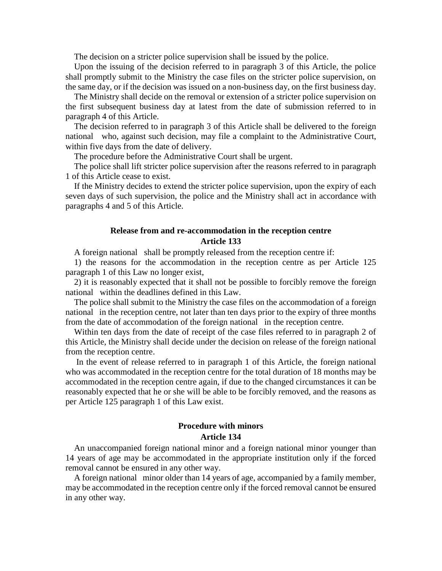The decision on a stricter police supervision shall be issued by the police.

Upon the issuing of the decision referred to in paragraph 3 of this Article, the police shall promptly submit to the Ministry the case files on the stricter police supervision, on the same day, or if the decision was issued on a non-business day, on the first business day.

The Ministry shall decide on the removal or extension of a stricter police supervision on the first subsequent business day at latest from the date of submission referred to in paragraph 4 of this Article.

The decision referred to in paragraph 3 of this Article shall be delivered to the foreign national who, against such decision, may file a complaint to the Administrative Court, within five days from the date of delivery.

The procedure before the Administrative Court shall be urgent.

The police shall lift stricter police supervision after the reasons referred to in paragraph 1 of this Article cease to exist.

If the Ministry decides to extend the stricter police supervision, upon the expiry of each seven days of such supervision, the police and the Ministry shall act in accordance with paragraphs 4 and 5 of this Article.

### **Release from and re-accommodation in the reception centre Article 133**

A foreign national shall be promptly released from the reception centre if:

1) the reasons for the accommodation in the reception centre as per Article 125 paragraph 1 of this Law no longer exist,

2) it is reasonably expected that it shall not be possible to forcibly remove the foreign national within the deadlines defined in this Law.

The police shall submit to the Ministry the case files on the accommodation of a foreign national in the reception centre, not later than ten days prior to the expiry of three months from the date of accommodation of the foreign national in the reception centre.

Within ten days from the date of receipt of the case files referred to in paragraph 2 of this Article, the Ministry shall decide under the decision on release of the foreign national from the reception centre.

In the event of release referred to in paragraph 1 of this Article, the foreign national who was accommodated in the reception centre for the total duration of 18 months may be accommodated in the reception centre again, if due to the changed circumstances it can be reasonably expected that he or she will be able to be forcibly removed, and the reasons as per Article 125 paragraph 1 of this Law exist.

### **Procedure with minors Article 134**

An unaccompanied foreign national minor and a foreign national minor younger than 14 years of age may be accommodated in the appropriate institution only if the forced removal cannot be ensured in any other way.

A foreign national minor older than 14 years of age, accompanied by a family member, may be accommodated in the reception centre only if the forced removal cannot be ensured in any other way.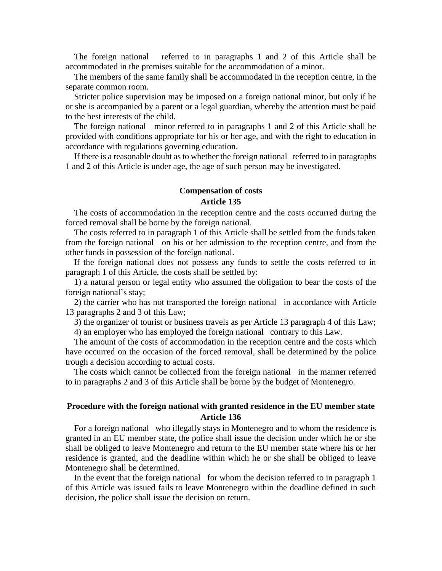The foreign national referred to in paragraphs 1 and 2 of this Article shall be accommodated in the premises suitable for the accommodation of a minor.

The members of the same family shall be accommodated in the reception centre, in the separate common room.

Stricter police supervision may be imposed on a foreign national minor, but only if he or she is accompanied by a parent or a legal guardian, whereby the attention must be paid to the best interests of the child.

The foreign national minor referred to in paragraphs 1 and 2 of this Article shall be provided with conditions appropriate for his or her age, and with the right to education in accordance with regulations governing education.

If there is a reasonable doubt as to whether the foreign national referred to in paragraphs 1 and 2 of this Article is under age, the age of such person may be investigated.

### **Compensation of costs Article 135**

The costs of accommodation in the reception centre and the costs occurred during the forced removal shall be borne by the foreign national.

The costs referred to in paragraph 1 of this Article shall be settled from the funds taken from the foreign national on his or her admission to the reception centre, and from the other funds in possession of the foreign national.

If the foreign national does not possess any funds to settle the costs referred to in paragraph 1 of this Article, the costs shall be settled by:

1) a natural person or legal entity who assumed the obligation to bear the costs of the foreign national's stay;

2) the carrier who has not transported the foreign national in accordance with Article 13 paragraphs 2 and 3 of this Law;

3) the organizer of tourist or business travels as per Article 13 paragraph 4 of this Law;

4) an employer who has employed the foreign national contrary to this Law.

The amount of the costs of accommodation in the reception centre and the costs which have occurred on the occasion of the forced removal, shall be determined by the police trough a decision according to actual costs.

The costs which cannot be collected from the foreign national in the manner referred to in paragraphs 2 and 3 of this Article shall be borne by the budget of Montenegro.

### **Procedure with the foreign national with granted residence in the EU member state Article 136**

For a foreign national who illegally stays in Montenegro and to whom the residence is granted in an EU member state, the police shall issue the decision under which he or she shall be obliged to leave Montenegro and return to the EU member state where his or her residence is granted, and the deadline within which he or she shall be obliged to leave Montenegro shall be determined.

In the event that the foreign national for whom the decision referred to in paragraph 1 of this Article was issued fails to leave Montenegro within the deadline defined in such decision, the police shall issue the decision on return.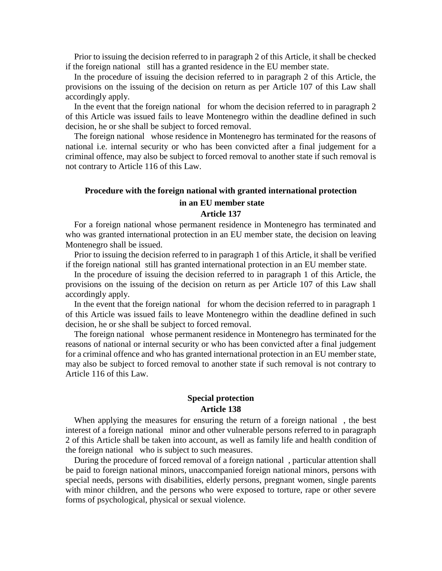Prior to issuing the decision referred to in paragraph 2 of this Article, it shall be checked if the foreign national still has a granted residence in the EU member state.

In the procedure of issuing the decision referred to in paragraph 2 of this Article, the provisions on the issuing of the decision on return as per Article 107 of this Law shall accordingly apply.

In the event that the foreign national for whom the decision referred to in paragraph 2 of this Article was issued fails to leave Montenegro within the deadline defined in such decision, he or she shall be subject to forced removal.

The foreign national whose residence in Montenegro has terminated for the reasons of national i.e. internal security or who has been convicted after a final judgement for a criminal offence, may also be subject to forced removal to another state if such removal is not contrary to Article 116 of this Law.

## **Procedure with the foreign national with granted international protection in an EU member state**

### **Article 137**

For a foreign national whose permanent residence in Montenegro has terminated and who was granted international protection in an EU member state, the decision on leaving Montenegro shall be issued.

Prior to issuing the decision referred to in paragraph 1 of this Article, it shall be verified if the foreign national still has granted international protection in an EU member state.

In the procedure of issuing the decision referred to in paragraph 1 of this Article, the provisions on the issuing of the decision on return as per Article 107 of this Law shall accordingly apply.

In the event that the foreign national for whom the decision referred to in paragraph 1 of this Article was issued fails to leave Montenegro within the deadline defined in such decision, he or she shall be subject to forced removal.

The foreign national whose permanent residence in Montenegro has terminated for the reasons of national or internal security or who has been convicted after a final judgement for a criminal offence and who has granted international protection in an EU member state, may also be subject to forced removal to another state if such removal is not contrary to Article 116 of this Law.

### **Special protection Article 138**

When applying the measures for ensuring the return of a foreign national , the best interest of a foreign national minor and other vulnerable persons referred to in paragraph 2 of this Article shall be taken into account, as well as family life and health condition of the foreign national who is subject to such measures.

During the procedure of forced removal of a foreign national , particular attention shall be paid to foreign national minors, unaccompanied foreign national minors, persons with special needs, persons with disabilities, elderly persons, pregnant women, single parents with minor children, and the persons who were exposed to torture, rape or other severe forms of psychological, physical or sexual violence.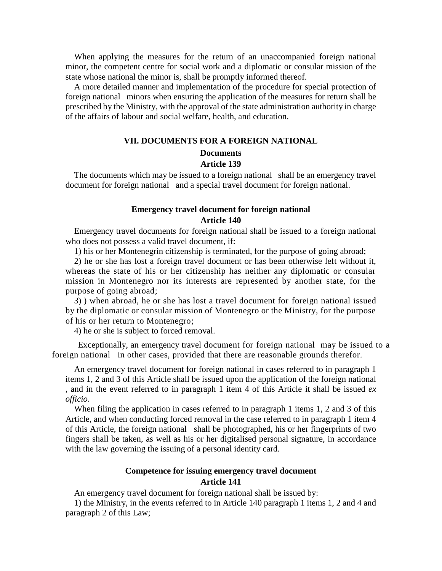When applying the measures for the return of an unaccompanied foreign national minor, the competent centre for social work and a diplomatic or consular mission of the state whose national the minor is, shall be promptly informed thereof.

A more detailed manner and implementation of the procedure for special protection of foreign national minors when ensuring the application of the measures for return shall be prescribed by the Ministry, with the approval of the state administration authority in charge of the affairs of labour and social welfare, health, and education.

#### **VII. DOCUMENTS FOR A FOREIGN NATIONAL Documents**

## **Article 139**

The documents which may be issued to a foreign national shall be an emergency travel document for foreign national and a special travel document for foreign national.

### **Emergency travel document for foreign national Article 140**

Emergency travel documents for foreign national shall be issued to a foreign national who does not possess a valid travel document, if:

1) his or her Montenegrin citizenship is terminated, for the purpose of going abroad;

2) he or she has lost a foreign travel document or has been otherwise left without it, whereas the state of his or her citizenship has neither any diplomatic or consular mission in Montenegro nor its interests are represented by another state, for the purpose of going abroad;

3) ) when abroad, he or she has lost a travel document for foreign national issued by the diplomatic or consular mission of Montenegro or the Ministry, for the purpose of his or her return to Montenegro;

4) he or she is subject to forced removal.

Exceptionally, an emergency travel document for foreign national may be issued to a foreign national in other cases, provided that there are reasonable grounds therefor.

An emergency travel document for foreign national in cases referred to in paragraph 1 items 1, 2 and 3 of this Article shall be issued upon the application of the foreign national , and in the event referred to in paragraph 1 item 4 of this Article it shall be issued *ex officio*.

When filing the application in cases referred to in paragraph 1 items 1, 2 and 3 of this Article, and when conducting forced removal in the case referred to in paragraph 1 item 4 of this Article, the foreign national shall be photographed, his or her fingerprints of two fingers shall be taken, as well as his or her digitalised personal signature, in accordance with the law governing the issuing of a personal identity card.

### **Competence for issuing emergency travel document Article 141**

An emergency travel document for foreign national shall be issued by:

1) the Ministry, in the events referred to in Article 140 paragraph 1 items 1, 2 and 4 and paragraph 2 of this Law;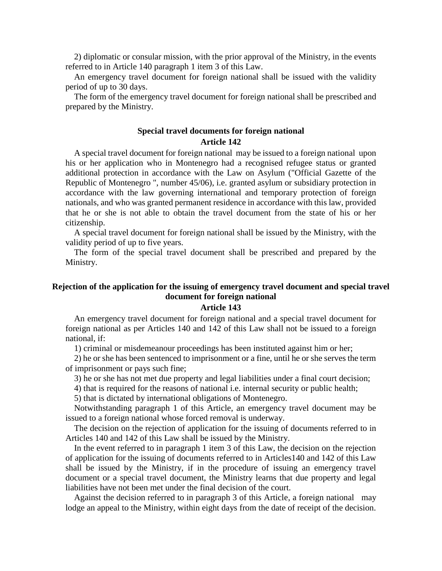2) diplomatic or consular mission, with the prior approval of the Ministry, in the events referred to in Article 140 paragraph 1 item 3 of this Law.

An emergency travel document for foreign national shall be issued with the validity period of up to 30 days.

The form of the emergency travel document for foreign national shall be prescribed and prepared by the Ministry.

#### **Special travel documents for foreign national Article 142**

A special travel document for foreign national may be issued to a foreign national upon his or her application who in Montenegro had a recognised refugee status or granted additional protection in accordance with the Law on Asylum ("Official Gazette of the Republic of Montenegro ", number 45/06), i.e. granted asylum or subsidiary protection in accordance with the law governing international and temporary protection of foreign nationals, and who was granted permanent residence in accordance with this law, provided that he or she is not able to obtain the travel document from the state of his or her citizenship.

A special travel document for foreign national shall be issued by the Ministry, with the validity period of up to five years.

The form of the special travel document shall be prescribed and prepared by the Ministry.

## **Rejection of the application for the issuing of emergency travel document and special travel document for foreign national**

#### **Article 143**

An emergency travel document for foreign national and a special travel document for foreign national as per Articles 140 and 142 of this Law shall not be issued to a foreign national, if:

1) criminal or misdemeanour proceedings has been instituted against him or her;

2) he or she has been sentenced to imprisonment or a fine, until he or she serves the term of imprisonment or pays such fine;

3) he or she has not met due property and legal liabilities under a final court decision;

4) that is required for the reasons of national i.e. internal security or public health;

5) that is dictated by international obligations of Montenegro.

Notwithstanding paragraph 1 of this Article, an emergency travel document may be issued to a foreign national whose forced removal is underway.

The decision on the rejection of application for the issuing of documents referred to in Articles 140 and 142 of this Law shall be issued by the Ministry.

In the event referred to in paragraph 1 item 3 of this Law, the decision on the rejection of application for the issuing of documents referred to in Articles140 and 142 of this Law shall be issued by the Ministry, if in the procedure of issuing an emergency travel document or a special travel document, the Ministry learns that due property and legal liabilities have not been met under the final decision of the court.

Against the decision referred to in paragraph 3 of this Article, a foreign national may lodge an appeal to the Ministry, within eight days from the date of receipt of the decision.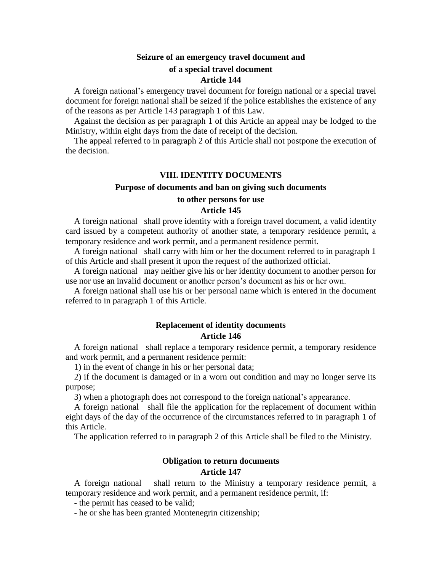### **Seizure of an emergency travel document and of a special travel document Article 144**

A foreign national's emergency travel document for foreign national or a special travel document for foreign national shall be seized if the police establishes the existence of any of the reasons as per Article 143 paragraph 1 of this Law.

Against the decision as per paragraph 1 of this Article an appeal may be lodged to the Ministry, within eight days from the date of receipt of the decision.

The appeal referred to in paragraph 2 of this Article shall not postpone the execution of the decision.

#### **VIII. IDENTITY DOCUMENTS**

#### **Purpose of documents and ban on giving such documents**

#### **to other persons for use**

#### **Article 145**

A foreign national shall prove identity with a foreign travel document, a valid identity card issued by a competent authority of another state, a temporary residence permit, a temporary residence and work permit, and a permanent residence permit.

A foreign national shall carry with him or her the document referred to in paragraph 1 of this Article and shall present it upon the request of the authorized official.

A foreign national may neither give his or her identity document to another person for use nor use an invalid document or another person's document as his or her own.

A foreign national shall use his or her personal name which is entered in the document referred to in paragraph 1 of this Article.

### **Replacement of identity documents Article 146**

A foreign national shall replace a temporary residence permit, a temporary residence and work permit, and a permanent residence permit:

1) in the event of change in his or her personal data;

2) if the document is damaged or in a worn out condition and may no longer serve its purpose;

3) when a photograph does not correspond to the foreign national's appearance.

A foreign national shall file the application for the replacement of document within eight days of the day of the occurrence of the circumstances referred to in paragraph 1 of this Article.

The application referred to in paragraph 2 of this Article shall be filed to the Ministry.

### **Obligation to return documents**

#### **Article 147**

A foreign national shall return to the Ministry a temporary residence permit, a temporary residence and work permit, and a permanent residence permit, if:

- the permit has ceased to be valid;

- he or she has been granted Montenegrin citizenship;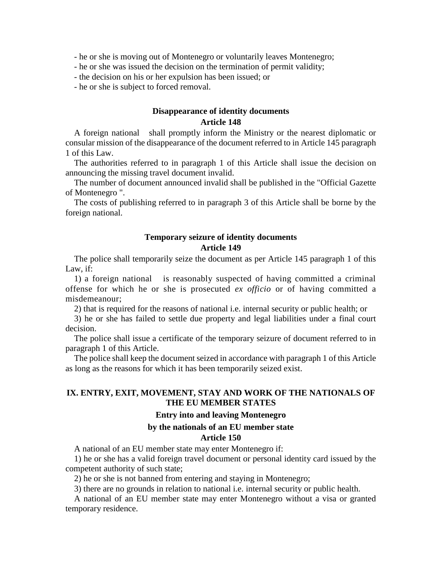- he or she is moving out of Montenegro or voluntarily leaves Montenegro;

- he or she was issued the decision on the termination of permit validity;
- the decision on his or her expulsion has been issued; or
- he or she is subject to forced removal.

### **Disappearance of identity documents Article 148**

A foreign national shall promptly inform the Ministry or the nearest diplomatic or consular mission of the disappearance of the document referred to in Article 145 paragraph 1 of this Law.

The authorities referred to in paragraph 1 of this Article shall issue the decision on announcing the missing travel document invalid.

The number of document announced invalid shall be published in the "Official Gazette of Montenegro ".

The costs of publishing referred to in paragraph 3 of this Article shall be borne by the foreign national.

#### **Temporary seizure of identity documents Article 149**

The police shall temporarily seize the document as per Article 145 paragraph 1 of this Law, if:

1) a foreign national is reasonably suspected of having committed a criminal offense for which he or she is prosecuted *ex officio* or of having committed a misdemeanour;

2) that is required for the reasons of national i.e. internal security or public health; or

3) he or she has failed to settle due property and legal liabilities under a final court decision.

The police shall issue a certificate of the temporary seizure of document referred to in paragraph 1 of this Article.

The police shall keep the document seized in accordance with paragraph 1 of this Article as long as the reasons for which it has been temporarily seized exist.

### **IX. ENTRY, EXIT, MOVEMENT, STAY AND WORK OF THE NATIONALS OF THE EU MEMBER STATES**

#### **Entry into and leaving Montenegro**

#### **by the nationals of an EU member state**

#### **Article 150**

A national of an EU member state may enter Montenegro if:

1) he or she has a valid foreign travel document or personal identity card issued by the competent authority of such state;

2) he or she is not banned from entering and staying in Montenegro;

3) there are no grounds in relation to national i.e. internal security or public health.

A national of an EU member state may enter Montenegro without a visa or granted temporary residence.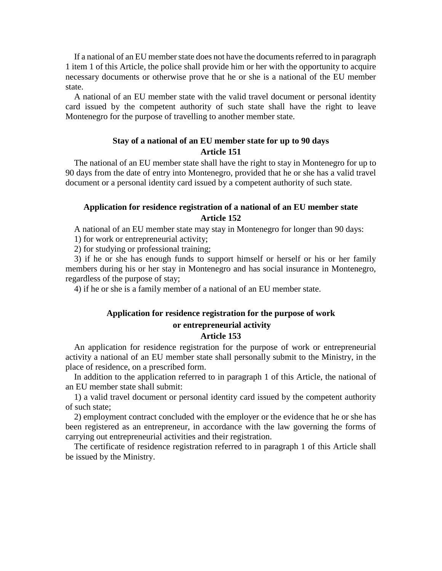If a national of an EU member state does not have the documents referred to in paragraph 1 item 1 of this Article, the police shall provide him or her with the opportunity to acquire necessary documents or otherwise prove that he or she is a national of the EU member state.

A national of an EU member state with the valid travel document or personal identity card issued by the competent authority of such state shall have the right to leave Montenegro for the purpose of travelling to another member state.

### **Stay of a national of an EU member state for up to 90 days Article 151**

The national of an EU member state shall have the right to stay in Montenegro for up to 90 days from the date of entry into Montenegro, provided that he or she has a valid travel document or a personal identity card issued by a competent authority of such state.

### **Application for residence registration of a national of an EU member state Article 152**

A national of an EU member state may stay in Montenegro for longer than 90 days:

1) for work or entrepreneurial activity;

2) for studying or professional training;

3) if he or she has enough funds to support himself or herself or his or her family members during his or her stay in Montenegro and has social insurance in Montenegro, regardless of the purpose of stay;

4) if he or she is a family member of a national of an EU member state.

## **Application for residence registration for the purpose of work**

#### **or entrepreneurial activity Article 153**

An application for residence registration for the purpose of work or entrepreneurial activity a national of an EU member state shall personally submit to the Ministry, in the place of residence, on a prescribed form.

In addition to the application referred to in paragraph 1 of this Article, the national of an EU member state shall submit:

1) a valid travel document or personal identity card issued by the competent authority of such state;

2) employment contract concluded with the employer or the evidence that he or she has been registered as an entrepreneur, in accordance with the law governing the forms of carrying out entrepreneurial activities and their registration.

The certificate of residence registration referred to in paragraph 1 of this Article shall be issued by the Ministry.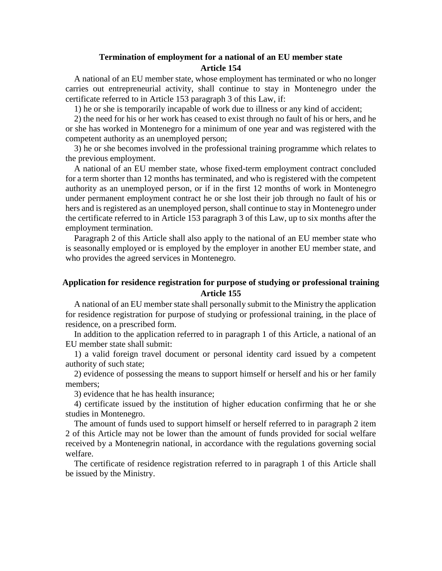### **Termination of employment for a national of an EU member state Article 154**

A national of an EU member state, whose employment has terminated or who no longer carries out entrepreneurial activity, shall continue to stay in Montenegro under the certificate referred to in Article 153 paragraph 3 of this Law, if:

1) he or she is temporarily incapable of work due to illness or any kind of accident;

2) the need for his or her work has ceased to exist through no fault of his or hers, and he or she has worked in Montenegro for a minimum of one year and was registered with the competent authority as an unemployed person;

3) he or she becomes involved in the professional training programme which relates to the previous employment.

A national of an EU member state, whose fixed-term employment contract concluded for a term shorter than 12 months has terminated, and who is registered with the competent authority as an unemployed person, or if in the first 12 months of work in Montenegro under permanent employment contract he or she lost their job through no fault of his or hers and is registered as an unemployed person, shall continue to stay in Montenegro under the certificate referred to in Article 153 paragraph 3 of this Law, up to six months after the employment termination.

Paragraph 2 of this Article shall also apply to the national of an EU member state who is seasonally employed or is employed by the employer in another EU member state, and who provides the agreed services in Montenegro.

### **Application for residence registration for purpose of studying or professional training Article 155**

A national of an EU member state shall personally submit to the Ministry the application for residence registration for purpose of studying or professional training, in the place of residence, on a prescribed form.

In addition to the application referred to in paragraph 1 of this Article, a national of an EU member state shall submit:

1) a valid foreign travel document or personal identity card issued by a competent authority of such state;

2) evidence of possessing the means to support himself or herself and his or her family members;

3) evidence that he has health insurance;

4) certificate issued by the institution of higher education confirming that he or she studies in Montenegro.

The amount of funds used to support himself or herself referred to in paragraph 2 item 2 of this Article may not be lower than the amount of funds provided for social welfare received by a Montenegrin national, in accordance with the regulations governing social welfare.

The certificate of residence registration referred to in paragraph 1 of this Article shall be issued by the Ministry.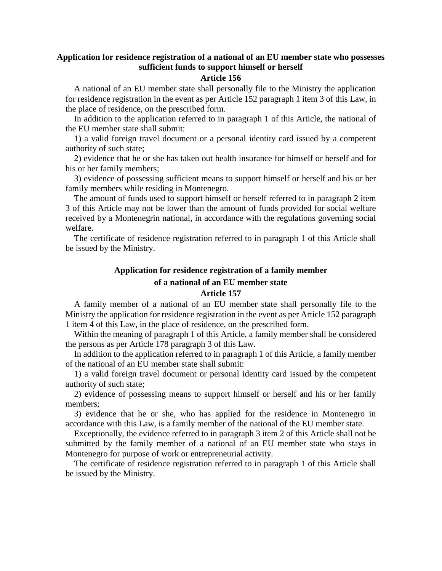# **Application for residence registration of a national of an EU member state who possesses sufficient funds to support himself or herself**

#### **Article 156**

A national of an EU member state shall personally file to the Ministry the application for residence registration in the event as per Article 152 paragraph 1 item 3 of this Law, in the place of residence, on the prescribed form.

In addition to the application referred to in paragraph 1 of this Article, the national of the EU member state shall submit:

1) a valid foreign travel document or a personal identity card issued by a competent authority of such state;

2) evidence that he or she has taken out health insurance for himself or herself and for his or her family members;

3) evidence of possessing sufficient means to support himself or herself and his or her family members while residing in Montenegro.

The amount of funds used to support himself or herself referred to in paragraph 2 item 3 of this Article may not be lower than the amount of funds provided for social welfare received by a Montenegrin national, in accordance with the regulations governing social welfare.

The certificate of residence registration referred to in paragraph 1 of this Article shall be issued by the Ministry.

#### **Application for residence registration of a family member**

#### **of a national of an EU member state Article 157**

A family member of a national of an EU member state shall personally file to the Ministry the application for residence registration in the event as per Article 152 paragraph 1 item 4 of this Law, in the place of residence, on the prescribed form.

Within the meaning of paragraph 1 of this Article, a family member shall be considered the persons as per Article 178 paragraph 3 of this Law.

In addition to the application referred to in paragraph 1 of this Article, a family member of the national of an EU member state shall submit:

1) a valid foreign travel document or personal identity card issued by the competent authority of such state;

2) evidence of possessing means to support himself or herself and his or her family members;

3) evidence that he or she, who has applied for the residence in Montenegro in accordance with this Law, is a family member of the national of the EU member state.

Exceptionally, the evidence referred to in paragraph 3 item 2 of this Article shall not be submitted by the family member of a national of an EU member state who stays in Montenegro for purpose of work or entrepreneurial activity.

The certificate of residence registration referred to in paragraph 1 of this Article shall be issued by the Ministry.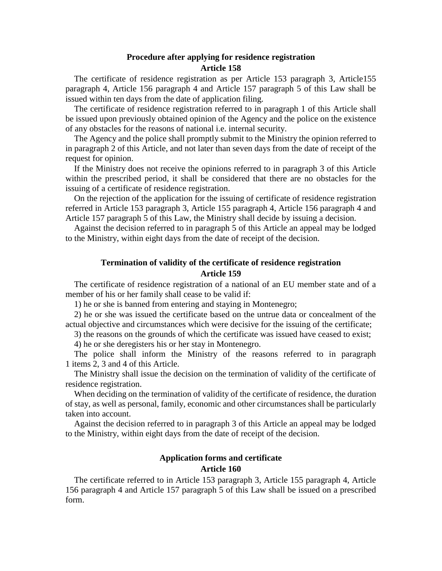#### **Procedure after applying for residence registration Article 158**

The certificate of residence registration as per Article 153 paragraph 3, Article155 paragraph 4, Article 156 paragraph 4 and Article 157 paragraph 5 of this Law shall be issued within ten days from the date of application filing.

The certificate of residence registration referred to in paragraph 1 of this Article shall be issued upon previously obtained opinion of the Agency and the police on the existence of any obstacles for the reasons of national i.e. internal security.

The Agency and the police shall promptly submit to the Ministry the opinion referred to in paragraph 2 of this Article, and not later than seven days from the date of receipt of the request for opinion.

If the Ministry does not receive the opinions referred to in paragraph 3 of this Article within the prescribed period, it shall be considered that there are no obstacles for the issuing of a certificate of residence registration.

On the rejection of the application for the issuing of certificate of residence registration referred in Article 153 paragraph 3, Article 155 paragraph 4, Article 156 paragraph 4 and Article 157 paragraph 5 of this Law, the Ministry shall decide by issuing a decision.

Against the decision referred to in paragraph 5 of this Article an appeal may be lodged to the Ministry, within eight days from the date of receipt of the decision.

#### **Termination of validity of the certificate of residence registration Article 159**

The certificate of residence registration of a national of an EU member state and of a member of his or her family shall cease to be valid if:

1) he or she is banned from entering and staying in Montenegro;

2) he or she was issued the certificate based on the untrue data or concealment of the actual objective and circumstances which were decisive for the issuing of the certificate;

3) the reasons on the grounds of which the certificate was issued have ceased to exist;

4) he or she deregisters his or her stay in Montenegro.

The police shall inform the Ministry of the reasons referred to in paragraph 1 items 2, 3 and 4 of this Article.

The Ministry shall issue the decision on the termination of validity of the certificate of residence registration.

When deciding on the termination of validity of the certificate of residence, the duration of stay, as well as personal, family, economic and other circumstances shall be particularly taken into account.

Against the decision referred to in paragraph 3 of this Article an appeal may be lodged to the Ministry, within eight days from the date of receipt of the decision.

# **Application forms and certificate**

# **Article 160**

The certificate referred to in Article 153 paragraph 3, Article 155 paragraph 4, Article 156 paragraph 4 and Article 157 paragraph 5 of this Law shall be issued on a prescribed form.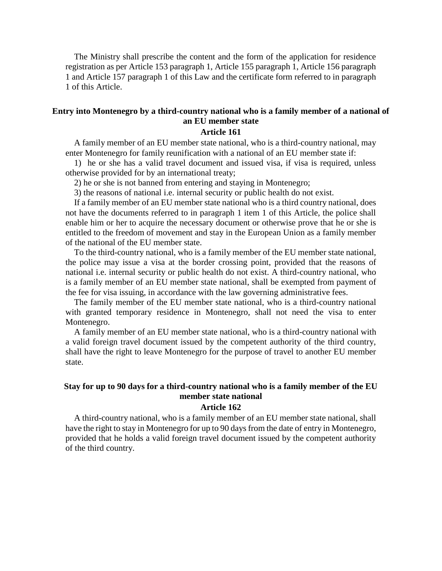The Ministry shall prescribe the content and the form of the application for residence registration as per Article 153 paragraph 1, Article 155 paragraph 1, Article 156 paragraph 1 and Article 157 paragraph 1 of this Law and the certificate form referred to in paragraph 1 of this Article.

# **Entry into Montenegro by a third-country national who is a family member of a national of an EU member state**

#### **Article 161**

A family member of an EU member state national, who is a third-country national, may enter Montenegro for family reunification with a national of an EU member state if:

1) he or she has a valid travel document and issued visa, if visa is required, unless otherwise provided for by an international treaty;

2) he or she is not banned from entering and staying in Montenegro;

3) the reasons of national i.e. internal security or public health do not exist.

If a family member of an EU member state national who is a third country national, does not have the documents referred to in paragraph 1 item 1 of this Article, the police shall enable him or her to acquire the necessary document or otherwise prove that he or she is entitled to the freedom of movement and stay in the European Union as a family member of the national of the EU member state.

To the third-country national, who is a family member of the EU member state national, the police may issue a visa at the border crossing point, provided that the reasons of national i.e. internal security or public health do not exist. A third-country national, who is a family member of an EU member state national, shall be exempted from payment of the fee for visa issuing, in accordance with the law governing administrative fees.

The family member of the EU member state national, who is a third-country national with granted temporary residence in Montenegro, shall not need the visa to enter Montenegro.

A family member of an EU member state national, who is a third-country national with a valid foreign travel document issued by the competent authority of the third country, shall have the right to leave Montenegro for the purpose of travel to another EU member state.

# **Stay for up to 90 days for a third-country national who is a family member of the EU member state national**

#### **Article 162**

A third-country national, who is a family member of an EU member state national, shall have the right to stay in Montenegro for up to 90 days from the date of entry in Montenegro, provided that he holds a valid foreign travel document issued by the competent authority of the third country.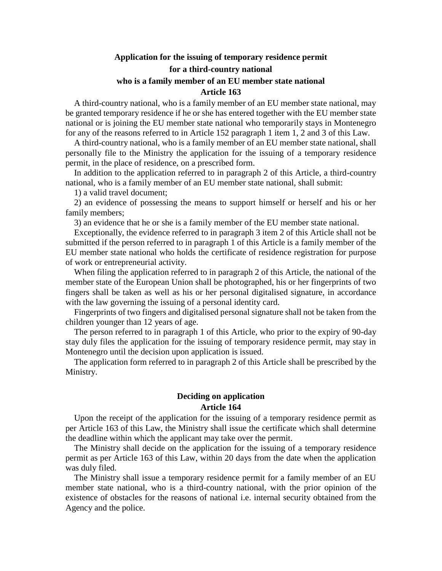# **Application for the issuing of temporary residence permit for a third-country national**

#### **who is a family member of an EU member state national Article 163**

A third-country national, who is a family member of an EU member state national, may be granted temporary residence if he or she has entered together with the EU member state national or is joining the EU member state national who temporarily stays in Montenegro for any of the reasons referred to in Article 152 paragraph 1 item 1, 2 and 3 of this Law.

A third-country national, who is a family member of an EU member state national, shall personally file to the Ministry the application for the issuing of a temporary residence permit, in the place of residence, on a prescribed form.

In addition to the application referred to in paragraph 2 of this Article, a third-country national, who is a family member of an EU member state national, shall submit:

1) a valid travel document;

2) an evidence of possessing the means to support himself or herself and his or her family members;

3) an evidence that he or she is a family member of the EU member state national.

Exceptionally, the evidence referred to in paragraph 3 item 2 of this Article shall not be submitted if the person referred to in paragraph 1 of this Article is a family member of the EU member state national who holds the certificate of residence registration for purpose of work or entrepreneurial activity.

When filing the application referred to in paragraph 2 of this Article, the national of the member state of the European Union shall be photographed, his or her fingerprints of two fingers shall be taken as well as his or her personal digitalised signature, in accordance with the law governing the issuing of a personal identity card.

Fingerprints of two fingers and digitalised personal signature shall not be taken from the children younger than 12 years of age.

The person referred to in paragraph 1 of this Article, who prior to the expiry of 90-day stay duly files the application for the issuing of temporary residence permit, may stay in Montenegro until the decision upon application is issued.

The application form referred to in paragraph 2 of this Article shall be prescribed by the Ministry.

## **Deciding on application Article 164**

Upon the receipt of the application for the issuing of a temporary residence permit as per Article 163 of this Law, the Ministry shall issue the certificate which shall determine the deadline within which the applicant may take over the permit.

The Ministry shall decide on the application for the issuing of a temporary residence permit as per Article 163 of this Law, within 20 days from the date when the application was duly filed.

The Ministry shall issue a temporary residence permit for a family member of an EU member state national, who is a third-country national, with the prior opinion of the existence of obstacles for the reasons of national i.e. internal security obtained from the Agency and the police.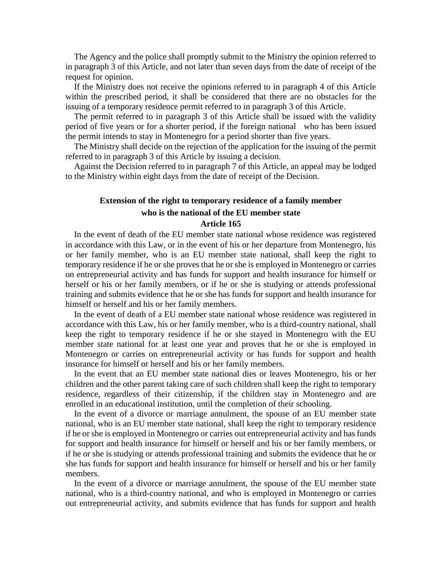The Agency and the police shall promptly submit to the Ministry the opinion referred to in paragraph 3 of this Article, and not later than seven days from the date of receipt of the request for opinion.

If the Ministry does not receive the opinions referred to in paragraph 4 of this Article within the prescribed period, it shall be considered that there are no obstacles for the issuing of a temporary residence permit referred to in paragraph 3 of this Article.

The permit referred to in paragraph 3 of this Article shall be issued with the validity period of five years or for a shorter period, if the foreign national who has been issued the permit intends to stay in Montenegro for a period shorter than five years.

The Ministry shall decide on the rejection of the application for the issuing of the permit referred to in paragraph 3 of this Article by issuing a decision.

Against the Decision referred to in paragraph 7 of this Article, an appeal may be lodged to the Ministry within eight days from the date of receipt of the Decision.

# **Extension of the right to temporary residence of a family member who is the national of the EU member state Article 165**

In the event of death of the EU member state national whose residence was registered in accordance with this Law, or in the event of his or her departure from Montenegro, his or her family member, who is an EU member state national, shall keep the right to temporary residence if he or she proves that he or she is employed in Montenegro or carries on entrepreneurial activity and has funds for support and health insurance for himself or herself or his or her family members, or if he or she is studying or attends professional training and submits evidence that he or she has funds for support and health insurance for himself or herself and his or her family members.

In the event of death of a EU member state national whose residence was registered in accordance with this Law, his or her family member, who is a third-country national, shall keep the right to temporary residence if he or she stayed in Montenegro with the EU member state national for at least one year and proves that he or she is employed in Montenegro or carries on entrepreneurial activity or has funds for support and health insurance for himself or herself and his or her family members.

In the event that an EU member state national dies or leaves Montenegro, his or her children and the other parent taking care of such children shall keep the right to temporary residence, regardless of their citizenship, if the children stay in Montenegro and are enrolled in an educational institution, until the completion of their schooling.

In the event of a divorce or marriage annulment, the spouse of an EU member state national, who is an EU member state national, shall keep the right to temporary residence if he or she is employed in Montenegro or carries out entrepreneurial activity and has funds for support and health insurance for himself or herself and his or her family members, or if he or she is studying or attends professional training and submits the evidence that he or she has funds for support and health insurance for himself or herself and his or her family members.

In the event of a divorce or marriage annulment, the spouse of the EU member state national, who is a third-country national, and who is employed in Montenegro or carries out entrepreneurial activity, and submits evidence that has funds for support and health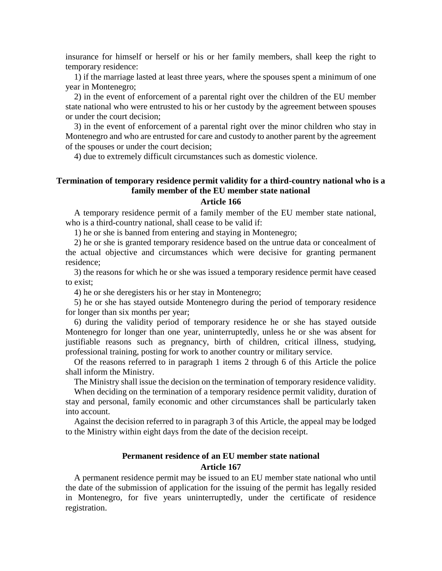insurance for himself or herself or his or her family members, shall keep the right to temporary residence:

1) if the marriage lasted at least three years, where the spouses spent a minimum of one year in Montenegro;

2) in the event of enforcement of a parental right over the children of the EU member state national who were entrusted to his or her custody by the agreement between spouses or under the court decision;

3) in the event of enforcement of a parental right over the minor children who stay in Montenegro and who are entrusted for care and custody to another parent by the agreement of the spouses or under the court decision;

4) due to extremely difficult circumstances such as domestic violence.

### **Termination of temporary residence permit validity for a third-country national who is a family member of the EU member state national**

#### **Article 166**

A temporary residence permit of a family member of the EU member state national, who is a third-country national, shall cease to be valid if:

1) he or she is banned from entering and staying in Montenegro;

2) he or she is granted temporary residence based on the untrue data or concealment of the actual objective and circumstances which were decisive for granting permanent residence;

3) the reasons for which he or she was issued a temporary residence permit have ceased to exist;

4) he or she deregisters his or her stay in Montenegro;

5) he or she has stayed outside Montenegro during the period of temporary residence for longer than six months per year;

6) during the validity period of temporary residence he or she has stayed outside Montenegro for longer than one year, uninterruptedly, unless he or she was absent for justifiable reasons such as pregnancy, birth of children, critical illness, studying, professional training, posting for work to another country or military service.

Of the reasons referred to in paragraph 1 items 2 through 6 of this Article the police shall inform the Ministry.

The Ministry shall issue the decision on the termination of temporary residence validity.

When deciding on the termination of a temporary residence permit validity, duration of stay and personal, family economic and other circumstances shall be particularly taken into account.

Against the decision referred to in paragraph 3 of this Article, the appeal may be lodged to the Ministry within eight days from the date of the decision receipt.

# **Permanent residence of an EU member state national Article 167**

A permanent residence permit may be issued to an EU member state national who until the date of the submission of application for the issuing of the permit has legally resided in Montenegro, for five years uninterruptedly, under the certificate of residence registration.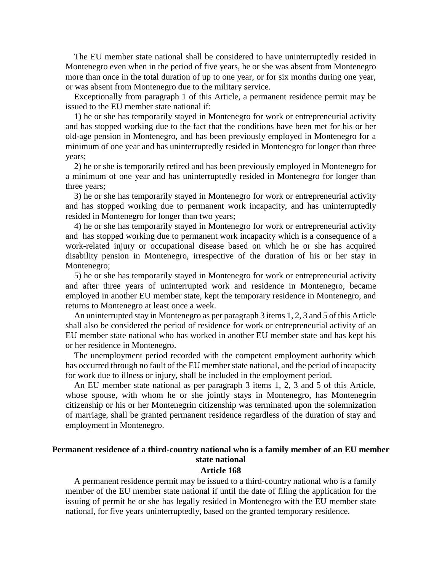The EU member state national shall be considered to have uninterruptedly resided in Montenegro even when in the period of five years, he or she was absent from Montenegro more than once in the total duration of up to one year, or for six months during one year, or was absent from Montenegro due to the military service.

Exceptionally from paragraph 1 of this Article, a permanent residence permit may be issued to the EU member state national if:

1) he or she has temporarily stayed in Montenegro for work or entrepreneurial activity and has stopped working due to the fact that the conditions have been met for his or her old-age pension in Montenegro, and has been previously employed in Montenegro for a minimum of one year and has uninterruptedly resided in Montenegro for longer than three years;

2) he or she is temporarily retired and has been previously employed in Montenegro for a minimum of one year and has uninterruptedly resided in Montenegro for longer than three years;

3) he or she has temporarily stayed in Montenegro for work or entrepreneurial activity and has stopped working due to permanent work incapacity, and has uninterruptedly resided in Montenegro for longer than two years;

4) he or she has temporarily stayed in Montenegro for work or entrepreneurial activity and has stopped working due to permanent work incapacity which is a consequence of a work-related injury or occupational disease based on which he or she has acquired disability pension in Montenegro, irrespective of the duration of his or her stay in Montenegro;

5) he or she has temporarily stayed in Montenegro for work or entrepreneurial activity and after three years of uninterrupted work and residence in Montenegro, became employed in another EU member state, kept the temporary residence in Montenegro, and returns to Montenegro at least once a week.

An uninterrupted stay in Montenegro as per paragraph 3 items 1, 2, 3 and 5 of this Article shall also be considered the period of residence for work or entrepreneurial activity of an EU member state national who has worked in another EU member state and has kept his or her residence in Montenegro.

The unemployment period recorded with the competent employment authority which has occurred through no fault of the EU member state national, and the period of incapacity for work due to illness or injury, shall be included in the employment period.

An EU member state national as per paragraph 3 items 1, 2, 3 and 5 of this Article, whose spouse, with whom he or she jointly stays in Montenegro, has Montenegrin citizenship or his or her Montenegrin citizenship was terminated upon the solemnization of marriage, shall be granted permanent residence regardless of the duration of stay and employment in Montenegro.

# **Permanent residence of a third-country national who is a family member of an EU member state national**

#### **Article 168**

A permanent residence permit may be issued to a third-country national who is a family member of the EU member state national if until the date of filing the application for the issuing of permit he or she has legally resided in Montenegro with the EU member state national, for five years uninterruptedly, based on the granted temporary residence.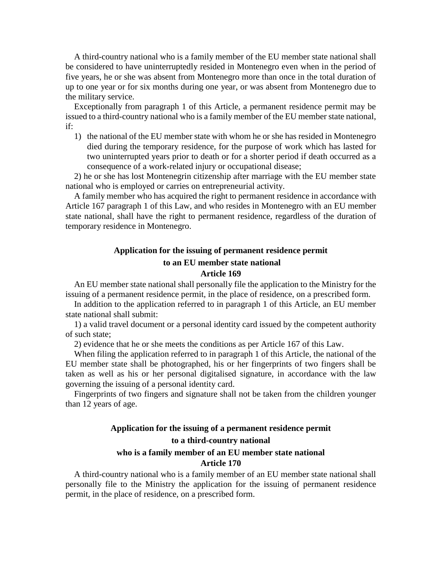A third-country national who is a family member of the EU member state national shall be considered to have uninterruptedly resided in Montenegro even when in the period of five years, he or she was absent from Montenegro more than once in the total duration of up to one year or for six months during one year, or was absent from Montenegro due to the military service.

Exceptionally from paragraph 1 of this Article, a permanent residence permit may be issued to a third-country national who is a family member of the EU member state national, if:

1) the national of the EU member state with whom he or she has resided in Montenegro died during the temporary residence, for the purpose of work which has lasted for two uninterrupted years prior to death or for a shorter period if death occurred as a consequence of a work-related injury or occupational disease;

2) he or she has lost Montenegrin citizenship after marriage with the EU member state national who is employed or carries on entrepreneurial activity.

A family member who has acquired the right to permanent residence in accordance with Article 167 paragraph 1 of this Law, and who resides in Montenegro with an EU member state national, shall have the right to permanent residence, regardless of the duration of temporary residence in Montenegro.

# **Application for the issuing of permanent residence permit to an EU member state national Article 169**

An EU member state national shall personally file the application to the Ministry for the issuing of a permanent residence permit, in the place of residence, on a prescribed form.

In addition to the application referred to in paragraph 1 of this Article, an EU member state national shall submit:

1) a valid travel document or a personal identity card issued by the competent authority of such state;

2) evidence that he or she meets the conditions as per Article 167 of this Law.

When filing the application referred to in paragraph 1 of this Article, the national of the EU member state shall be photographed, his or her fingerprints of two fingers shall be taken as well as his or her personal digitalised signature, in accordance with the law governing the issuing of a personal identity card.

Fingerprints of two fingers and signature shall not be taken from the children younger than 12 years of age.

# **Application for the issuing of a permanent residence permit to a third-country national who is a family member of an EU member state national Article 170**

A third-country national who is a family member of an EU member state national shall personally file to the Ministry the application for the issuing of permanent residence permit, in the place of residence, on a prescribed form.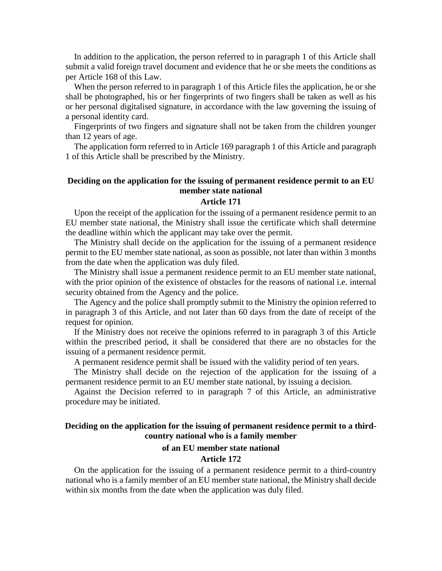In addition to the application, the person referred to in paragraph 1 of this Article shall submit a valid foreign travel document and evidence that he or she meets the conditions as per Article 168 of this Law.

When the person referred to in paragraph 1 of this Article files the application, he or she shall be photographed, his or her fingerprints of two fingers shall be taken as well as his or her personal digitalised signature, in accordance with the law governing the issuing of a personal identity card.

Fingerprints of two fingers and signature shall not be taken from the children younger than 12 years of age.

The application form referred to in Article 169 paragraph 1 of this Article and paragraph 1 of this Article shall be prescribed by the Ministry.

### **Deciding on the application for the issuing of permanent residence permit to an EU member state national**

#### **Article 171**

Upon the receipt of the application for the issuing of a permanent residence permit to an EU member state national, the Ministry shall issue the certificate which shall determine the deadline within which the applicant may take over the permit.

The Ministry shall decide on the application for the issuing of a permanent residence permit to the EU member state national, as soon as possible, not later than within 3 months from the date when the application was duly filed.

The Ministry shall issue a permanent residence permit to an EU member state national, with the prior opinion of the existence of obstacles for the reasons of national i.e. internal security obtained from the Agency and the police.

The Agency and the police shall promptly submit to the Ministry the opinion referred to in paragraph 3 of this Article, and not later than 60 days from the date of receipt of the request for opinion.

If the Ministry does not receive the opinions referred to in paragraph 3 of this Article within the prescribed period, it shall be considered that there are no obstacles for the issuing of a permanent residence permit.

A permanent residence permit shall be issued with the validity period of ten years.

The Ministry shall decide on the rejection of the application for the issuing of a permanent residence permit to an EU member state national, by issuing a decision.

Against the Decision referred to in paragraph 7 of this Article, an administrative procedure may be initiated.

# **Deciding on the application for the issuing of permanent residence permit to a thirdcountry national who is a family member**

#### **of an EU member state national**

#### **Article 172**

On the application for the issuing of a permanent residence permit to a third-country national who is a family member of an EU member state national, the Ministry shall decide within six months from the date when the application was duly filed.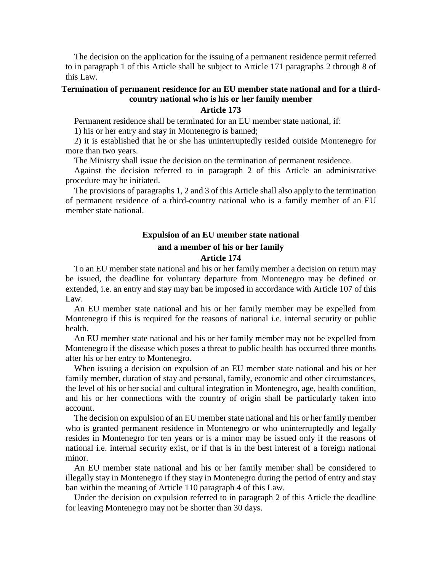The decision on the application for the issuing of a permanent residence permit referred to in paragraph 1 of this Article shall be subject to Article 171 paragraphs 2 through 8 of this Law.

# **Termination of permanent residence for an EU member state national and for a thirdcountry national who is his or her family member**

#### **Article 173**

Permanent residence shall be terminated for an EU member state national, if:

1) his or her entry and stay in Montenegro is banned;

2) it is established that he or she has uninterruptedly resided outside Montenegro for more than two years.

The Ministry shall issue the decision on the termination of permanent residence.

Against the decision referred to in paragraph 2 of this Article an administrative procedure may be initiated.

The provisions of paragraphs 1, 2 and 3 of this Article shall also apply to the termination of permanent residence of a third-country national who is a family member of an EU member state national.

# **Expulsion of an EU member state national and a member of his or her family Article 174**

To an EU member state national and his or her family member a decision on return may be issued, the deadline for voluntary departure from Montenegro may be defined or extended, i.e. an entry and stay may ban be imposed in accordance with Article 107 of this Law.

An EU member state national and his or her family member may be expelled from Montenegro if this is required for the reasons of national i.e. internal security or public health.

An EU member state national and his or her family member may not be expelled from Montenegro if the disease which poses a threat to public health has occurred three months after his or her entry to Montenegro.

When issuing a decision on expulsion of an EU member state national and his or her family member, duration of stay and personal, family, economic and other circumstances, the level of his or her social and cultural integration in Montenegro, age, health condition, and his or her connections with the country of origin shall be particularly taken into account.

The decision on expulsion of an EU member state national and his or her family member who is granted permanent residence in Montenegro or who uninterruptedly and legally resides in Montenegro for ten years or is a minor may be issued only if the reasons of national i.e. internal security exist, or if that is in the best interest of a foreign national minor.

An EU member state national and his or her family member shall be considered to illegally stay in Montenegro if they stay in Montenegro during the period of entry and stay ban within the meaning of Article 110 paragraph 4 of this Law.

Under the decision on expulsion referred to in paragraph 2 of this Article the deadline for leaving Montenegro may not be shorter than 30 days.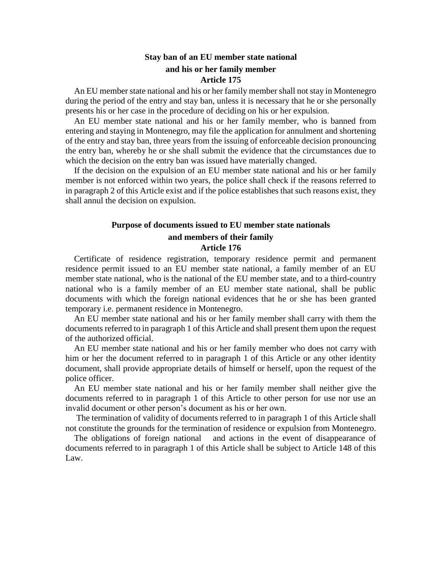# **Stay ban of an EU member state national and his or her family member Article 175**

An EU member state national and his or her family member shall not stay in Montenegro during the period of the entry and stay ban, unless it is necessary that he or she personally presents his or her case in the procedure of deciding on his or her expulsion.

An EU member state national and his or her family member, who is banned from entering and staying in Montenegro, may file the application for annulment and shortening of the entry and stay ban, three years from the issuing of enforceable decision pronouncing the entry ban, whereby he or she shall submit the evidence that the circumstances due to which the decision on the entry ban was issued have materially changed.

If the decision on the expulsion of an EU member state national and his or her family member is not enforced within two years, the police shall check if the reasons referred to in paragraph 2 of this Article exist and if the police establishes that such reasons exist, they shall annul the decision on expulsion.

### **Purpose of documents issued to EU member state nationals and members of their family Article 176**

Certificate of residence registration, temporary residence permit and permanent residence permit issued to an EU member state national, a family member of an EU member state national, who is the national of the EU member state, and to a third-country national who is a family member of an EU member state national, shall be public documents with which the foreign national evidences that he or she has been granted temporary i.e. permanent residence in Montenegro.

An EU member state national and his or her family member shall carry with them the documents referred to in paragraph 1 of this Article and shall present them upon the request of the authorized official.

An EU member state national and his or her family member who does not carry with him or her the document referred to in paragraph 1 of this Article or any other identity document, shall provide appropriate details of himself or herself, upon the request of the police officer.

An EU member state national and his or her family member shall neither give the documents referred to in paragraph 1 of this Article to other person for use nor use an invalid document or other person's document as his or her own.

The termination of validity of documents referred to in paragraph 1 of this Article shall not constitute the grounds for the termination of residence or expulsion from Montenegro.

The obligations of foreign national and actions in the event of disappearance of documents referred to in paragraph 1 of this Article shall be subject to Article 148 of this Law.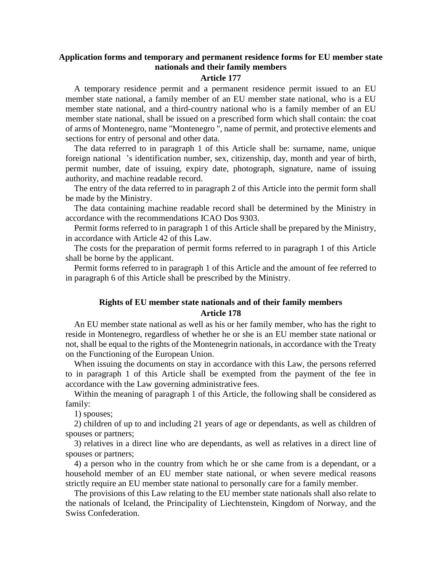# **Application forms and temporary and permanent residence forms for EU member state nationals and their family members**

#### **Article 177**

A temporary residence permit and a permanent residence permit issued to an EU member state national, a family member of an EU member state national, who is a EU member state national, and a third-country national who is a family member of an EU member state national, shall be issued on a prescribed form which shall contain: the coat of arms of Montenegro, name "Montenegro ", name of permit, and protective elements and sections for entry of personal and other data.

The data referred to in paragraph 1 of this Article shall be: surname, name, unique foreign national 's identification number, sex, citizenship, day, month and year of birth, permit number, date of issuing, expiry date, photograph, signature, name of issuing authority, and machine readable record.

The entry of the data referred to in paragraph 2 of this Article into the permit form shall be made by the Ministry.

The data containing machine readable record shall be determined by the Ministry in accordance with the recommendations ICAO Dos 9303.

Permit forms referred to in paragraph 1 of this Article shall be prepared by the Ministry, in accordance with Article 42 of this Law.

The costs for the preparation of permit forms referred to in paragraph 1 of this Article shall be borne by the applicant.

Permit forms referred to in paragraph 1 of this Article and the amount of fee referred to in paragraph 6 of this Article shall be prescribed by the Ministry.

# **Rights of EU member state nationals and of their family members Article 178**

An EU member state national as well as his or her family member, who has the right to reside in Montenegro, regardless of whether he or she is an EU member state national or not, shall be equal to the rights of the Montenegrin nationals, in accordance with the Treaty on the Functioning of the European Union.

When issuing the documents on stay in accordance with this Law, the persons referred to in paragraph 1 of this Article shall be exempted from the payment of the fee in accordance with the Law governing administrative fees.

Within the meaning of paragraph 1 of this Article, the following shall be considered as family:

1) spouses;

2) children of up to and including 21 years of age or dependants, as well as children of spouses or partners;

3) relatives in a direct line who are dependants, as well as relatives in a direct line of spouses or partners;

4) a person who in the country from which he or she came from is a dependant, or a household member of an EU member state national, or when severe medical reasons strictly require an EU member state national to personally care for a family member.

The provisions of this Law relating to the EU member state nationals shall also relate to the nationals of Iceland, the Principality of Liechtenstein, Kingdom of Norway, and the Swiss Confederation.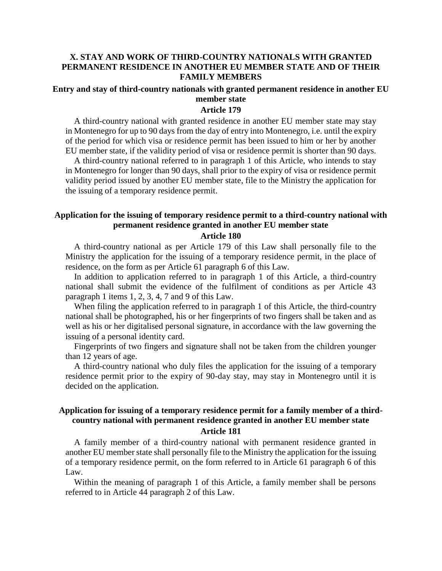### **X. STAY AND WORK OF THIRD-COUNTRY NATIONALS WITH GRANTED PERMANENT RESIDENCE IN ANOTHER EU MEMBER STATE AND OF THEIR FAMILY MEMBERS**

#### **Entry and stay of third-country nationals with granted permanent residence in another EU member state**

#### **Article 179**

A third-country national with granted residence in another EU member state may stay in Montenegro for up to 90 days from the day of entry into Montenegro, i.e. until the expiry of the period for which visa or residence permit has been issued to him or her by another EU member state, if the validity period of visa or residence permit is shorter than 90 days.

A third-country national referred to in paragraph 1 of this Article, who intends to stay in Montenegro for longer than 90 days, shall prior to the expiry of visa or residence permit validity period issued by another EU member state, file to the Ministry the application for the issuing of a temporary residence permit.

# **Application for the issuing of temporary residence permit to a third-country national with permanent residence granted in another EU member state**

#### **Article 180**

A third-country national as per Article 179 of this Law shall personally file to the Ministry the application for the issuing of a temporary residence permit, in the place of residence, on the form as per Article 61 paragraph 6 of this Law.

In addition to application referred to in paragraph 1 of this Article, a third-country national shall submit the evidence of the fulfilment of conditions as per Article 43 paragraph 1 items 1, 2, 3, 4, 7 and 9 of this Law.

When filing the application referred to in paragraph 1 of this Article, the third-country national shall be photographed, his or her fingerprints of two fingers shall be taken and as well as his or her digitalised personal signature, in accordance with the law governing the issuing of a personal identity card.

Fingerprints of two fingers and signature shall not be taken from the children younger than 12 years of age.

A third-country national who duly files the application for the issuing of a temporary residence permit prior to the expiry of 90-day stay, may stay in Montenegro until it is decided on the application.

# **Application for issuing of a temporary residence permit for a family member of a thirdcountry national with permanent residence granted in another EU member state Article 181**

A family member of a third-country national with permanent residence granted in another EU member state shall personally file to the Ministry the application for the issuing of a temporary residence permit, on the form referred to in Article 61 paragraph 6 of this Law.

Within the meaning of paragraph 1 of this Article, a family member shall be persons referred to in Article 44 paragraph 2 of this Law.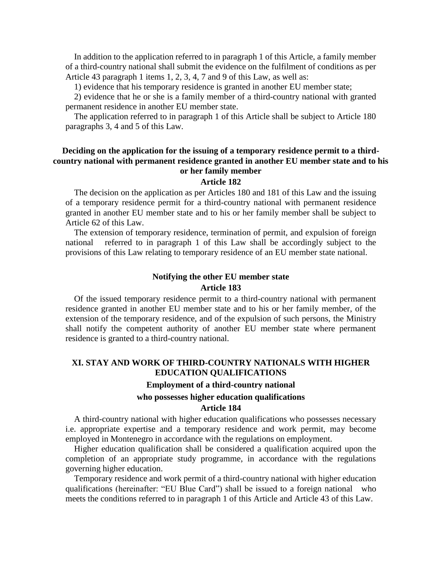In addition to the application referred to in paragraph 1 of this Article, a family member of a third-country national shall submit the evidence on the fulfilment of conditions as per Article 43 paragraph 1 items 1, 2, 3, 4, 7 and 9 of this Law, as well as:

1) evidence that his temporary residence is granted in another EU member state;

2) evidence that he or she is a family member of a third-country national with granted permanent residence in another EU member state.

The application referred to in paragraph 1 of this Article shall be subject to Article 180 paragraphs 3, 4 and 5 of this Law.

#### **Deciding on the application for the issuing of a temporary residence permit to a thirdcountry national with permanent residence granted in another EU member state and to his or her family member**

#### **Article 182**

The decision on the application as per Articles 180 and 181 of this Law and the issuing of a temporary residence permit for a third-country national with permanent residence granted in another EU member state and to his or her family member shall be subject to Article 62 of this Law.

The extension of temporary residence, termination of permit, and expulsion of foreign national referred to in paragraph 1 of this Law shall be accordingly subject to the provisions of this Law relating to temporary residence of an EU member state national.

#### **Notifying the other EU member state Article 183**

Of the issued temporary residence permit to a third-country national with permanent residence granted in another EU member state and to his or her family member, of the extension of the temporary residence, and of the expulsion of such persons, the Ministry shall notify the competent authority of another EU member state where permanent residence is granted to a third-country national.

# **XI. STAY AND WORK OF THIRD-COUNTRY NATIONALS WITH HIGHER EDUCATION QUALIFICATIONS**

# **Employment of a third-country national**

# **who possesses higher education qualifications Article 184**

A third-country national with higher education qualifications who possesses necessary i.e. appropriate expertise and a temporary residence and work permit, may become employed in Montenegro in accordance with the regulations on employment.

Higher education qualification shall be considered a qualification acquired upon the completion of an appropriate study programme, in accordance with the regulations governing higher education.

Temporary residence and work permit of a third-country national with higher education qualifications (hereinafter: "EU Blue Card") shall be issued to a foreign national who meets the conditions referred to in paragraph 1 of this Article and Article 43 of this Law.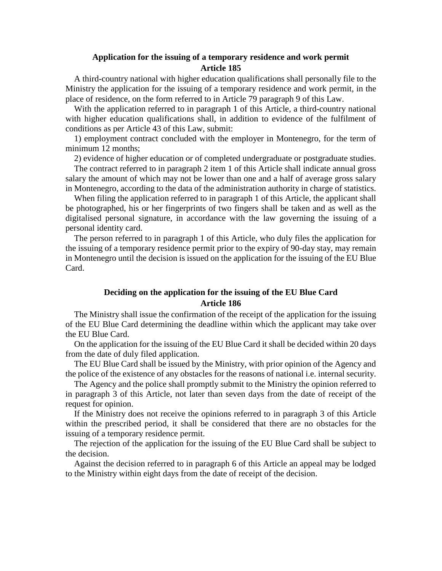### **Application for the issuing of a temporary residence and work permit Article 185**

A third-country national with higher education qualifications shall personally file to the Ministry the application for the issuing of a temporary residence and work permit, in the place of residence, on the form referred to in Article 79 paragraph 9 of this Law.

With the application referred to in paragraph 1 of this Article, a third-country national with higher education qualifications shall, in addition to evidence of the fulfilment of conditions as per Article 43 of this Law, submit:

1) employment contract concluded with the employer in Montenegro, for the term of minimum 12 months;

2) evidence of higher education or of completed undergraduate or postgraduate studies.

The contract referred to in paragraph 2 item 1 of this Article shall indicate annual gross salary the amount of which may not be lower than one and a half of average gross salary in Montenegro, according to the data of the administration authority in charge of statistics.

When filing the application referred to in paragraph 1 of this Article, the applicant shall be photographed, his or her fingerprints of two fingers shall be taken and as well as the digitalised personal signature, in accordance with the law governing the issuing of a personal identity card.

The person referred to in paragraph 1 of this Article, who duly files the application for the issuing of a temporary residence permit prior to the expiry of 90-day stay, may remain in Montenegro until the decision is issued on the application for the issuing of the EU Blue Card.

### **Deciding on the application for the issuing of the EU Blue Card Article 186**

The Ministry shall issue the confirmation of the receipt of the application for the issuing of the EU Blue Card determining the deadline within which the applicant may take over the EU Blue Card.

On the application for the issuing of the EU Blue Card it shall be decided within 20 days from the date of duly filed application.

The EU Blue Card shall be issued by the Ministry, with prior opinion of the Agency and the police of the existence of any obstacles for the reasons of national i.e. internal security.

The Agency and the police shall promptly submit to the Ministry the opinion referred to in paragraph 3 of this Article, not later than seven days from the date of receipt of the request for opinion.

If the Ministry does not receive the opinions referred to in paragraph 3 of this Article within the prescribed period, it shall be considered that there are no obstacles for the issuing of a temporary residence permit.

The rejection of the application for the issuing of the EU Blue Card shall be subject to the decision.

Against the decision referred to in paragraph 6 of this Article an appeal may be lodged to the Ministry within eight days from the date of receipt of the decision.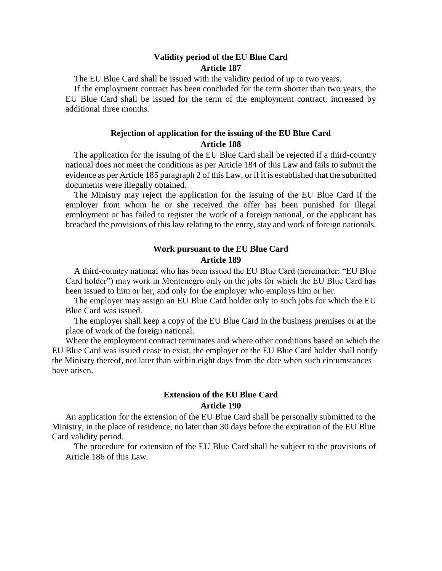#### **Validity period of the EU Blue Card Article 187**

The EU Blue Card shall be issued with the validity period of up to two years.

If the employment contract has been concluded for the term shorter than two years, the EU Blue Card shall be issued for the term of the employment contract, increased by additional three months.

# **Rejection of application for the issuing of the EU Blue Card Article 188**

The application for the issuing of the EU Blue Card shall be rejected if a third-country national does not meet the conditions as per Article 184 of this Law and fails to submit the evidence as per Article 185 paragraph 2 of this Law, or if it is established that the submitted documents were illegally obtained.

The Ministry may reject the application for the issuing of the EU Blue Card if the employer from whom he or she received the offer has been punished for illegal employment or has failed to register the work of a foreign national, or the applicant has breached the provisions of this law relating to the entry, stay and work of foreign nationals.

#### **Work pursuant to the EU Blue Card Article 189**

A third-country national who has been issued the EU Blue Card (hereinafter: "EU Blue Card holder") may work in Montenegro only on the jobs for which the EU Blue Card has been issued to him or her, and only for the employer who employs him or her.

The employer may assign an EU Blue Card holder only to such jobs for which the EU Blue Card was issued.

The employer shall keep a copy of the EU Blue Card in the business premises or at the place of work of the foreign national.

Where the employment contract terminates and where other conditions based on which the EU Blue Card was issued cease to exist, the employer or the EU Blue Card holder shall notify the Ministry thereof, not later than within eight days from the date when such circumstances have arisen.

### **Extension of the EU Blue Card Article 190**

An application for the extension of the EU Blue Card shall be personally submitted to the Ministry, in the place of residence, no later than 30 days before the expiration of the EU Blue Card validity period.

The procedure for extension of the EU Blue Card shall be subject to the provisions of Article 186 of this Law.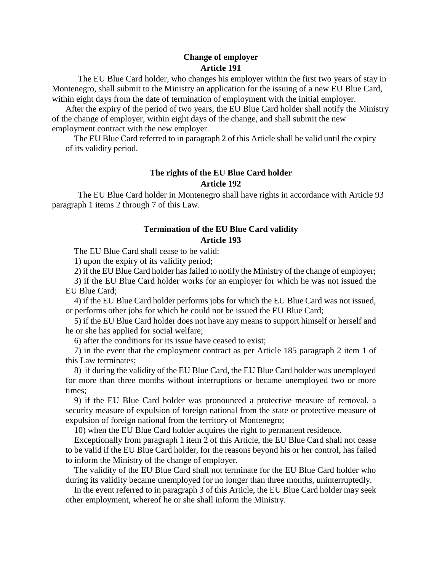# **Change of employer Article 191**

The EU Blue Card holder, who changes his employer within the first two years of stay in Montenegro, shall submit to the Ministry an application for the issuing of a new EU Blue Card, within eight days from the date of termination of employment with the initial employer.

After the expiry of the period of two years, the EU Blue Card holder shall notify the Ministry of the change of employer, within eight days of the change, and shall submit the new employment contract with the new employer.

The EU Blue Card referred to in paragraph 2 of this Article shall be valid until the expiry of its validity period.

# **The rights of the EU Blue Card holder Article 192**

The EU Blue Card holder in Montenegro shall have rights in accordance with Article 93 paragraph 1 items 2 through 7 of this Law.

# **Termination of the EU Blue Card validity Article 193**

The EU Blue Card shall cease to be valid:

1) upon the expiry of its validity period;

2) if the EU Blue Card holder has failed to notify the Ministry of the change of employer;

3) if the EU Blue Card holder works for an employer for which he was not issued the EU Blue Card;

4) if the EU Blue Card holder performs jobs for which the EU Blue Card was not issued, or performs other jobs for which he could not be issued the EU Blue Card;

5) if the EU Blue Card holder does not have any means to support himself or herself and he or she has applied for social welfare;

6) after the conditions for its issue have ceased to exist;

7) in the event that the employment contract as per Article 185 paragraph 2 item 1 of this Law terminates;

8) if during the validity of the EU Blue Card, the EU Blue Card holder was unemployed for more than three months without interruptions or became unemployed two or more times;

9) if the EU Blue Card holder was pronounced a protective measure of removal, a security measure of expulsion of foreign national from the state or protective measure of expulsion of foreign national from the territory of Montenegro;

10) when the EU Blue Card holder acquires the right to permanent residence.

Exceptionally from paragraph 1 item 2 of this Article, the EU Blue Card shall not cease to be valid if the EU Blue Card holder, for the reasons beyond his or her control, has failed to inform the Ministry of the change of employer.

The validity of the EU Blue Card shall not terminate for the EU Blue Card holder who during its validity became unemployed for no longer than three months, uninterruptedly.

In the event referred to in paragraph 3 of this Article, the EU Blue Card holder may seek other employment, whereof he or she shall inform the Ministry.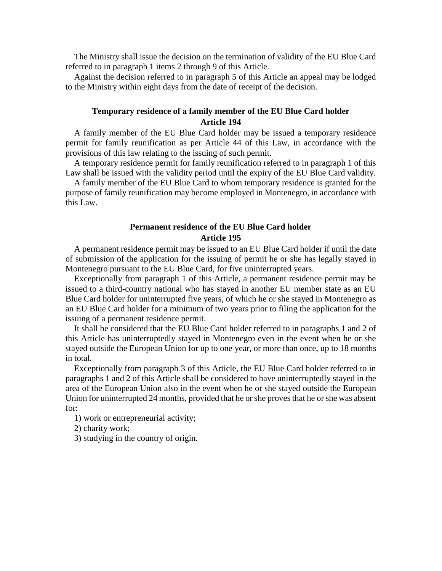The Ministry shall issue the decision on the termination of validity of the EU Blue Card referred to in paragraph 1 items 2 through 9 of this Article.

Against the decision referred to in paragraph 5 of this Article an appeal may be lodged to the Ministry within eight days from the date of receipt of the decision.

# **Temporary residence of a family member of the EU Blue Card holder Article 194**

A family member of the EU Blue Card holder may be issued a temporary residence permit for family reunification as per Article 44 of this Law, in accordance with the provisions of this law relating to the issuing of such permit.

A temporary residence permit for family reunification referred to in paragraph 1 of this Law shall be issued with the validity period until the expiry of the EU Blue Card validity.

A family member of the EU Blue Card to whom temporary residence is granted for the purpose of family reunification may become employed in Montenegro, in accordance with this Law.

### **Permanent residence of the EU Blue Card holder Article 195**

A permanent residence permit may be issued to an EU Blue Card holder if until the date of submission of the application for the issuing of permit he or she has legally stayed in Montenegro pursuant to the EU Blue Card, for five uninterrupted years.

Exceptionally from paragraph 1 of this Article, a permanent residence permit may be issued to a third-country national who has stayed in another EU member state as an EU Blue Card holder for uninterrupted five years, of which he or she stayed in Montenegro as an EU Blue Card holder for a minimum of two years prior to filing the application for the issuing of a permanent residence permit.

It shall be considered that the EU Blue Card holder referred to in paragraphs 1 and 2 of this Article has uninterruptedly stayed in Montenegro even in the event when he or she stayed outside the European Union for up to one year, or more than once, up to 18 months in total.

Exceptionally from paragraph 3 of this Article, the EU Blue Card holder referred to in paragraphs 1 and 2 of this Article shall be considered to have uninterruptedly stayed in the area of the European Union also in the event when he or she stayed outside the European Union for uninterrupted 24 months, provided that he or she proves that he or she was absent for:

1) work or entrepreneurial activity;

2) charity work;

3) studying in the country of origin.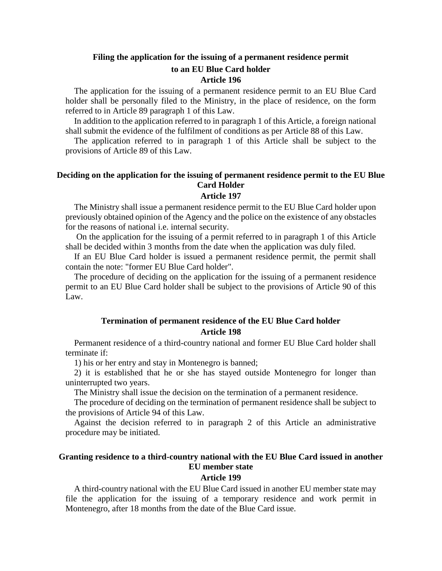### **Filing the application for the issuing of a permanent residence permit to an EU Blue Card holder Article 196**

The application for the issuing of a permanent residence permit to an EU Blue Card holder shall be personally filed to the Ministry, in the place of residence, on the form referred to in Article 89 paragraph 1 of this Law.

In addition to the application referred to in paragraph 1 of this Article, a foreign national shall submit the evidence of the fulfilment of conditions as per Article 88 of this Law.

The application referred to in paragraph 1 of this Article shall be subject to the provisions of Article 89 of this Law.

# **Deciding on the application for the issuing of permanent residence permit to the EU Blue Card Holder**

#### **Article 197**

The Ministry shall issue a permanent residence permit to the EU Blue Card holder upon previously obtained opinion of the Agency and the police on the existence of any obstacles for the reasons of national i.e. internal security.

On the application for the issuing of a permit referred to in paragraph 1 of this Article shall be decided within 3 months from the date when the application was duly filed.

If an EU Blue Card holder is issued a permanent residence permit, the permit shall contain the note: "former EU Blue Card holder".

The procedure of deciding on the application for the issuing of a permanent residence permit to an EU Blue Card holder shall be subject to the provisions of Article 90 of this Law.

# **Termination of permanent residence of the EU Blue Card holder Article 198**

Permanent residence of a third-country national and former EU Blue Card holder shall terminate if:

1) his or her entry and stay in Montenegro is banned;

2) it is established that he or she has stayed outside Montenegro for longer than uninterrupted two years.

The Ministry shall issue the decision on the termination of a permanent residence.

The procedure of deciding on the termination of permanent residence shall be subject to the provisions of Article 94 of this Law.

Against the decision referred to in paragraph 2 of this Article an administrative procedure may be initiated.

### **Granting residence to a third-country national with the EU Blue Card issued in another EU member state**

#### **Article 199**

A third-country national with the EU Blue Card issued in another EU member state may file the application for the issuing of a temporary residence and work permit in Montenegro, after 18 months from the date of the Blue Card issue.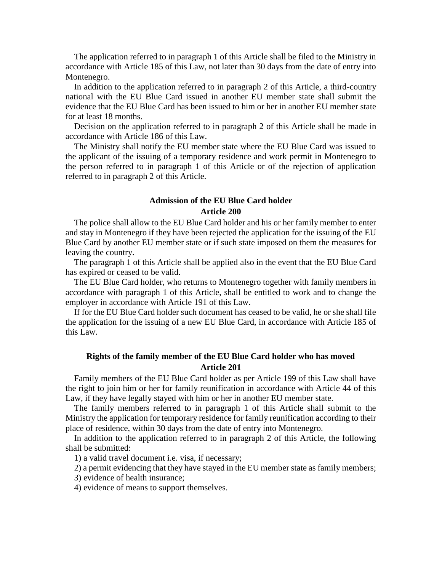The application referred to in paragraph 1 of this Article shall be filed to the Ministry in accordance with Article 185 of this Law, not later than 30 days from the date of entry into Montenegro.

In addition to the application referred to in paragraph 2 of this Article, a third-country national with the EU Blue Card issued in another EU member state shall submit the evidence that the EU Blue Card has been issued to him or her in another EU member state for at least 18 months.

Decision on the application referred to in paragraph 2 of this Article shall be made in accordance with Article 186 of this Law.

The Ministry shall notify the EU member state where the EU Blue Card was issued to the applicant of the issuing of a temporary residence and work permit in Montenegro to the person referred to in paragraph 1 of this Article or of the rejection of application referred to in paragraph 2 of this Article.

#### **Admission of the EU Blue Card holder Article 200**

The police shall allow to the EU Blue Card holder and his or her family member to enter and stay in Montenegro if they have been rejected the application for the issuing of the EU Blue Card by another EU member state or if such state imposed on them the measures for leaving the country.

The paragraph 1 of this Article shall be applied also in the event that the EU Blue Card has expired or ceased to be valid.

The EU Blue Card holder, who returns to Montenegro together with family members in accordance with paragraph 1 of this Article, shall be entitled to work and to change the employer in accordance with Article 191 of this Law.

If for the EU Blue Card holder such document has ceased to be valid, he or she shall file the application for the issuing of a new EU Blue Card, in accordance with Article 185 of this Law.

### **Rights of the family member of the EU Blue Card holder who has moved Article 201**

Family members of the EU Blue Card holder as per Article 199 of this Law shall have the right to join him or her for family reunification in accordance with Article 44 of this Law, if they have legally stayed with him or her in another EU member state.

The family members referred to in paragraph 1 of this Article shall submit to the Ministry the application for temporary residence for family reunification according to their place of residence, within 30 days from the date of entry into Montenegro.

In addition to the application referred to in paragraph 2 of this Article, the following shall be submitted:

1) a valid travel document i.e. visa, if necessary;

2) a permit evidencing that they have stayed in the EU member state as family members;

3) evidence of health insurance;

4) evidence of means to support themselves.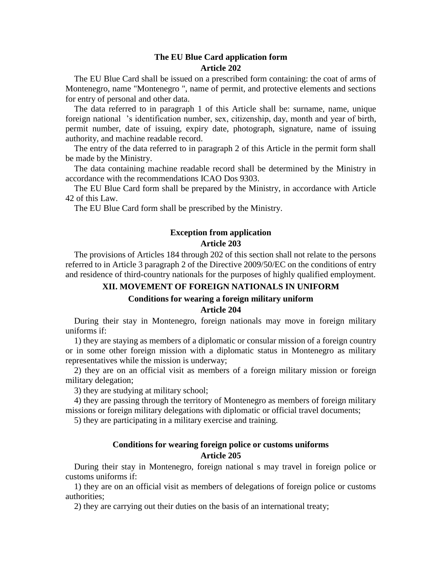#### **The EU Blue Card application form Article 202**

The EU Blue Card shall be issued on a prescribed form containing: the coat of arms of Montenegro, name "Montenegro ", name of permit, and protective elements and sections for entry of personal and other data.

The data referred to in paragraph 1 of this Article shall be: surname, name, unique foreign national 's identification number, sex, citizenship, day, month and year of birth, permit number, date of issuing, expiry date, photograph, signature, name of issuing authority, and machine readable record.

The entry of the data referred to in paragraph 2 of this Article in the permit form shall be made by the Ministry.

The data containing machine readable record shall be determined by the Ministry in accordance with the recommendations ICAO Dos 9303.

The EU Blue Card form shall be prepared by the Ministry, in accordance with Article 42 of this Law.

The EU Blue Card form shall be prescribed by the Ministry.

# **Exception from application**

# **Article 203**

The provisions of Articles 184 through 202 of this section shall not relate to the persons referred to in Article 3 paragraph 2 of the Directive 2009/50/EC on the conditions of entry and residence of third-country nationals for the purposes of highly qualified employment.

# **XII. MOVEMENT OF FOREIGN NATIONALS IN UNIFORM**

#### **Conditions for wearing a foreign military uniform**

**Article 204**

During their stay in Montenegro, foreign nationals may move in foreign military uniforms if:

1) they are staying as members of a diplomatic or consular mission of a foreign country or in some other foreign mission with a diplomatic status in Montenegro as military representatives while the mission is underway;

2) they are on an official visit as members of a foreign military mission or foreign military delegation;

3) they are studying at military school;

4) they are passing through the territory of Montenegro as members of foreign military missions or foreign military delegations with diplomatic or official travel documents;

5) they are participating in a military exercise and training.

# **Conditions for wearing foreign police or customs uniforms Article 205**

During their stay in Montenegro, foreign national s may travel in foreign police or customs uniforms if:

1) they are on an official visit as members of delegations of foreign police or customs authorities;

2) they are carrying out their duties on the basis of an international treaty;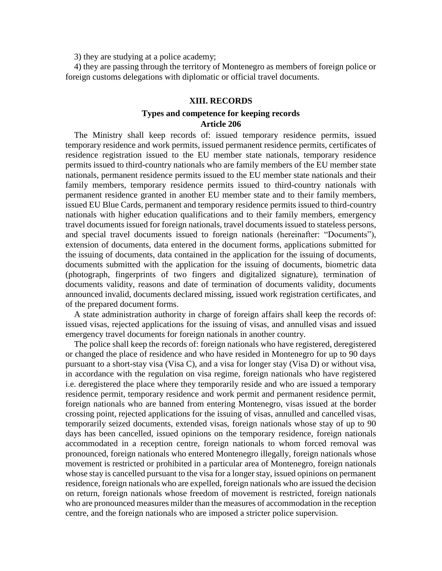3) they are studying at a police academy;

4) they are passing through the territory of Montenegro as members of foreign police or foreign customs delegations with diplomatic or official travel documents.

#### **XIII. RECORDS**

# **Types and competence for keeping records Article 206**

The Ministry shall keep records of: issued temporary residence permits, issued temporary residence and work permits, issued permanent residence permits, certificates of residence registration issued to the EU member state nationals, temporary residence permits issued to third-country nationals who are family members of the EU member state nationals, permanent residence permits issued to the EU member state nationals and their family members, temporary residence permits issued to third-country nationals with permanent residence granted in another EU member state and to their family members, issued EU Blue Cards, permanent and temporary residence permits issued to third-country nationals with higher education qualifications and to their family members, emergency travel documents issued for foreign nationals, travel documents issued to stateless persons, and special travel documents issued to foreign nationals (hereinafter: "Documents"), extension of documents, data entered in the document forms, applications submitted for the issuing of documents, data contained in the application for the issuing of documents, documents submitted with the application for the issuing of documents, biometric data (photograph, fingerprints of two fingers and digitalized signature), termination of documents validity, reasons and date of termination of documents validity, documents announced invalid, documents declared missing, issued work registration certificates, and of the prepared document forms.

A state administration authority in charge of foreign affairs shall keep the records of: issued visas, rejected applications for the issuing of visas, and annulled visas and issued emergency travel documents for foreign nationals in another country.

The police shall keep the records of: foreign nationals who have registered, deregistered or changed the place of residence and who have resided in Montenegro for up to 90 days pursuant to a short-stay visa (Visa C), and a visa for longer stay (Visa D) or without visa, in accordance with the regulation on visa regime, foreign nationals who have registered i.e. deregistered the place where they temporarily reside and who are issued a temporary residence permit, temporary residence and work permit and permanent residence permit, foreign nationals who are banned from entering Montenegro, visas issued at the border crossing point, rejected applications for the issuing of visas, annulled and cancelled visas, temporarily seized documents, extended visas, foreign nationals whose stay of up to 90 days has been cancelled, issued opinions on the temporary residence, foreign nationals accommodated in a reception centre, foreign nationals to whom forced removal was pronounced, foreign nationals who entered Montenegro illegally, foreign nationals whose movement is restricted or prohibited in a particular area of Montenegro, foreign nationals whose stay is cancelled pursuant to the visa for a longer stay, issued opinions on permanent residence, foreign nationals who are expelled, foreign nationals who are issued the decision on return, foreign nationals whose freedom of movement is restricted, foreign nationals who are pronounced measures milder than the measures of accommodation in the reception centre, and the foreign nationals who are imposed a stricter police supervision.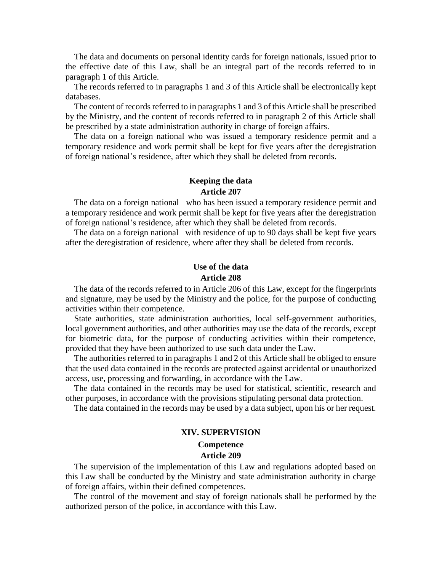The data and documents on personal identity cards for foreign nationals, issued prior to the effective date of this Law, shall be an integral part of the records referred to in paragraph 1 of this Article.

The records referred to in paragraphs 1 and 3 of this Article shall be electronically kept databases.

The content of records referred to in paragraphs 1 and 3 of this Article shall be prescribed by the Ministry, and the content of records referred to in paragraph 2 of this Article shall be prescribed by a state administration authority in charge of foreign affairs.

The data on a foreign national who was issued a temporary residence permit and a temporary residence and work permit shall be kept for five years after the deregistration of foreign national's residence, after which they shall be deleted from records.

### **Keeping the data Article 207**

The data on a foreign national who has been issued a temporary residence permit and a temporary residence and work permit shall be kept for five years after the deregistration of foreign national's residence, after which they shall be deleted from records.

The data on a foreign national with residence of up to 90 days shall be kept five years after the deregistration of residence, where after they shall be deleted from records.

# **Use of the data Article 208**

The data of the records referred to in Article 206 of this Law, except for the fingerprints and signature, may be used by the Ministry and the police, for the purpose of conducting activities within their competence.

State authorities, state administration authorities, local self-government authorities, local government authorities, and other authorities may use the data of the records, except for biometric data, for the purpose of conducting activities within their competence, provided that they have been authorized to use such data under the Law.

The authorities referred to in paragraphs 1 and 2 of this Article shall be obliged to ensure that the used data contained in the records are protected against accidental or unauthorized access, use, processing and forwarding, in accordance with the Law.

The data contained in the records may be used for statistical, scientific, research and other purposes, in accordance with the provisions stipulating personal data protection.

The data contained in the records may be used by a data subject, upon his or her request.

# **XIV. SUPERVISION Competence Article 209**

The supervision of the implementation of this Law and regulations adopted based on this Law shall be conducted by the Ministry and state administration authority in charge of foreign affairs, within their defined competences.

The control of the movement and stay of foreign nationals shall be performed by the authorized person of the police, in accordance with this Law.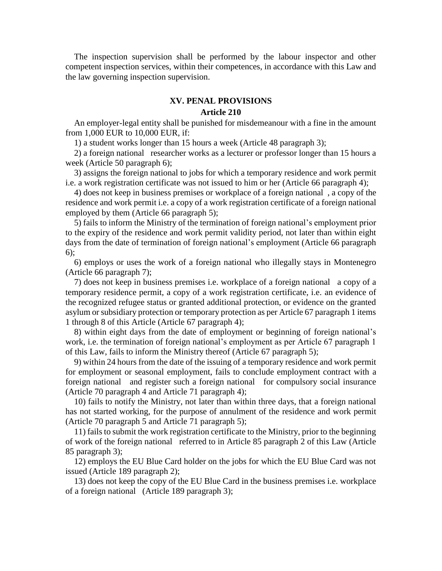The inspection supervision shall be performed by the labour inspector and other competent inspection services, within their competences, in accordance with this Law and the law governing inspection supervision.

# **XV. PENAL PROVISIONS Article 210**

An employer-legal entity shall be punished for misdemeanour with a fine in the amount from 1,000 EUR to 10,000 EUR, if:

1) a student works longer than 15 hours a week (Article 48 paragraph 3);

2) a foreign national researcher works as a lecturer or professor longer than 15 hours a week (Article 50 paragraph 6);

3) assigns the foreign national to jobs for which a temporary residence and work permit i.e. a work registration certificate was not issued to him or her (Article 66 paragraph 4);

4) does not keep in business premises or workplace of a foreign national , a copy of the residence and work permit i.e. a copy of a work registration certificate of a foreign national employed by them (Article 66 paragraph 5);

5) fails to inform the Ministry of the termination of foreign national's employment prior to the expiry of the residence and work permit validity period, not later than within eight days from the date of termination of foreign national's employment (Article 66 paragraph 6);

6) employs or uses the work of a foreign national who illegally stays in Montenegro (Article 66 paragraph 7);

7) does not keep in business premises i.e. workplace of a foreign national a copy of a temporary residence permit, a copy of a work registration certificate, i.e. an evidence of the recognized refugee status or granted additional protection, or evidence on the granted asylum or subsidiary protection or temporary protection as per Article 67 paragraph 1 items 1 through 8 of this Article (Article 67 paragraph 4);

8) within eight days from the date of employment or beginning of foreign national's work, i.e. the termination of foreign national's employment as per Article 67 paragraph 1 of this Law, fails to inform the Ministry thereof (Article 67 paragraph 5);

9) within 24 hours from the date of the issuing of a temporary residence and work permit for employment or seasonal employment, fails to conclude employment contract with a foreign national and register such a foreign national for compulsory social insurance (Article 70 paragraph 4 and Article 71 paragraph 4);

10) fails to notify the Ministry, not later than within three days, that a foreign national has not started working, for the purpose of annulment of the residence and work permit (Article 70 paragraph 5 and Article 71 paragraph 5);

11) fails to submit the work registration certificate to the Ministry, prior to the beginning of work of the foreign national referred to in Article 85 paragraph 2 of this Law (Article 85 paragraph 3);

12) employs the EU Blue Card holder on the jobs for which the EU Blue Card was not issued (Article 189 paragraph 2);

13) does not keep the copy of the EU Blue Card in the business premises i.e. workplace of a foreign national (Article 189 paragraph 3);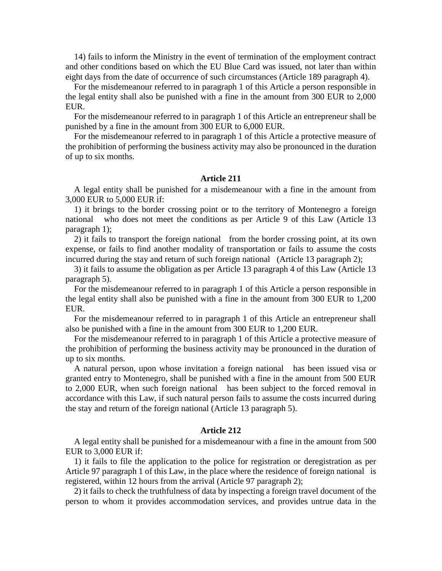14) fails to inform the Ministry in the event of termination of the employment contract and other conditions based on which the EU Blue Card was issued, not later than within eight days from the date of occurrence of such circumstances (Article 189 paragraph 4).

For the misdemeanour referred to in paragraph 1 of this Article a person responsible in the legal entity shall also be punished with a fine in the amount from 300 EUR to 2,000 EUR.

For the misdemeanour referred to in paragraph 1 of this Article an entrepreneur shall be punished by a fine in the amount from 300 EUR to 6,000 EUR.

For the misdemeanour referred to in paragraph 1 of this Article a protective measure of the prohibition of performing the business activity may also be pronounced in the duration of up to six months.

#### **Article 211**

A legal entity shall be punished for a misdemeanour with a fine in the amount from 3,000 EUR to 5,000 EUR if:

1) it brings to the border crossing point or to the territory of Montenegro a foreign national who does not meet the conditions as per Article 9 of this Law (Article 13 paragraph 1);

2) it fails to transport the foreign national from the border crossing point, at its own expense, or fails to find another modality of transportation or fails to assume the costs incurred during the stay and return of such foreign national (Article 13 paragraph 2);

3) it fails to assume the obligation as per Article 13 paragraph 4 of this Law (Article 13 paragraph 5).

For the misdemeanour referred to in paragraph 1 of this Article a person responsible in the legal entity shall also be punished with a fine in the amount from 300 EUR to 1,200 EUR.

For the misdemeanour referred to in paragraph 1 of this Article an entrepreneur shall also be punished with a fine in the amount from 300 EUR to 1,200 EUR.

For the misdemeanour referred to in paragraph 1 of this Article a protective measure of the prohibition of performing the business activity may be pronounced in the duration of up to six months.

A natural person, upon whose invitation a foreign national has been issued visa or granted entry to Montenegro, shall be punished with a fine in the amount from 500 EUR to 2,000 EUR, when such foreign national has been subject to the forced removal in accordance with this Law, if such natural person fails to assume the costs incurred during the stay and return of the foreign national (Article 13 paragraph 5).

#### **Article 212**

A legal entity shall be punished for a misdemeanour with a fine in the amount from 500 EUR to 3,000 EUR if:

1) it fails to file the application to the police for registration or deregistration as per Article 97 paragraph 1 of this Law, in the place where the residence of foreign national is registered, within 12 hours from the arrival (Article 97 paragraph 2);

2) it fails to check the truthfulness of data by inspecting a foreign travel document of the person to whom it provides accommodation services, and provides untrue data in the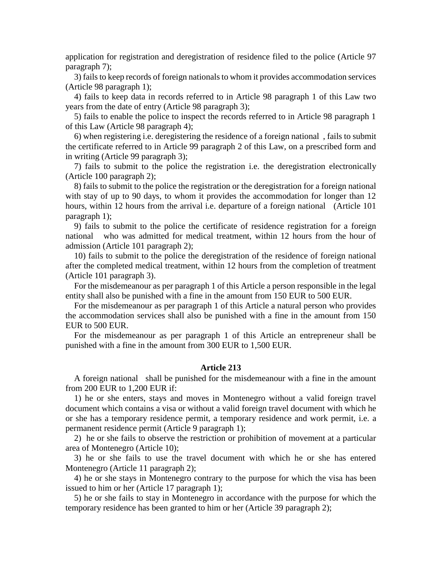application for registration and deregistration of residence filed to the police (Article 97 paragraph 7);

3) fails to keep records of foreign nationals to whom it provides accommodation services (Article 98 paragraph 1);

4) fails to keep data in records referred to in Article 98 paragraph 1 of this Law two years from the date of entry (Article 98 paragraph 3);

5) fails to enable the police to inspect the records referred to in Article 98 paragraph 1 of this Law (Article 98 paragraph 4);

6) when registering i.e. deregistering the residence of a foreign national , fails to submit the certificate referred to in Article 99 paragraph 2 of this Law, on a prescribed form and in writing (Article 99 paragraph 3);

7) fails to submit to the police the registration i.e. the deregistration electronically (Article 100 paragraph 2);

8) fails to submit to the police the registration or the deregistration for a foreign national with stay of up to 90 days, to whom it provides the accommodation for longer than 12 hours, within 12 hours from the arrival i.e. departure of a foreign national (Article 101 paragraph 1);

9) fails to submit to the police the certificate of residence registration for a foreign national who was admitted for medical treatment, within 12 hours from the hour of admission (Article 101 paragraph 2);

10) fails to submit to the police the deregistration of the residence of foreign national after the completed medical treatment, within 12 hours from the completion of treatment (Article 101 paragraph 3).

For the misdemeanour as per paragraph 1 of this Article a person responsible in the legal entity shall also be punished with a fine in the amount from 150 EUR to 500 EUR.

For the misdemeanour as per paragraph 1 of this Article a natural person who provides the accommodation services shall also be punished with a fine in the amount from 150 EUR to 500 EUR.

For the misdemeanour as per paragraph 1 of this Article an entrepreneur shall be punished with a fine in the amount from 300 EUR to 1,500 EUR.

#### **Article 213**

A foreign national shall be punished for the misdemeanour with a fine in the amount from 200 EUR to 1,200 EUR if:

1) he or she enters, stays and moves in Montenegro without a valid foreign travel document which contains a visa or without a valid foreign travel document with which he or she has a temporary residence permit, a temporary residence and work permit, i.e. a permanent residence permit (Article 9 paragraph 1);

2) he or she fails to observe the restriction or prohibition of movement at a particular area of Montenegro (Article 10);

3) he or she fails to use the travel document with which he or she has entered Montenegro (Article 11 paragraph 2);

4) he or she stays in Montenegro contrary to the purpose for which the visa has been issued to him or her (Article 17 paragraph 1);

5) he or she fails to stay in Montenegro in accordance with the purpose for which the temporary residence has been granted to him or her (Article 39 paragraph 2);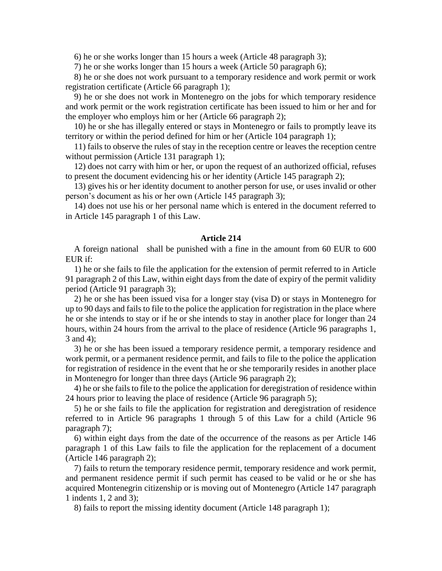6) he or she works longer than 15 hours a week (Article 48 paragraph 3);

7) he or she works longer than 15 hours a week (Article 50 paragraph 6);

8) he or she does not work pursuant to a temporary residence and work permit or work registration certificate (Article 66 paragraph 1);

9) he or she does not work in Montenegro on the jobs for which temporary residence and work permit or the work registration certificate has been issued to him or her and for the employer who employs him or her (Article 66 paragraph 2);

10) he or she has illegally entered or stays in Montenegro or fails to promptly leave its territory or within the period defined for him or her (Article 104 paragraph 1);

11) fails to observe the rules of stay in the reception centre or leaves the reception centre without permission (Article 131 paragraph 1);

12) does not carry with him or her, or upon the request of an authorized official, refuses to present the document evidencing his or her identity (Article 145 paragraph 2);

13) gives his or her identity document to another person for use, or uses invalid or other person's document as his or her own (Article 145 paragraph 3);

14) does not use his or her personal name which is entered in the document referred to in Article 145 paragraph 1 of this Law.

#### **Article 214**

A foreign national shall be punished with a fine in the amount from 60 EUR to 600 EUR if:

1) he or she fails to file the application for the extension of permit referred to in Article 91 paragraph 2 of this Law, within eight days from the date of expiry of the permit validity period (Article 91 paragraph 3);

2) he or she has been issued visa for a longer stay (visa D) or stays in Montenegro for up to 90 days and fails to file to the police the application for registration in the place where he or she intends to stay or if he or she intends to stay in another place for longer than 24 hours, within 24 hours from the arrival to the place of residence (Article 96 paragraphs 1, 3 and 4);

3) he or she has been issued a temporary residence permit, a temporary residence and work permit, or a permanent residence permit, and fails to file to the police the application for registration of residence in the event that he or she temporarily resides in another place in Montenegro for longer than three days (Article 96 paragraph 2);

4) he or she fails to file to the police the application for deregistration of residence within 24 hours prior to leaving the place of residence (Article 96 paragraph 5);

5) he or she fails to file the application for registration and deregistration of residence referred to in Article 96 paragraphs 1 through 5 of this Law for a child (Article 96 paragraph 7);

6) within eight days from the date of the occurrence of the reasons as per Article 146 paragraph 1 of this Law fails to file the application for the replacement of a document (Article 146 paragraph 2);

7) fails to return the temporary residence permit, temporary residence and work permit, and permanent residence permit if such permit has ceased to be valid or he or she has acquired Montenegrin citizenship or is moving out of Montenegro (Article 147 paragraph 1 indents 1, 2 and 3);

8) fails to report the missing identity document (Article 148 paragraph 1);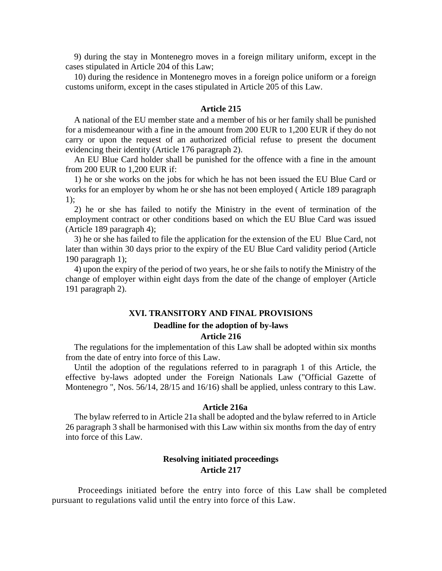9) during the stay in Montenegro moves in a foreign military uniform, except in the cases stipulated in Article 204 of this Law;

10) during the residence in Montenegro moves in a foreign police uniform or a foreign customs uniform, except in the cases stipulated in Article 205 of this Law.

#### **Article 215**

A national of the EU member state and a member of his or her family shall be punished for a misdemeanour with a fine in the amount from 200 EUR to 1,200 EUR if they do not carry or upon the request of an authorized official refuse to present the document evidencing their identity (Article 176 paragraph 2).

An EU Blue Card holder shall be punished for the offence with a fine in the amount from 200 EUR to 1,200 EUR if:

1) he or she works on the jobs for which he has not been issued the EU Blue Card or works for an employer by whom he or she has not been employed ( Article 189 paragraph 1);

2) he or she has failed to notify the Ministry in the event of termination of the employment contract or other conditions based on which the EU Blue Card was issued (Article 189 paragraph 4);

3) he or she has failed to file the application for the extension of the EU Blue Card, not later than within 30 days prior to the expiry of the EU Blue Card validity period (Article 190 paragraph 1);

4) upon the expiry of the period of two years, he or she fails to notify the Ministry of the change of employer within eight days from the date of the change of employer (Article 191 paragraph 2).

# **XVI. TRANSITORY AND FINAL PROVISIONS Deadline for the adoption of by-laws Article 216**

The regulations for the implementation of this Law shall be adopted within six months from the date of entry into force of this Law.

Until the adoption of the regulations referred to in paragraph 1 of this Article, the effective by-laws adopted under the Foreign Nationals Law ("Official Gazette of Montenegro ", Nos. 56/14, 28/15 and 16/16) shall be applied, unless contrary to this Law.

#### **Article 216a**

The bylaw referred to in Article 21a shall be adopted and the bylaw referred to in Article 26 paragraph 3 shall be harmonised with this Law within six months from the day of entry into force of this Law.

## **Resolving initiated proceedings Article 217**

Proceedings initiated before the entry into force of this Law shall be completed pursuant to regulations valid until the entry into force of this Law.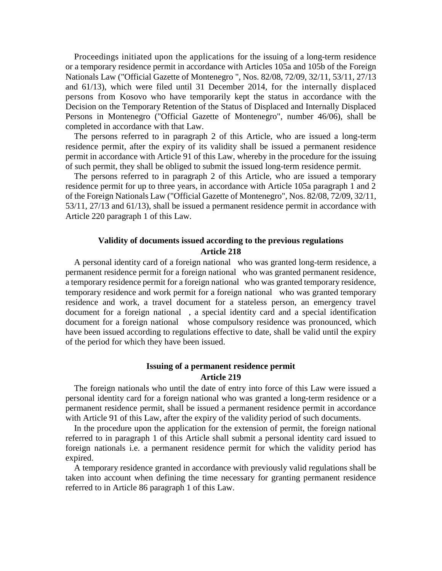Proceedings initiated upon the applications for the issuing of a long-term residence or a temporary residence permit in accordance with Articles 105a and 105b of the Foreign Nationals Law ("Official Gazette of Montenegro ", Nos. 82/08, 72/09, 32/11, 53/11, 27/13 and 61/13), which were filed until 31 December 2014, for the internally displaced persons from Kosovo who have temporarily kept the status in accordance with the Decision on the Temporary Retention of the Status of Displaced and Internally Displaced Persons in Montenegro ("Official Gazette of Montenegro", number 46/06), shall be completed in accordance with that Law.

The persons referred to in paragraph 2 of this Article, who are issued a long-term residence permit, after the expiry of its validity shall be issued a permanent residence permit in accordance with Article 91 of this Law, whereby in the procedure for the issuing of such permit, they shall be obliged to submit the issued long-term residence permit.

The persons referred to in paragraph 2 of this Article, who are issued a temporary residence permit for up to three years, in accordance with Article 105a paragraph 1 and 2 of the Foreign Nationals Law ("Official Gazette of Montenegro", Nos. 82/08, 72/09, 32/11, 53/11, 27/13 and 61/13), shall be issued a permanent residence permit in accordance with Article 220 paragraph 1 of this Law.

### **Validity of documents issued according to the previous regulations Article 218**

A personal identity card of a foreign national who was granted long-term residence, a permanent residence permit for a foreign national who was granted permanent residence, a temporary residence permit for a foreign national who was granted temporary residence, temporary residence and work permit for a foreign national who was granted temporary residence and work, a travel document for a stateless person, an emergency travel document for a foreign national , a special identity card and a special identification document for a foreign national whose compulsory residence was pronounced, which have been issued according to regulations effective to date, shall be valid until the expiry of the period for which they have been issued.

#### **Issuing of a permanent residence permit Article 219**

The foreign nationals who until the date of entry into force of this Law were issued a personal identity card for a foreign national who was granted a long-term residence or a permanent residence permit, shall be issued a permanent residence permit in accordance with Article 91 of this Law, after the expiry of the validity period of such documents.

In the procedure upon the application for the extension of permit, the foreign national referred to in paragraph 1 of this Article shall submit a personal identity card issued to foreign nationals i.e. a permanent residence permit for which the validity period has expired.

A temporary residence granted in accordance with previously valid regulations shall be taken into account when defining the time necessary for granting permanent residence referred to in Article 86 paragraph 1 of this Law.